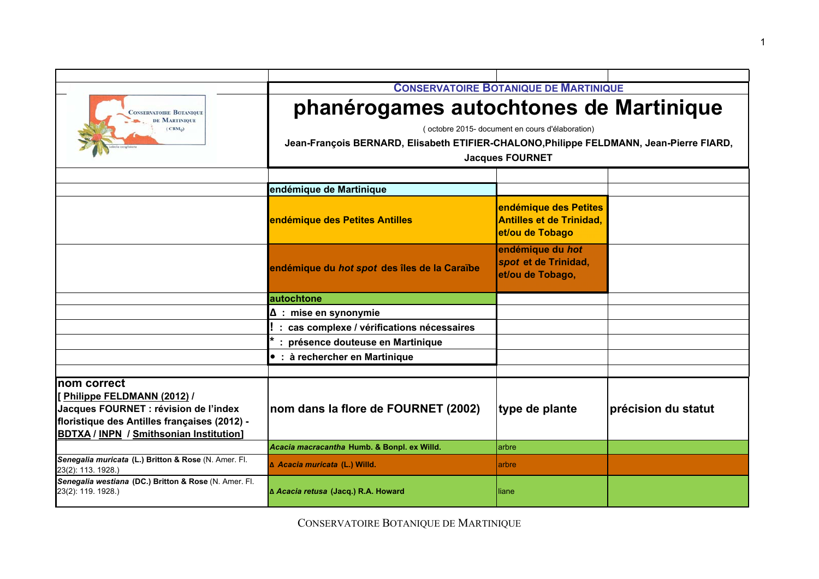|                                                                                                                                                                                      | <b>CONSERVATOIRE BOTANIQUE DE MARTINIQUE</b><br>phanérogames autochtones de Martinique<br>(octobre 2015- document en cours d'élaboration)<br>Jean-François BERNARD, Elisabeth ETIFIER-CHALONO, Philippe FELDMANN, Jean-Pierre FIARD,<br><b>Jacques FOURNET</b> |                                                                             |                     |
|--------------------------------------------------------------------------------------------------------------------------------------------------------------------------------------|----------------------------------------------------------------------------------------------------------------------------------------------------------------------------------------------------------------------------------------------------------------|-----------------------------------------------------------------------------|---------------------|
| <b>CONSERVATOIRE BOTANIQUE</b><br>DE MARTINIQUE<br>(CBM <sub>o</sub> )                                                                                                               |                                                                                                                                                                                                                                                                |                                                                             |                     |
|                                                                                                                                                                                      |                                                                                                                                                                                                                                                                |                                                                             |                     |
|                                                                                                                                                                                      | endémique de Martinique                                                                                                                                                                                                                                        |                                                                             |                     |
|                                                                                                                                                                                      | endémique des Petites Antilles                                                                                                                                                                                                                                 | endémique des Petites<br><b>Antilles et de Trinidad,</b><br>et/ou de Tobago |                     |
|                                                                                                                                                                                      | endémique du hot spot des îles de la Caraïbe                                                                                                                                                                                                                   | endémique du hot<br>spot et de Trinidad,<br>et/ou de Tobago,                |                     |
|                                                                                                                                                                                      | autochtone                                                                                                                                                                                                                                                     |                                                                             |                     |
|                                                                                                                                                                                      | $\Delta$ : mise en synonymie                                                                                                                                                                                                                                   |                                                                             |                     |
|                                                                                                                                                                                      | : cas complexe / vérifications nécessaires                                                                                                                                                                                                                     |                                                                             |                     |
|                                                                                                                                                                                      | présence douteuse en Martinique                                                                                                                                                                                                                                |                                                                             |                     |
|                                                                                                                                                                                      | • : à rechercher en Martinique                                                                                                                                                                                                                                 |                                                                             |                     |
|                                                                                                                                                                                      |                                                                                                                                                                                                                                                                |                                                                             |                     |
| nom correct<br>Philippe FELDMANN (2012) /<br>Jacques FOURNET : révision de l'index<br>floristique des Antilles françaises (2012) -<br><b>BDTXA / INPN / Smithsonian Institution]</b> | nom dans la flore de FOURNET (2002)                                                                                                                                                                                                                            | type de plante                                                              | précision du statut |
|                                                                                                                                                                                      | Acacia macracantha Humb. & Bonpl. ex Willd.                                                                                                                                                                                                                    | arbre                                                                       |                     |
| Senegalia muricata (L.) Britton & Rose (N. Amer. Fl.<br>23(2): 113. 1928.)                                                                                                           | ∆ Acacia muricata (L.) Willd.                                                                                                                                                                                                                                  | arbre                                                                       |                     |
| Senegalia westiana (DC.) Britton & Rose (N. Amer. Fl.<br>23(2): 119. 1928.)                                                                                                          | A Acacia retusa (Jacq.) R.A. Howard                                                                                                                                                                                                                            | liane                                                                       |                     |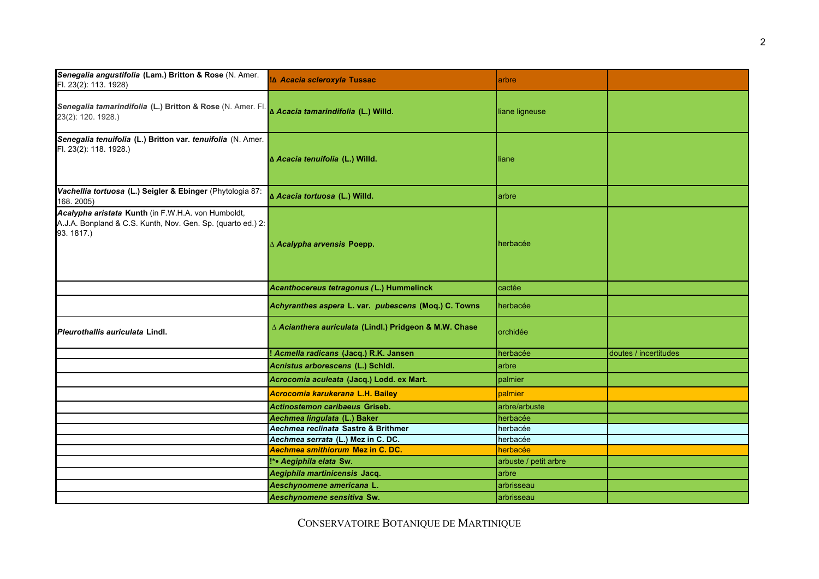| Senegalia angustifolia (Lam.) Britton & Rose (N. Amer.<br>Fl. 23(2): 113. 1928)                                                 | !∆ Acacia scleroxyla Tussac                            | arbre                 |                       |
|---------------------------------------------------------------------------------------------------------------------------------|--------------------------------------------------------|-----------------------|-----------------------|
| Senegalia tamarindifolia (L.) Britton & Rose (N. Amer. Fl. Acacia tamarindifolia (L.) Willd.<br>23(2): 120. 1928.)              |                                                        | liane ligneuse        |                       |
| Senegalia tenuifolia (L.) Britton var. tenuifolia (N. Amer.<br>Fl. 23(2): 118. 1928.)                                           | ∆ Acacia tenuifolia (L.) Willd.                        | liane                 |                       |
| Vachellia tortuosa (L.) Seigler & Ebinger (Phytologia 87:<br>168.2005)                                                          | ∆ Acacia tortuosa (L.) Willd.                          | arbre                 |                       |
| Acalypha aristata Kunth (in F.W.H.A. von Humboldt,<br>A.J.A. Bonpland & C.S. Kunth, Nov. Gen. Sp. (quarto ed.) 2:<br>93. 1817.) | ∆ Acalypha arvensis Poepp.                             | herbacée              |                       |
|                                                                                                                                 | Acanthocereus tetragonus (L.) Hummelinck               | cactée                |                       |
|                                                                                                                                 | Achyranthes aspera L. var. pubescens (Moq.) C. Towns   | herbacée              |                       |
| Pleurothallis auriculata Lindl.                                                                                                 | ∆ Acianthera auriculata (Lindl.) Pridgeon & M.W. Chase | orchidée              |                       |
|                                                                                                                                 | ! Acmella radicans (Jacq.) R.K. Jansen                 | herbacée              | doutes / incertitudes |
|                                                                                                                                 | Acnistus arborescens (L.) Schidl.                      | arbre                 |                       |
|                                                                                                                                 | Acrocomia aculeata (Jacq.) Lodd. ex Mart.              | palmier               |                       |
|                                                                                                                                 | Acrocomia karukerana L.H. Bailey                       | palmier               |                       |
|                                                                                                                                 | Actinostemon caribaeus Griseb.                         | arbre/arbuste         |                       |
|                                                                                                                                 | Aechmea lingulata (L.) Baker                           | herbacée              |                       |
|                                                                                                                                 | Aechmea reclinata Sastre & Brithmer                    | herbacée              |                       |
|                                                                                                                                 | Aechmea serrata (L.) Mez in C. DC.                     | herbacée              |                       |
|                                                                                                                                 | Aechmea smithiorum Mez in C. DC.                       | herbacée              |                       |
|                                                                                                                                 | !*• Aegiphila elata Sw.                                | arbuste / petit arbre |                       |
|                                                                                                                                 | Aegiphila martinicensis Jacq.                          | arbre                 |                       |
|                                                                                                                                 | Aeschynomene americana L.                              | arbrisseau            |                       |
|                                                                                                                                 | Aeschynomene sensitiva Sw.                             | arbrisseau            |                       |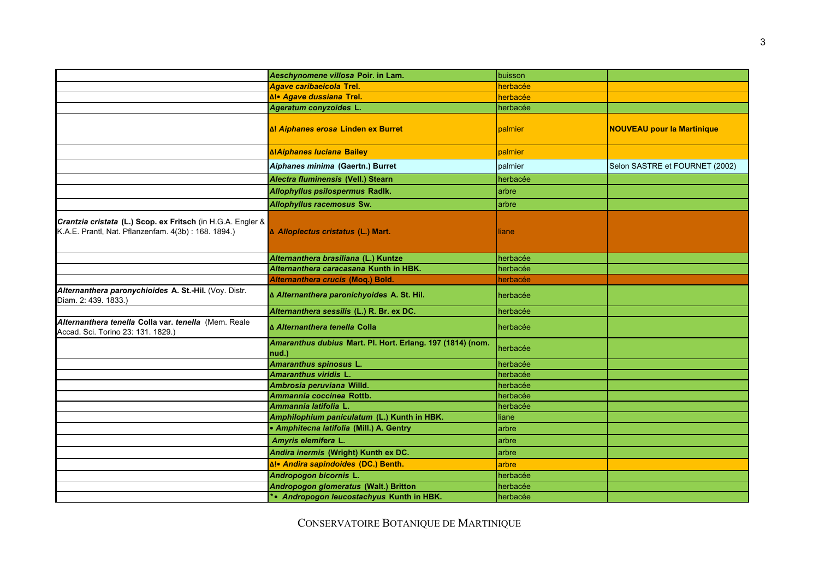|                                                                                                                    | Aeschynomene villosa Poir. in Lam.                                  | buisson  |                                   |
|--------------------------------------------------------------------------------------------------------------------|---------------------------------------------------------------------|----------|-----------------------------------|
|                                                                                                                    | <b>Agave caribaeicola Trel.</b>                                     | herbacée |                                   |
|                                                                                                                    | ∆!• Agave dussiana Trel.                                            | herbacée |                                   |
|                                                                                                                    | Ageratum conyzoides L.                                              | herbacée |                                   |
|                                                                                                                    | ∆! Aiphanes erosa Linden ex Burret                                  | palmier  | <b>NOUVEAU pour la Martinique</b> |
|                                                                                                                    | <b>∆!Aiphanes luciana Bailey</b>                                    | palmier  |                                   |
|                                                                                                                    | Aiphanes minima (Gaertn.) Burret                                    | palmier  | Selon SASTRE et FOURNET (2002)    |
|                                                                                                                    | Alectra fluminensis (Vell.) Stearn                                  | herbacée |                                   |
|                                                                                                                    | Allophyllus psilospermus Radlk.                                     | arbre    |                                   |
|                                                                                                                    | Allophyllus racemosus Sw.                                           | arbre    |                                   |
| Crantzia cristata (L.) Scop. ex Fritsch (in H.G.A. Engler &<br>K.A.E. Prantl, Nat. Pflanzenfam. 4(3b): 168. 1894.) | A Alloplectus cristatus (L.) Mart.                                  | liane    |                                   |
|                                                                                                                    | Alternanthera brasiliana (L.) Kuntze                                | herbacée |                                   |
|                                                                                                                    | Alternanthera caracasana Kunth in HBK.                              | herbacée |                                   |
|                                                                                                                    | Alternanthera crucis (Moq.) Bold.                                   | herbacée |                                   |
| Alternanthera paronychioides A. St.-Hil. (Voy. Distr.<br>Diam. 2: 439. 1833.)                                      | ∆ Alternanthera paronichyoides A. St. Hil.                          | herbacée |                                   |
|                                                                                                                    | Alternanthera sessilis (L.) R. Br. ex DC.                           | herbacée |                                   |
| Alternanthera tenella Colla var. tenella (Mem. Reale<br>Accad. Sci. Torino 23: 131. 1829.)                         | ∆ Alternanthera tenella Colla                                       | herbacée |                                   |
|                                                                                                                    | Amaranthus dubius Mart. Pl. Hort. Erlang. 197 (1814) (nom.<br>nud.) | herbacée |                                   |
|                                                                                                                    | Amaranthus spinosus L.                                              | herbacée |                                   |
|                                                                                                                    | Amaranthus viridis L.                                               | herbacée |                                   |
|                                                                                                                    | Ambrosia peruviana Willd.                                           | herbacée |                                   |
|                                                                                                                    | Ammannia coccinea Rottb.                                            | herbacée |                                   |
|                                                                                                                    | Ammannia latifolia L.                                               | herbacée |                                   |
|                                                                                                                    | Amphilophium paniculatum (L.) Kunth in HBK.                         | liane    |                                   |
|                                                                                                                    | • Amphitecna latifolia (Mill.) A. Gentry                            | arbre    |                                   |
|                                                                                                                    | Amyris elemifera L.                                                 | arbre    |                                   |
|                                                                                                                    | Andira inermis (Wright) Kunth ex DC.                                | arbre    |                                   |
|                                                                                                                    | ∆!• Andira sapindoides (DC.) Benth.                                 | arbre    |                                   |
|                                                                                                                    | Andropogon bicornis L.                                              | herbacée |                                   |
|                                                                                                                    | Andropogon glomeratus (Walt.) Britton                               | herbacée |                                   |
|                                                                                                                    | *• Andropogon leucostachyus Kunth in HBK.                           | herbacée |                                   |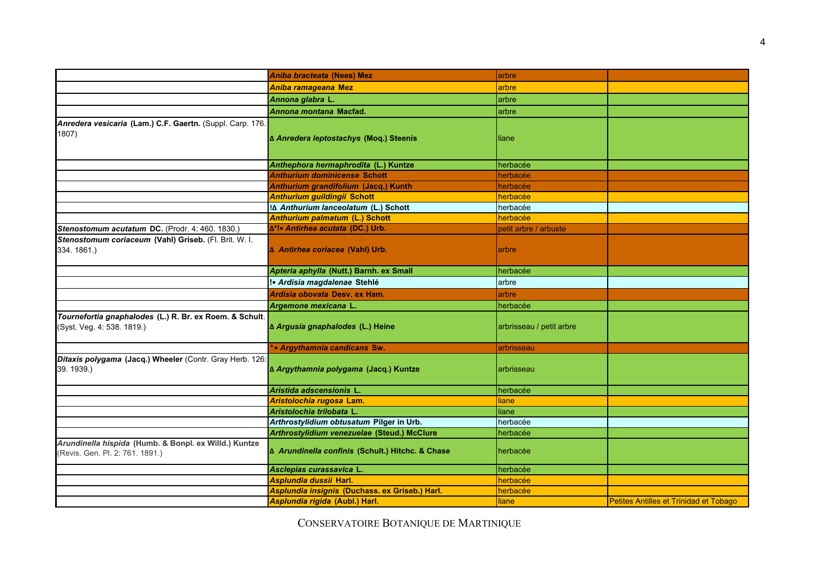|                                                                                          | Aniba bracteata (Nees) Mez                       | arbre                    |                                               |
|------------------------------------------------------------------------------------------|--------------------------------------------------|--------------------------|-----------------------------------------------|
|                                                                                          | Aniba ramageana Mez                              | arbre                    |                                               |
|                                                                                          | Annona glabra L.                                 | arbre                    |                                               |
|                                                                                          | Annona montana Macfad.                           | arbre                    |                                               |
| Anredera vesicaria (Lam.) C.F. Gaertn. (Suppl. Carp. 176.<br>1807)                       | ∆ Anredera leptostachys (Moq.) Steenis           | liane                    |                                               |
|                                                                                          | Anthephora hermaphrodita (L.) Kuntze             | herbacée                 |                                               |
|                                                                                          | <b>Anthurium dominicense Schott</b>              | herbacée                 |                                               |
|                                                                                          | Anthurium grandifolium (Jacq.) Kunth             | herbacée                 |                                               |
|                                                                                          | <b>Anthurium guildingii Schott</b>               | herbacée                 |                                               |
|                                                                                          | !∆ Anthurium lanceolatum (L.) Schott             | herbacée                 |                                               |
|                                                                                          | <b>Anthurium palmatum (L.) Schott</b>            | herbacée                 |                                               |
| Stenostomum acutatum DC. (Prodr. 4: 460. 1830.)                                          | ∆*!• Antirhea acutata (DC.) Urb.                 | petit arbre / arbuste    |                                               |
| Stenostomum coriaceum (Vahl) Griseb. (Fl. Brit. W. I.<br>334.1861.)                      | A Antirhea coriacea (Vahl) Urb.                  | arbre                    |                                               |
|                                                                                          | Apteria aphylla (Nutt.) Barnh. ex Small          | herbacée                 |                                               |
|                                                                                          | !• Ardisia magdalenae Stehlé                     | arbre                    |                                               |
|                                                                                          | Ardisia obovata Desv. ex Ham.                    | arbre                    |                                               |
|                                                                                          | Argemone mexicana L.                             | herbacée                 |                                               |
| Tournefortia gnaphalodes (L.) R. Br. ex Roem. & Schult.<br>(Syst. Veg. 4: 538. 1819.)    | ∆ Argusia gnaphalodes (L.) Heine                 | arbrisseau / petit arbre |                                               |
|                                                                                          | *• Argythamnia candicans Sw.                     | arbrisseau               |                                               |
| Ditaxis polygama (Jacq.) Wheeler (Contr. Gray Herb. 126:<br>39. 1939.)                   | ∆ Argythamnia polygama (Jacq.) Kuntze            | arbrisseau               |                                               |
|                                                                                          | Aristida adscensionis L                          | herbacée                 |                                               |
|                                                                                          | Aristolochia rugosa Lam.                         | liane                    |                                               |
|                                                                                          | Aristolochia trilobata L.                        | liane                    |                                               |
|                                                                                          | Arthrostylidium obtusatum Pilger in Urb.         | herbacée                 |                                               |
|                                                                                          | Arthrostylidium venezuelae (Steud.) McClure      | herbacée                 |                                               |
| Arundinella hispida (Humb. & Bonpl. ex Willd.) Kuntze<br>(Revis. Gen. Pl. 2: 761. 1891.) | ∆ Arundinella confinis (Schult.) Hitchc. & Chase | herbacée                 |                                               |
|                                                                                          | Asclepias curassavica L.                         | herbacée                 |                                               |
|                                                                                          | Asplundia dussii Harl.                           | herbacée                 |                                               |
|                                                                                          | Asplundia insignis (Duchass. ex Griseb.) Harl.   | herbacée                 |                                               |
|                                                                                          | Asplundia rigida (Aubl.) Harl.                   | <b>liane</b>             | <b>Petites Antilles et Trinidad et Tobago</b> |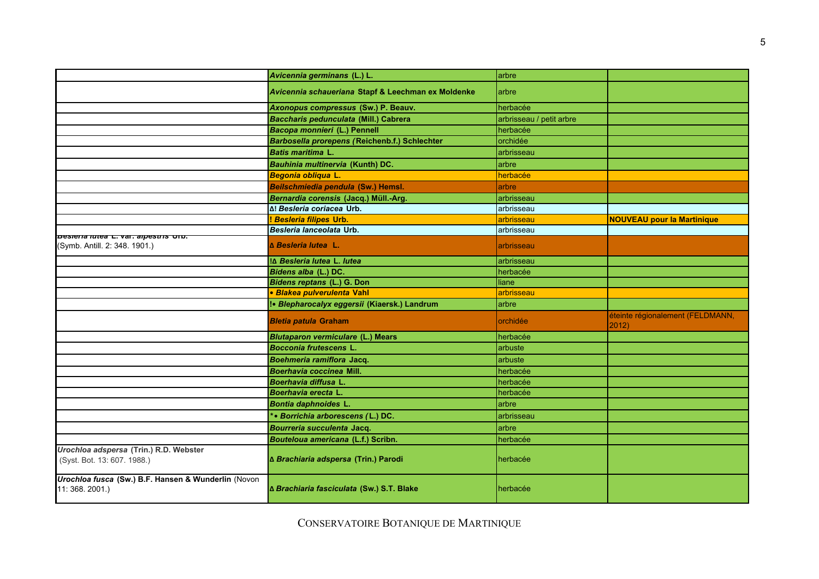|                                                                              | Avicennia germinans (L.) L.                        | arbre                    |                                           |
|------------------------------------------------------------------------------|----------------------------------------------------|--------------------------|-------------------------------------------|
|                                                                              | Avicennia schaueriana Stapf & Leechman ex Moldenke | arbre                    |                                           |
|                                                                              | Axonopus compressus (Sw.) P. Beauv.                | herbacée                 |                                           |
|                                                                              | Baccharis pedunculata (Mill.) Cabrera              | arbrisseau / petit arbre |                                           |
|                                                                              | Bacopa monnieri (L.) Pennell                       | herbacée                 |                                           |
|                                                                              | Barbosella prorepens (Reichenb.f.) Schlechter      | orchidée                 |                                           |
|                                                                              | <b>Batis maritima L.</b>                           | arbrisseau               |                                           |
|                                                                              | Bauhinia multinervia (Kunth) DC.                   | arbre                    |                                           |
|                                                                              | Begonia obliqua L.                                 | herbacée                 |                                           |
|                                                                              | Beilschmiedia pendula (Sw.) Hemsl.                 | arbre                    |                                           |
|                                                                              | Bernardia corensis (Jacq.) Müll.-Arg.              | arbrisseau               |                                           |
|                                                                              | Δ! Besleria coriacea Urb.                          | arbrisseau               |                                           |
|                                                                              | <b>Besleria filipes Urb.</b>                       | arbrisseau               | <b>NOUVEAU pour la Martinique</b>         |
|                                                                              | Besleria lanceolata Urb.                           | arbrisseau               |                                           |
| <b>Desiena lutea L. val. alpestris Urb.</b><br>(Symb. Antill. 2: 348. 1901.) | <b>A</b> Besleria lutea L.                         | arbrisseau               |                                           |
|                                                                              | !∆ Besleria lutea L. lutea                         | arbrisseau               |                                           |
|                                                                              | Bidens alba (L.) DC.                               | herbacée                 |                                           |
|                                                                              | Bidens reptans (L.) G. Don                         | liane                    |                                           |
|                                                                              | · Blakea pulverulenta Vahl                         | arbrisseau               |                                           |
|                                                                              | !• Blepharocalyx eggersii (Kiaersk.) Landrum       | arbre                    |                                           |
|                                                                              | <b>Bletia patula Graham</b>                        | orchidée                 | éteinte régionalement (FELDMANN,<br>2012) |
|                                                                              | <b>Blutaparon vermiculare (L.) Mears</b>           | herbacée                 |                                           |
|                                                                              | <b>Bocconia frutescens L.</b>                      | arbuste                  |                                           |
|                                                                              | Boehmeria ramiflora Jacq.                          | arbuste                  |                                           |
|                                                                              | Boerhavia coccinea Mill.                           | herbacée                 |                                           |
|                                                                              | Boerhavia diffusa L.                               | herbacée                 |                                           |
|                                                                              | Boerhavia erecta L.                                | herbacée                 |                                           |
|                                                                              | Bontia daphnoides L.                               | arbre                    |                                           |
|                                                                              | *• Borrichia arborescens (L.) DC.                  | arbrisseau               |                                           |
|                                                                              | Bourreria succulenta Jacq.                         | arbre                    |                                           |
|                                                                              | Bouteloua americana (L.f.) Scribn.                 | herbacée                 |                                           |
| Urochloa adspersa (Trin.) R.D. Webster<br>(Syst. Bot. 13: 607. 1988.)        | ∆ Brachiaria adspersa (Trin.) Parodi               | herbacée                 |                                           |
| Urochloa fusca (Sw.) B.F. Hansen & Wunderlin (Novon<br>11: 368. 2001.)       | ∆ Brachiaria fasciculata (Sw.) S.T. Blake          | herbacée                 |                                           |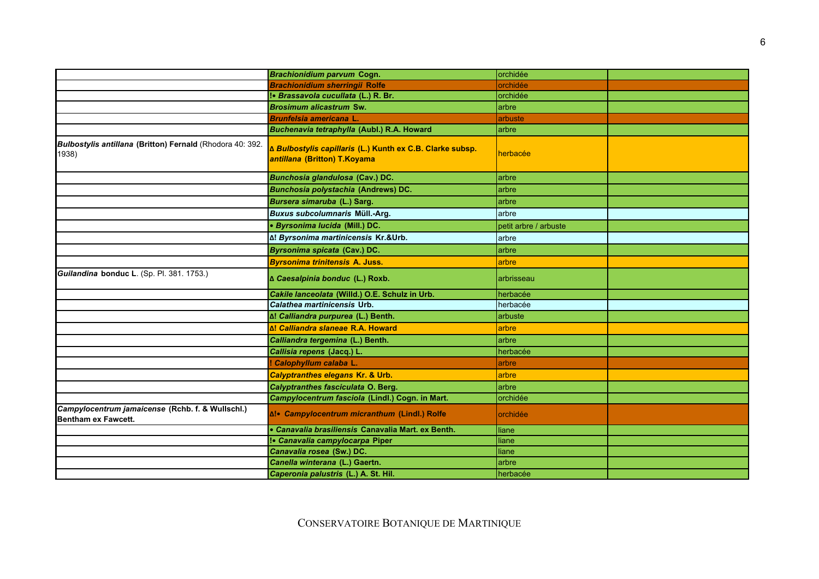|                                                                         | <b>Brachionidium parvum Cogn.</b>                                                         | orchidée              |  |
|-------------------------------------------------------------------------|-------------------------------------------------------------------------------------------|-----------------------|--|
|                                                                         | <b>Brachionidium sherringii Rolfe</b>                                                     | orchidée              |  |
|                                                                         | !• Brassavola cucullata (L.) R. Br.                                                       | orchidée              |  |
|                                                                         | <b>Brosimum alicastrum Sw.</b>                                                            | arbre                 |  |
|                                                                         | <b>Brunfelsia americana L.</b>                                                            | arbuste               |  |
|                                                                         | Buchenavia tetraphylla (Aubl.) R.A. Howard                                                | arbre                 |  |
| Bulbostylis antillana (Britton) Fernald (Rhodora 40: 392.<br>1938)      | ∆ Bulbostylis capillaris (L.) Kunth ex C.B. Clarke subsp.<br>antillana (Britton) T.Koyama | herbacée              |  |
|                                                                         | Bunchosia glandulosa (Cav.) DC.                                                           | arbre                 |  |
|                                                                         | <b>Bunchosia polystachia (Andrews) DC.</b>                                                | larbre                |  |
|                                                                         | Bursera simaruba (L.) Sarg.                                                               | larbre                |  |
|                                                                         | Buxus subcolumnaris Müll.-Arg.                                                            | arbre                 |  |
|                                                                         | · Byrsonima lucida (Mill.) DC.                                                            | petit arbre / arbuste |  |
|                                                                         | Δ! Byrsonima martinicensis Kr.&Urb.                                                       | arbre                 |  |
|                                                                         | Byrsonima spicata (Cav.) DC.                                                              | arbre                 |  |
|                                                                         | <b>Byrsonima trinitensis A. Juss.</b>                                                     | arbre                 |  |
| Guilandina bonduc L. (Sp. Pl. 381, 1753.)                               | ∆ Caesalpinia bonduc (L.) Roxb.                                                           | arbrisseau            |  |
|                                                                         | Cakile lanceolata (Willd.) O.E. Schulz in Urb.                                            | herbacée              |  |
|                                                                         | Calathea martinicensis Urb.                                                               | herbacée              |  |
|                                                                         | ∆! Calliandra purpurea (L.) Benth.                                                        | arbuste               |  |
|                                                                         | Δ! Calliandra slaneae R.A. Howard                                                         | arbre                 |  |
|                                                                         | Calliandra tergemina (L.) Benth.                                                          | arbre                 |  |
|                                                                         | Callisia repens (Jacq.) L.                                                                | herbacée              |  |
|                                                                         | Calophyllum calaba L.                                                                     | arbre                 |  |
|                                                                         | <b>Calyptranthes elegans Kr. &amp; Urb.</b>                                               | arbre                 |  |
|                                                                         | Calyptranthes fasciculata O. Berg.                                                        | larbre                |  |
|                                                                         | Campylocentrum fasciola (Lindl.) Cogn. in Mart.                                           | orchidée              |  |
| Campylocentrum jamaicense (Rchb. f. & Wullschl.)<br>Bentham ex Fawcett. | ∆!• Campylocentrum micranthum (Lindl.) Rolfe                                              | orchidée              |  |
|                                                                         | • Canavalia brasiliensis Canavalia Mart. ex Benth.                                        | liane                 |  |
|                                                                         | !• Canavalia campylocarpa Piper                                                           | liane                 |  |
|                                                                         | Canavalia rosea (Sw.) DC.                                                                 | liane                 |  |
|                                                                         | Canella winterana (L.) Gaertn.                                                            | arbre                 |  |
|                                                                         | Caperonia palustris (L.) A. St. Hil.                                                      | herbacée              |  |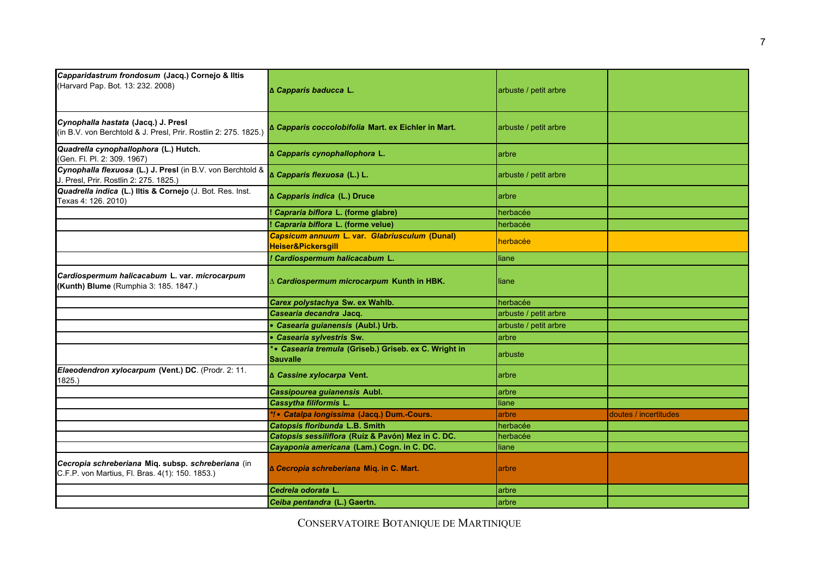| Capparidastrum frondosum (Jacq.) Cornejo & Iltis<br>(Harvard Pap. Bot. 13: 232. 2008)                  | ∆ Capparis baducca L.                                                          | arbuste / petit arbre |                       |
|--------------------------------------------------------------------------------------------------------|--------------------------------------------------------------------------------|-----------------------|-----------------------|
| Cynophalla hastata (Jacq.) J. Presl<br>(in B.V. von Berchtold & J. Presl, Prir. Rostlin 2: 275. 1825.) | ∆ Capparis coccolobifolia Mart. ex Eichler in Mart.                            | arbuste / petit arbre |                       |
| Quadrella cynophallophora (L.) Hutch.<br>(Gen. Fl. Pl. 2: 309. 1967)                                   | ∆ Capparis cynophallophora L.                                                  | arbre                 |                       |
| Cynophalla flexuosa (L.) J. Presl (in B.V. von Berchtold &<br>J. Presl, Prir. Rostlin 2: 275. 1825.)   | ∆ Capparis flexuosa (L.) L.                                                    | arbuste / petit arbre |                       |
| Quadrella indica (L.) Iltis & Cornejo (J. Bot. Res. Inst.<br>Texas 4: 126. 2010)                       | ∆ Capparis indica (L.) Druce                                                   | arbre                 |                       |
|                                                                                                        | Capraria biflora L. (forme glabre)                                             | herbacée              |                       |
|                                                                                                        | Capraria biflora L. (forme velue)                                              | herbacée              |                       |
|                                                                                                        | Capsicum annuum L. var. Glabriusculum (Dunal)<br><b>Heiser&amp;Pickersgill</b> | herbacée              |                       |
|                                                                                                        | ! Cardiospermum halicacabum L.                                                 | liane                 |                       |
| Cardiospermum halicacabum L. var. microcarpum<br>(Kunth) Blume (Rumphia 3: 185. 1847.)                 | $\Delta$ Cardiospermum microcarpum Kunth in HBK.                               | liane                 |                       |
|                                                                                                        | Carex polystachya Sw. ex Wahlb.                                                | herbacée              |                       |
|                                                                                                        | Casearia decandra Jacq.                                                        | arbuste / petit arbre |                       |
|                                                                                                        | • Casearia guianensis (Aubl.) Urb.                                             | arbuste / petit arbre |                       |
|                                                                                                        | • Casearia sylvestris Sw.                                                      | arbre                 |                       |
|                                                                                                        | *• Casearia tremula (Griseb.) Griseb. ex C. Wright in<br>Sauvalle              | arbuste               |                       |
| Elaeodendron xylocarpum (Vent.) DC. (Prodr. 2: 11.<br>1825.)                                           | ∆ Cassine xylocarpa Vent.                                                      | arbre                 |                       |
|                                                                                                        | Cassipourea guianensis Aubl.                                                   | arbre                 |                       |
|                                                                                                        | Cassytha filiformis L.                                                         | liane                 |                       |
|                                                                                                        | *! • Catalpa longissima (Jacq.) Dum.-Cours.                                    | arbre                 | doutes / incertitudes |
|                                                                                                        | Catopsis floribunda L.B. Smith                                                 | herbacée              |                       |
|                                                                                                        | Catopsis sessiliflora (Ruíz & Pavón) Mez in C. DC.                             | herbacée              |                       |
|                                                                                                        | Cayaponia americana (Lam.) Cogn. in C. DC.                                     | liane                 |                       |
| Cecropia schreberiana Miq. subsp. schreberiana (in<br>C.F.P. von Martius, Fl. Bras. 4(1): 150. 1853.)  | ∆ Cecropia schreberiana Miq. in C. Mart.                                       | arbre                 |                       |
|                                                                                                        | Cedrela odorata L.                                                             | arbre                 |                       |
|                                                                                                        | Ceiba pentandra (L.) Gaertn.                                                   | arbre                 |                       |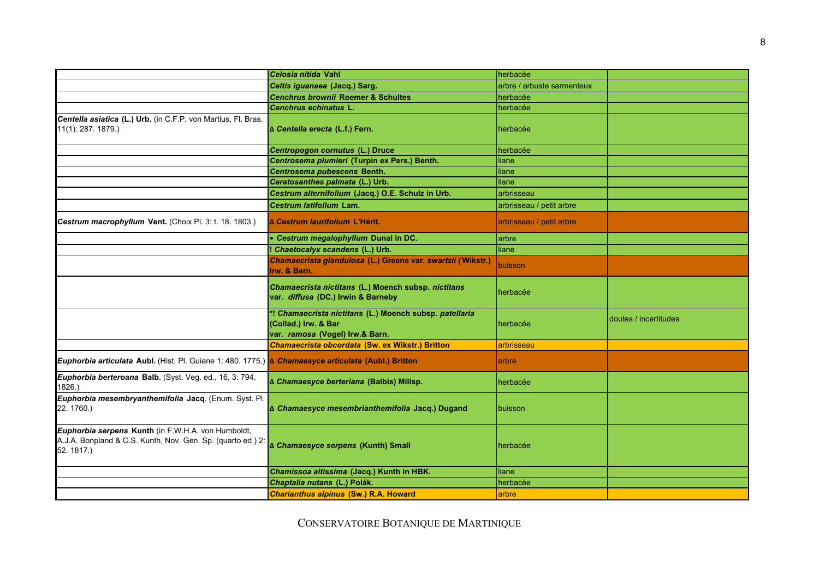|                                                                                                                                | <i><b>Celosia nitida Vahl</b></i>                                                                                  | herbacée                   |                       |
|--------------------------------------------------------------------------------------------------------------------------------|--------------------------------------------------------------------------------------------------------------------|----------------------------|-----------------------|
|                                                                                                                                | Celtis iguanaea (Jacq.) Sarg.                                                                                      | arbre / arbuste sarmenteux |                       |
|                                                                                                                                | <b>Cenchrus brownii Roemer &amp; Schultes</b>                                                                      | herbacée                   |                       |
|                                                                                                                                | Cenchrus echinatus L.                                                                                              | herbacée                   |                       |
| Centella asiatica (L.) Urb. (in C.F.P. von Martius, Fl. Bras.<br>$11(1)$ : 287. 1879.)                                         | ∆ Centella erecta (L.f.) Fern.                                                                                     | herbacée                   |                       |
|                                                                                                                                | Centropogon cornutus (L.) Druce                                                                                    | herbacée                   |                       |
|                                                                                                                                | Centrosema plumieri (Turpin ex Pers.) Benth.                                                                       | liane                      |                       |
|                                                                                                                                | Centrosema pubescens Benth.                                                                                        | liane                      |                       |
|                                                                                                                                | Ceratosanthes palmata (L.) Urb.                                                                                    | liane                      |                       |
|                                                                                                                                | Cestrum alternifolium (Jacq.) O.E. Schulz in Urb.                                                                  | arbrisseau                 |                       |
|                                                                                                                                | Cestrum latifolium Lam.                                                                                            | arbrisseau / petit arbre   |                       |
| Cestrum macrophyllum Vent. (Choix Pl. 3: t. 18. 1803.)                                                                         | Δ Cestrum laurifolium L'Hérit.                                                                                     | arbrisseau / petit arbre   |                       |
|                                                                                                                                | • Cestrum megalophyllum Dunal in DC.                                                                               | arbre                      |                       |
|                                                                                                                                | ! Chaetocalyx scandens (L.) Urb.                                                                                   | liane                      |                       |
|                                                                                                                                | Chamaecrista glandulosa (L.) Greene var. swartzii (Wikstr.)<br>Irw. & Barn.                                        | buisson                    |                       |
|                                                                                                                                | Chamaecrista nictitans (L.) Moench subsp. nictitans<br>var. diffusa (DC.) Irwin & Barneby                          | herbacée                   |                       |
|                                                                                                                                | *! Chamaecrista nictitans (L.) Moench subsp. patellaria<br>(Collad.) Irw. & Bar<br>var. ramosa (Vogel) Irw.& Barn. | herbacée                   | doutes / incertitudes |
|                                                                                                                                | Chamaecrista obcordata (Sw. ex Wikstr.) Britton                                                                    | arbrisseau                 |                       |
| Euphorbia articulata Aubl. (Hist. Pl. Guiane 1: 480. 1775.) A Chamaesyce articulata (Aubl.) Britton                            |                                                                                                                    | arbre                      |                       |
| Euphorbia berteroana Balb. (Syst. Veg. ed., 16, 3: 794.<br>1826.                                                               | ∆ Chamaesyce berteriana (Balbis) Millsp.                                                                           | herbacée                   |                       |
| Euphorbia mesembryanthemifolia Jacq. (Enum. Syst. Pl.<br>22.1760.)                                                             | ∆ Chamaesyce mesembrianthemifolia Jacq.) Dugand                                                                    | buisson                    |                       |
| Euphorbia serpens Kunth (in F.W.H.A. von Humboldt,<br>A.J.A. Bonpland & C.S. Kunth, Nov. Gen. Sp. (quarto ed.) 2:<br>52.1817.) | ∆ Chamaesyce serpens (Kunth) Small                                                                                 | herbacée                   |                       |
|                                                                                                                                | Chamissoa altissima (Jacq.) Kunth in HBK.                                                                          | liane                      |                       |
|                                                                                                                                | Chaptalia nutans (L.) Polák.                                                                                       | herbacée                   |                       |
|                                                                                                                                | <b>Charianthus alpinus (Sw.) R.A. Howard</b>                                                                       | arbre                      |                       |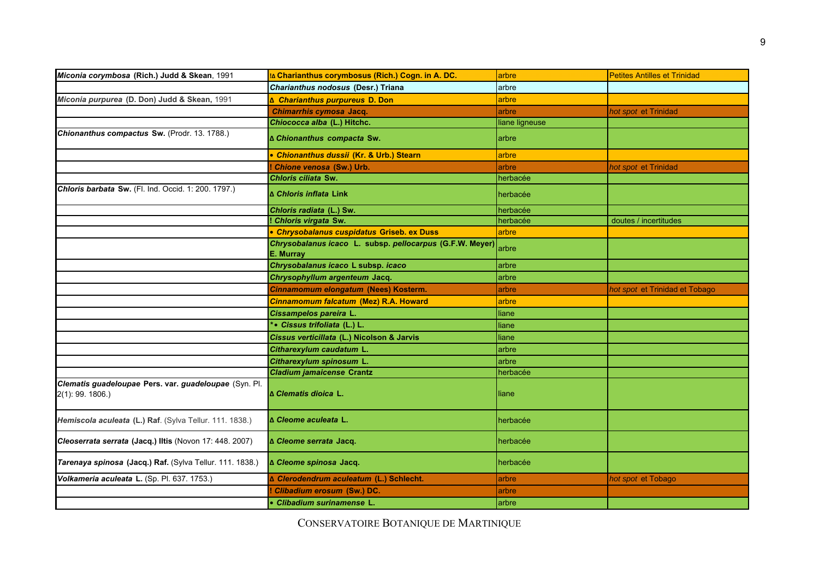| Miconia corymbosa (Rich.) Judd & Skean, 1991                                 | IA Charianthus corymbosus (Rich.) Cogn. in A. DC.                     | arbre          | <b>Petites Antilles et Trinidad</b> |
|------------------------------------------------------------------------------|-----------------------------------------------------------------------|----------------|-------------------------------------|
|                                                                              | Charianthus nodosus (Desr.) Triana                                    | arbre          |                                     |
| Miconia purpurea (D. Don) Judd & Skean, 1991                                 | ∆ Charianthus purpureus D. Don                                        | arbre          |                                     |
|                                                                              | Chimarrhis cymosa Jacq.                                               | arbre          | hot spot et Trinidad                |
|                                                                              | Chiococca alba (L.) Hitchc.                                           | liane ligneuse |                                     |
| Chionanthus compactus Sw. (Prodr. 13. 1788.)                                 | ∆ Chionanthus compacta Sw.                                            | arbre          |                                     |
|                                                                              | • Chionanthus dussii (Kr. & Urb.) Stearn                              | arbre          |                                     |
|                                                                              | Chione venosa (Sw.) Urb.                                              | arbre          | hot spot et Trinidad                |
|                                                                              | Chloris ciliata Sw.                                                   | herbacée       |                                     |
| Chloris barbata Sw. (Fl. Ind. Occid. 1: 200. 1797.)                          | ∆ Chloris inflata Link                                                | herbacée       |                                     |
|                                                                              | Chloris radiata (L.) Sw.                                              | herbacée       |                                     |
|                                                                              | ! Chloris virgata Sw.                                                 | herbacée       | doutes / incertitudes               |
|                                                                              | • Chrysobalanus cuspidatus Griseb. ex Duss                            | arbre          |                                     |
|                                                                              | Chrysobalanus icaco L. subsp. pellocarpus (G.F.W. Meyer)<br>E. Murray | arbre          |                                     |
|                                                                              | Chrysobalanus icaco L subsp. icaco                                    | arbre          |                                     |
|                                                                              | Chrysophyllum argenteum Jacq.                                         | arbre          |                                     |
|                                                                              | Cinnamomum elongatum (Nees) Kosterm.                                  | arbre          | hot spot et Trinidad et Tobago      |
|                                                                              | Cinnamomum falcatum (Mez) R.A. Howard                                 | arbre          |                                     |
|                                                                              | Cissampelos pareira L.                                                | liane          |                                     |
|                                                                              | *• Cissus trifoliata (L.) L.                                          | liane          |                                     |
|                                                                              | Cissus verticillata (L.) Nicolson & Jarvis                            | liane          |                                     |
|                                                                              | Citharexylum caudatum L.                                              | arbre          |                                     |
|                                                                              | Citharexylum spinosum L.                                              | arbre          |                                     |
|                                                                              | <b>Cladium jamaicense Crantz</b>                                      | herbacée       |                                     |
| Clematis guadeloupae Pers. var. guadeloupae (Syn. Pl.<br>$2(1)$ : 99. 1806.) | ∆ Clematis dioica L.                                                  | liane          |                                     |
| Hemiscola aculeata (L.) Raf. (Sylva Tellur. 111. 1838.)                      | ∆ Cleome aculeata L.                                                  | herbacée       |                                     |
| Cleoserrata serrata (Jacq.) Iltis (Novon 17: 448. 2007)                      | ∆ Cleome serrata Jacq.                                                | herbacée       |                                     |
| Tarenaya spinosa (Jacq.) Raf. (Sylva Tellur. 111. 1838.)                     | ∆ Cleome spinosa Jacq.                                                | herbacée       |                                     |
| Volkameria aculeata L. (Sp. Pl. 637. 1753.)                                  | ∆ Clerodendrum aculeatum (L.) Schlecht.                               | arbre          | hot spot et Tobago                  |
|                                                                              | Clibadium erosum (Sw.) DC.                                            | arbre          |                                     |
|                                                                              | • Clibadium surinamense L.                                            | arbre          |                                     |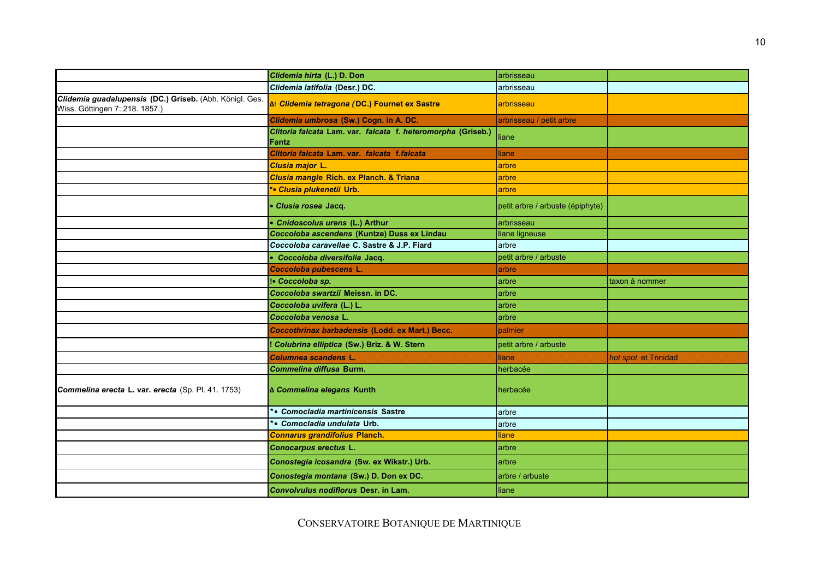|                                                                                           | Clidemia hirta (L.) D. Don                                            | arbrisseau                       |                      |
|-------------------------------------------------------------------------------------------|-----------------------------------------------------------------------|----------------------------------|----------------------|
|                                                                                           | Clidemia latifolia (Desr.) DC.                                        | arbrisseau                       |                      |
| Clidemia guadalupensis (DC.) Griseb. (Abh. Königl. Ges.<br>Wiss. Göttingen 7: 218. 1857.) | ום Clidemia tetragona (DC.) Fournet ex Sastre                         | arbrisseau                       |                      |
|                                                                                           | Clidemia umbrosa (Sw.) Cogn. in A. DC.                                | arbrisseau / petit arbre         |                      |
|                                                                                           | Clitoria falcata Lam. var. falcata f. heteromorpha (Griseb.)<br>Fantz | liane                            |                      |
|                                                                                           | Clitoria falcata Lam. var. falcata f.falcata                          | liane                            |                      |
|                                                                                           | Clusia major L.                                                       | arbre                            |                      |
|                                                                                           | Clusia mangle Rich. ex Planch. & Triana                               | arbre                            |                      |
|                                                                                           | <b>*• Clusia plukenetii Urb.</b>                                      | arbre                            |                      |
|                                                                                           | · Clusia rosea Jacq.                                                  | petit arbre / arbuste (épiphyte) |                      |
|                                                                                           | • Cnidoscolus urens (L.) Arthur                                       | arbrisseau                       |                      |
|                                                                                           | Coccoloba ascendens (Kuntze) Duss ex Lindau                           | liane ligneuse                   |                      |
|                                                                                           | Coccoloba caravellae C. Sastre & J.P. Fiard                           | arbre                            |                      |
|                                                                                           | · Coccoloba diversifolia Jacq.                                        | petit arbre / arbuste            |                      |
|                                                                                           | Coccoloba pubescens L.                                                | arbre                            |                      |
|                                                                                           | !• Coccoloba sp.                                                      | arbre                            | taxon à nommer       |
|                                                                                           | Coccoloba swartzii Meissn. in DC.                                     | arbre                            |                      |
|                                                                                           | Coccoloba uvifera (L.) L.                                             | arbre                            |                      |
|                                                                                           | Coccoloba venosa L.                                                   | arbre                            |                      |
|                                                                                           | Coccothrinax barbadensis (Lodd. ex Mart.) Becc.                       | palmier                          |                      |
|                                                                                           | ! Colubrina elliptica (Sw.) Briz. & W. Stern                          | petit arbre / arbuste            |                      |
|                                                                                           | Columnea scandens L.                                                  | liane                            | hot spot et Trinidad |
|                                                                                           | Commelina diffusa Burm.                                               | herbacée                         |                      |
| Commelina erecta L. var. erecta (Sp. Pl. 41. 1753)                                        | ∆ Commelina elegans Kunth                                             | herbacée                         |                      |
|                                                                                           | * • Comocladia martinicensis Sastre                                   | arbre                            |                      |
|                                                                                           | *• Comocladia undulata Urb.                                           | arbre                            |                      |
|                                                                                           | <b>Connarus grandifolius Planch.</b>                                  | <b>liane</b>                     |                      |
|                                                                                           | Conocarpus erectus L.                                                 | arbre                            |                      |
|                                                                                           | Conostegia icosandra (Sw. ex Wikstr.) Urb.                            | arbre                            |                      |
|                                                                                           | Conostegia montana (Sw.) D. Don ex DC.                                | arbre / arbuste                  |                      |
|                                                                                           | Convolvulus nodiflorus Desr. in Lam.                                  | liane                            |                      |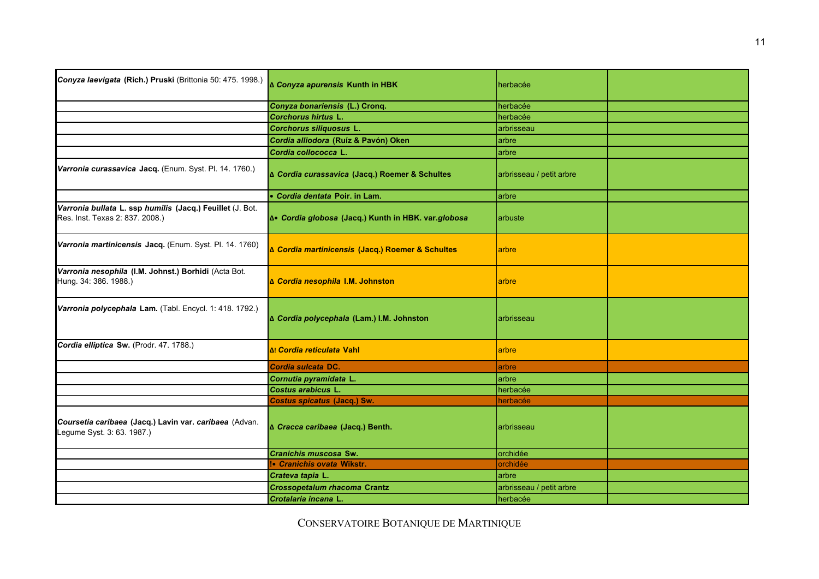| Conyza laevigata (Rich.) Pruski (Brittonia 50: 475. 1998.)                                   | ∆ Conyza apurensis Kunth in HBK                    | herbacée                 |  |
|----------------------------------------------------------------------------------------------|----------------------------------------------------|--------------------------|--|
|                                                                                              | Conyza bonariensis (L.) Cronq.                     | herbacée                 |  |
|                                                                                              | Corchorus hirtus L.                                | herbacée                 |  |
|                                                                                              | Corchorus siliquosus L.                            | arbrisseau               |  |
|                                                                                              | Cordia alliodora (Ruíz & Pavón) Oken               | arbre                    |  |
|                                                                                              | Cordia collococca L.                               | arbre                    |  |
| Varronia curassavica Jacq. (Enum. Syst. Pl. 14. 1760.)                                       | ∆ Cordia curassavica (Jacq.) Roemer & Schultes     | arbrisseau / petit arbre |  |
|                                                                                              | • Cordia dentata Poir. in Lam.                     | arbre                    |  |
| Varronia bullata L. ssp humilis (Jacq.) Feuillet (J. Bot.<br>Res. Inst. Texas 2: 837. 2008.) | ƥ Cordia globosa (Jacq.) Kunth in HBK. var.globosa | arbuste                  |  |
| Varronia martinicensis Jacq. (Enum. Syst. Pl. 14. 1760)                                      | ∆ Cordia martinicensis (Jacq.) Roemer & Schultes   | arbre                    |  |
| Varronia nesophila (I.M. Johnst.) Borhidi (Acta Bot.<br>Hung. 34: 386. 1988.)                | ∆ Cordia nesophila I.M. Johnston                   | arbre                    |  |
| Varronia polycephala Lam. (Tabl. Encycl. 1: 418. 1792.)                                      | ∆ Cordia polycephala (Lam.) I.M. Johnston          | arbrisseau               |  |
| Cordia elliptica Sw. (Prodr. 47. 1788.)                                                      | Δι Cordia reticulata Vahl                          | arbre                    |  |
|                                                                                              | Cordia sulcata DC.                                 | arbre                    |  |
|                                                                                              | Cornutia pyramidata L.                             | arbre                    |  |
|                                                                                              | Costus arabicus L.                                 | herbacée                 |  |
|                                                                                              | Costus spicatus (Jacq.) Sw.                        | herbacée                 |  |
| Coursetia caribaea (Jacq.) Lavin var. caribaea (Advan.<br>Legume Syst. 3: 63. 1987.)         | ∆ Cracca caribaea (Jacq.) Benth.                   | arbrisseau               |  |
|                                                                                              | Cranichis muscosa Sw.                              | orchidée                 |  |
|                                                                                              | <b>!</b> Cranichis ovata Wikstr.                   | orchidée                 |  |
|                                                                                              | Crateva tapia L.                                   | arbre                    |  |
|                                                                                              | <b>Crossopetalum rhacoma Crantz</b>                | arbrisseau / petit arbre |  |
|                                                                                              | Crotalaria incana L.                               | herbacée                 |  |
|                                                                                              |                                                    |                          |  |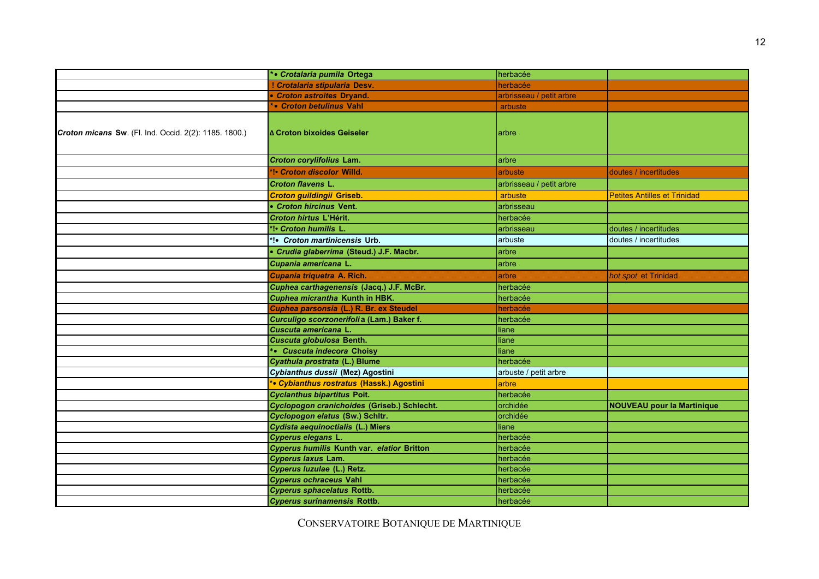|                                                       | *• Crotalaria pumila Ortega                 | herbacée                 |                                     |
|-------------------------------------------------------|---------------------------------------------|--------------------------|-------------------------------------|
|                                                       | ! Crotalaria stipularia Desv.               | herbacée                 |                                     |
|                                                       | • Croton astroites Dryand.                  | arbrisseau / petit arbre |                                     |
|                                                       | * • Croton betulinus Vahl                   | arbuste                  |                                     |
| Croton micans Sw. (Fl. Ind. Occid. 2(2): 1185. 1800.) | ∆ Croton bixoides Geiseler                  | larbre                   |                                     |
|                                                       | Croton corylifolius Lam.                    | arbre                    |                                     |
|                                                       | *!• Croton discolor Willd.                  | arbuste                  | doutes / incertitudes               |
|                                                       | <b>Croton flavens L.</b>                    | arbrisseau / petit arbre |                                     |
|                                                       | Croton guildingii Griseb.                   | arbuste                  | <b>Petites Antilles et Trinidad</b> |
|                                                       | • Croton hircinus Vent.                     | arbrisseau               |                                     |
|                                                       | Croton hirtus L'Hérit.                      | herbacée                 |                                     |
|                                                       | *!• Croton humilis L.                       | arbrisseau               | doutes / incertitudes               |
|                                                       | *!• Croton martinicensis Urb.               | arbuste                  | doutes / incertitudes               |
|                                                       | • Crudia glaberrima (Steud.) J.F. Macbr.    | arbre                    |                                     |
|                                                       | Cupania americana L.                        | arbre                    |                                     |
|                                                       | Cupania triquetra A. Rich.                  | arbre                    | hot spot et Trinidad                |
|                                                       | Cuphea carthagenensis (Jacq.) J.F. McBr.    | herbacée                 |                                     |
|                                                       | Cuphea micrantha Kunth in HBK.              | herbacée                 |                                     |
|                                                       | Cuphea parsonsia (L.) R. Br. ex Steudel     | herbacée                 |                                     |
|                                                       | Curculigo scorzonerifoli a (Lam.) Baker f.  | herbacée                 |                                     |
|                                                       | Cuscuta americana L.                        | liane                    |                                     |
|                                                       | Cuscuta globulosa Benth.                    | liane                    |                                     |
|                                                       | *• Cuscuta indecora Choisy                  | liane                    |                                     |
|                                                       | Cyathula prostrata (L.) Blume               | herbacée                 |                                     |
|                                                       | Cybianthus dussii (Mez) Agostini            | arbuste / petit arbre    |                                     |
|                                                       | *• Cybianthus rostratus (Hassk.) Agostini   | arbre                    |                                     |
|                                                       | <b>Cyclanthus bipartitus Poit.</b>          | herbacée                 |                                     |
|                                                       | Cyclopogon cranichoides (Griseb.) Schlecht. | orchidée                 | <b>NOUVEAU pour la Martinique</b>   |
|                                                       | Cyclopogon elatus (Sw.) Schltr.             | orchidée                 |                                     |
|                                                       | Cydista aequinoctialis (L.) Miers           | liane                    |                                     |
|                                                       | Cyperus elegans L.                          | herbacée                 |                                     |
|                                                       | Cyperus humilis Kunth var. elatior Britton  | herbacée                 |                                     |
|                                                       | Cyperus laxus Lam.                          | herbacée                 |                                     |
|                                                       | Cyperus luzulae (L.) Retz.                  | herbacée                 |                                     |
|                                                       | <b>Cyperus ochraceus Vahl</b>               | herbacée                 |                                     |
|                                                       | <b>Cyperus sphacelatus Rottb.</b>           | herbacée                 |                                     |
|                                                       | <b>Cyperus surinamensis Rottb.</b>          | herbacée                 |                                     |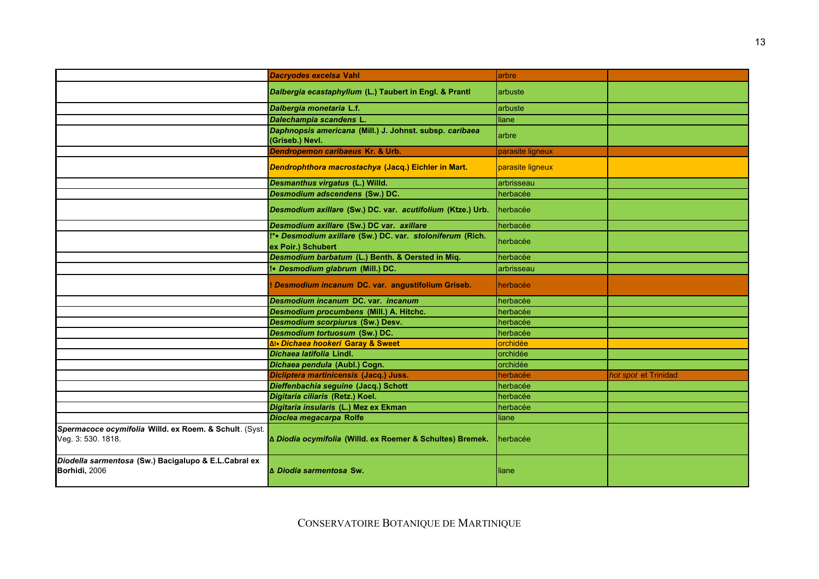|                                                                              | Dacryodes excelsa Vahl                                                          | arbre            |                      |
|------------------------------------------------------------------------------|---------------------------------------------------------------------------------|------------------|----------------------|
|                                                                              | Dalbergia ecastaphyllum (L.) Taubert in Engl. & Prantl                          | arbuste          |                      |
|                                                                              | Dalbergia monetaria L.f.                                                        | arbuste          |                      |
|                                                                              | Dalechampia scandens L.                                                         | liane            |                      |
|                                                                              | Daphnopsis americana (Mill.) J. Johnst. subsp. caribaea<br>(Griseb.) Nevl.      | arbre            |                      |
|                                                                              | Dendropemon caribaeus Kr. & Urb.                                                | parasite ligneux |                      |
|                                                                              | Dendrophthora macrostachya (Jacq.) Eichler in Mart.                             | parasite ligneux |                      |
|                                                                              | Desmanthus virgatus (L.) Willd.                                                 | arbrisseau       |                      |
|                                                                              | Desmodium adscendens (Sw.) DC.                                                  | herbacée         |                      |
|                                                                              | Desmodium axillare (Sw.) DC. var. acutifolium (Ktze.) Urb.                      | herbacée         |                      |
|                                                                              | Desmodium axillare (Sw.) DC var. axillare                                       | herbacée         |                      |
|                                                                              | !*• Desmodium axillare (Sw.) DC. var. stoloniferum (Rich.<br>ex Poir.) Schubert | herbacée         |                      |
|                                                                              | Desmodium barbatum (L.) Benth. & Oersted in Miq.                                | herbacée         |                      |
|                                                                              | !• Desmodium glabrum (Mill.) DC.                                                | arbrisseau       |                      |
|                                                                              | Desmodium incanum DC. var. angustifolium Griseb.                                | herbacée         |                      |
|                                                                              | Desmodium incanum DC, var. incanum                                              | herbacée         |                      |
|                                                                              | Desmodium procumbens (Mill.) A. Hitchc.                                         | herbacée         |                      |
|                                                                              | <b>Desmodium scorpiurus (Sw.) Desv.</b>                                         | herbacée         |                      |
|                                                                              | Desmodium tortuosum (Sw.) DC.                                                   | herbacée         |                      |
|                                                                              | ∆!• Dichaea hookeri Garay & Sweet                                               | orchidée         |                      |
|                                                                              | Dichaea latifolia Lindl.                                                        | orchidée         |                      |
|                                                                              | Dichaea pendula (Aubl.) Cogn.                                                   | orchidée         |                      |
|                                                                              | Dicliptera martinicensis (Jacq.) Juss.                                          | herbacée         | hot spot et Trinidad |
|                                                                              | Dieffenbachia seguine (Jacq.) Schott                                            | herbacée         |                      |
|                                                                              | Digitaria ciliaris (Retz.) Koel.                                                | herbacée         |                      |
|                                                                              | Digitaria insularis (L.) Mez ex Ekman                                           | herbacée         |                      |
|                                                                              | Dioclea megacarpa Rolfe                                                         | liane            |                      |
| Spermacoce ocymifolia Willd. ex Roem. & Schult. (Syst.<br>Veg. 3: 530. 1818. | ∆ Diodia ocymifolia (Willd. ex Roemer & Schultes) Bremek.                       | herbacée         |                      |
| Diodella sarmentosa (Sw.) Bacigalupo & E.L.Cabral ex<br>Borhidi, 2006        | <b>A</b> Diodia sarmentosa Sw.                                                  | liane            |                      |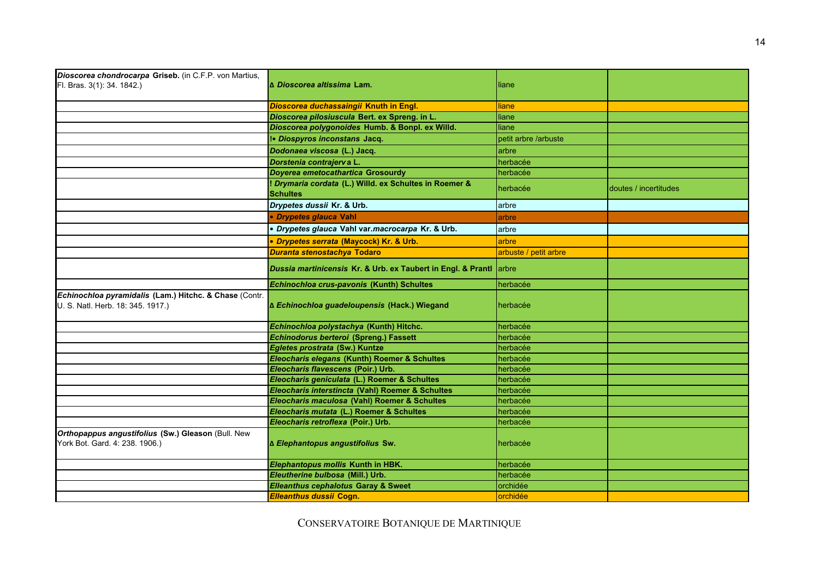| Dioscorea chondrocarpa Griseb. (in C.F.P. von Martius,                                      |                                                                           |                       |                       |
|---------------------------------------------------------------------------------------------|---------------------------------------------------------------------------|-----------------------|-----------------------|
| Fl. Bras. 3(1): 34. 1842.)                                                                  | l∆ <i>Dioscorea altissima</i> Lam.                                        | liane                 |                       |
|                                                                                             | Dioscorea duchassaingii Knuth in Engl.                                    | liane                 |                       |
|                                                                                             | Dioscorea pilosiuscula Bert. ex Spreng. in L.                             | liane                 |                       |
|                                                                                             | Dioscorea polygonoides Humb. & Bonpl. ex Willd.                           | liane                 |                       |
|                                                                                             | !• Diospyros inconstans Jacq.                                             | petit arbre /arbuste  |                       |
|                                                                                             | Dodonaea viscosa (L.) Jacq.                                               | larbre                |                       |
|                                                                                             | Dorstenia contrajerva L.                                                  | herbacée              |                       |
|                                                                                             | Doyerea emetocathartica Grosourdy                                         | herbacée              |                       |
|                                                                                             | ! Drymaria cordata (L.) Willd. ex Schultes in Roemer &<br><b>Schultes</b> | herbacée              | doutes / incertitudes |
|                                                                                             | Drypetes dussii Kr. & Urb.                                                | arbre                 |                       |
|                                                                                             | • Drypetes glauca Vahl                                                    | arbre                 |                       |
|                                                                                             | · Drypetes glauca Vahl var.macrocarpa Kr. & Urb.                          | arbre                 |                       |
|                                                                                             | · Drypetes serrata (Maycock) Kr. & Urb.                                   | arbre                 |                       |
|                                                                                             | Duranta stenostachya Todaro                                               | arbuste / petit arbre |                       |
|                                                                                             | Dussia martinicensis Kr. & Urb. ex Taubert in Engl. & Prantl arbre        |                       |                       |
|                                                                                             | Echinochloa crus-pavonis (Kunth) Schultes                                 | herbacée              |                       |
| Echinochloa pyramidalis (Lam.) Hitchc. & Chase (Contr.<br>U. S. Natl. Herb. 18: 345. 1917.) | ∆ Echinochloa guadeloupensis (Hack.) Wiegand                              | herbacée              |                       |
|                                                                                             | Echinochloa polystachya (Kunth) Hitchc.                                   | herbacée              |                       |
|                                                                                             | Echinodorus berteroi (Spreng.) Fassett                                    | herbacée              |                       |
|                                                                                             | Egletes prostrata (Sw.) Kuntze                                            | herbacée              |                       |
|                                                                                             | Eleocharis elegans (Kunth) Roemer & Schultes                              | herbacée              |                       |
|                                                                                             | Eleocharis flavescens (Poir.) Urb.                                        | herbacée              |                       |
|                                                                                             | Eleocharis geniculata (L.) Roemer & Schultes                              | herbacée              |                       |
|                                                                                             | Eleocharis interstincta (Vahl) Roemer & Schultes                          | herbacée              |                       |
|                                                                                             | Eleocharis maculosa (Vahl) Roemer & Schultes                              | herbacée              |                       |
|                                                                                             | Eleocharis mutata (L.) Roemer & Schultes                                  | herbacée              |                       |
|                                                                                             | Eleocharis retroflexa (Poir.) Urb.                                        | herbacée              |                       |
| Orthopappus angustifolius (Sw.) Gleason (Bull. New<br>York Bot. Gard. 4: 238. 1906.)        | ∆ Elephantopus angustifolius Sw.                                          | herbacée              |                       |
|                                                                                             | Elephantopus mollis Kunth in HBK.                                         | herbacée              |                       |
|                                                                                             | Eleutherine bulbosa (Mill.) Urb.                                          | herbacée              |                       |
|                                                                                             | <b>Elleanthus cephalotus Garay &amp; Sweet</b>                            | orchidée              |                       |
|                                                                                             | Elleanthus dussii Cogn.                                                   | orchidée              |                       |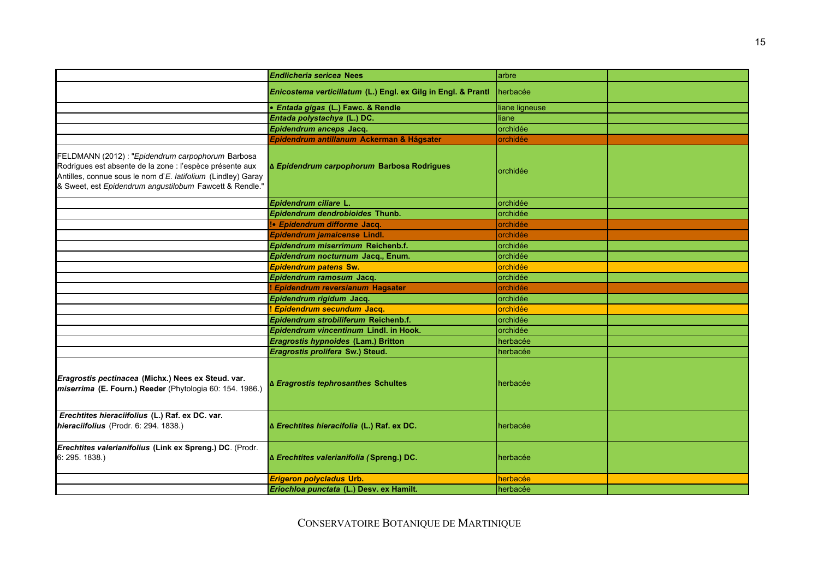|                                                                                                                                                                                                                                          | <b>Endlicheria sericea Nees</b>                               | arbre          |  |
|------------------------------------------------------------------------------------------------------------------------------------------------------------------------------------------------------------------------------------------|---------------------------------------------------------------|----------------|--|
|                                                                                                                                                                                                                                          | Enicostema verticillatum (L.) Engl. ex Gilg in Engl. & Prantl | herbacée       |  |
|                                                                                                                                                                                                                                          | • Entada gigas (L.) Fawc. & Rendle                            | liane ligneuse |  |
|                                                                                                                                                                                                                                          | Entada polystachya (L.) DC.                                   | liane          |  |
|                                                                                                                                                                                                                                          | Epidendrum anceps Jacq.                                       | orchidée       |  |
|                                                                                                                                                                                                                                          | Epidendrum antillanum Ackerman & Hágsater                     | orchidée       |  |
| FELDMANN (2012) : "Epidendrum carpophorum Barbosa<br>Rodrigues est absente de la zone : l'espèce présente aux<br>Antilles, connue sous le nom d'E. latifolium (Lindley) Garay<br>& Sweet, est Epidendrum angustilobum Fawcett & Rendle." | ∆ Epidendrum carpophorum Barbosa Rodrigues                    | orchidée       |  |
|                                                                                                                                                                                                                                          | Epidendrum ciliare L.                                         | orchidée       |  |
|                                                                                                                                                                                                                                          | Epidendrum dendrobioides Thunb.                               | orchidée       |  |
|                                                                                                                                                                                                                                          | !• Epidendrum difforme Jacq.                                  | orchidée       |  |
|                                                                                                                                                                                                                                          | Epidendrum jamaicense Lindl.                                  | orchidée       |  |
|                                                                                                                                                                                                                                          | Epidendrum miserrimum Reichenb.f.                             | orchidée       |  |
|                                                                                                                                                                                                                                          | Epidendrum nocturnum Jacq., Enum.                             | orchidée       |  |
|                                                                                                                                                                                                                                          | <b>Epidendrum patens Sw.</b>                                  | orchidée       |  |
|                                                                                                                                                                                                                                          | Epidendrum ramosum Jacq.                                      | orchidée       |  |
|                                                                                                                                                                                                                                          | ! Epidendrum reversianum Hagsater                             | orchidée       |  |
|                                                                                                                                                                                                                                          | Epidendrum rigidum Jacq.                                      | orchidée       |  |
|                                                                                                                                                                                                                                          | <b>Epidendrum secundum Jacq.</b>                              | orchidée       |  |
|                                                                                                                                                                                                                                          | Epidendrum strobiliferum Reichenb.f.                          | orchidée       |  |
|                                                                                                                                                                                                                                          | Epidendrum vincentinum Lindl. in Hook.                        | orchidée       |  |
|                                                                                                                                                                                                                                          | Eragrostis hypnoides (Lam.) Britton                           | herbacée       |  |
|                                                                                                                                                                                                                                          | Eragrostis prolifera Sw.) Steud.                              | herbacée       |  |
| Eragrostis pectinacea (Michx.) Nees ex Steud. var.<br>miserrima (E. Fourn.) Reeder (Phytologia 60: 154. 1986.)                                                                                                                           | ∆ Eragrostis tephrosanthes Schultes                           | herbacée       |  |
| Erechtites hieraciifolius (L.) Raf. ex DC. var.<br>hieraciifolius (Prodr. 6: 294. 1838.)                                                                                                                                                 | Δ Erechtites hieracifolia (L.) Raf. ex DC.                    | herbacée       |  |
| Erechtites valerianifolius (Link ex Spreng.) DC. (Prodr.<br>6: 295. 1838.                                                                                                                                                                | ∆ Erechtites valerianifolia (Spreng.) DC.                     | herbacée       |  |
|                                                                                                                                                                                                                                          | Erigeron polycladus Urb.                                      | herbacée       |  |
|                                                                                                                                                                                                                                          | Eriochloa punctata (L.) Desv. ex Hamilt.                      | herbacée       |  |
|                                                                                                                                                                                                                                          |                                                               |                |  |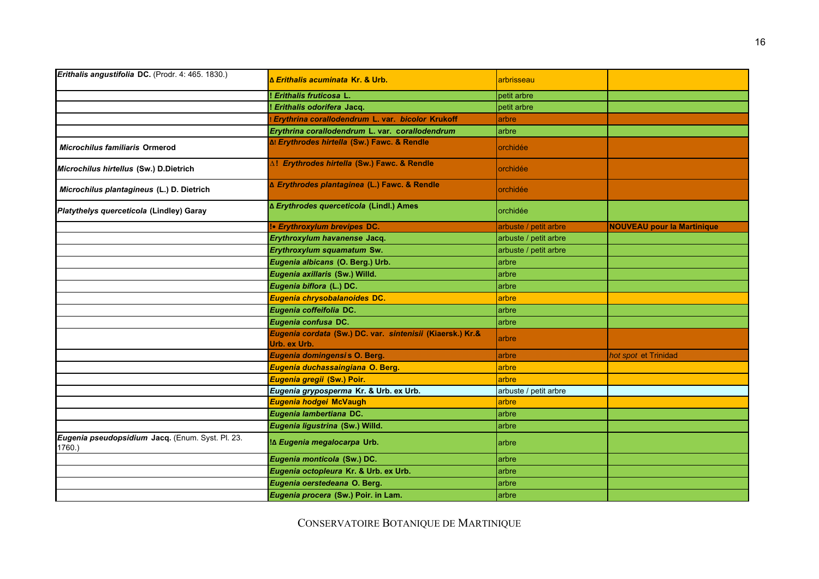| Erithalis angustifolia DC. (Prodr. 4: 465. 1830.)         | <u>l∆ Erithalis acuminata Kr. &amp; Urb.</u>                              | arbrisseau            |                                   |
|-----------------------------------------------------------|---------------------------------------------------------------------------|-----------------------|-----------------------------------|
|                                                           | ! Erithalis fruticosa L.                                                  | petit arbre           |                                   |
|                                                           | ! Erithalis odorifera Jacq.                                               | petit arbre           |                                   |
|                                                           | Erythrina corallodendrum L. var. bicolor Krukoff                          | arbre                 |                                   |
|                                                           | Erythrina corallodendrum L. var. corallodendrum                           | arbre                 |                                   |
| <b>Microchilus familiaris Ormerod</b>                     | ∆! Erythrodes hirtella (Sw.) Fawc. & Rendle                               | orchidée              |                                   |
| Microchilus hirtellus (Sw.) D.Dietrich                    | ∆! Erythrodes hirtella (Sw.) Fawc. & Rendle                               | orchidée              |                                   |
| Microchilus plantagineus (L.) D. Dietrich                 | ∆ Erythrodes plantaginea (L.) Fawc. & Rendle                              | orchidée              |                                   |
| Platythelys querceticola (Lindley) Garay                  | ∆ Erythrodes querceticola (Lindl.) Ames                                   | orchidée              |                                   |
|                                                           | !• Erythroxylum brevipes DC.                                              | arbuste / petit arbre | <b>NOUVEAU pour la Martinique</b> |
|                                                           | Erythroxylum havanense Jacq.                                              | arbuste / petit arbre |                                   |
|                                                           | Erythroxylum squamatum Sw.                                                | arbuste / petit arbre |                                   |
|                                                           | Eugenia albicans (O. Berg.) Urb.                                          | arbre                 |                                   |
|                                                           | Eugenia axillaris (Sw.) Willd.                                            | arbre                 |                                   |
|                                                           | Eugenia biflora (L.) DC.                                                  | arbre                 |                                   |
|                                                           | Eugenia chrysobalanoides DC.                                              | arbre                 |                                   |
|                                                           | Eugenia coffeifolia DC.                                                   | arbre                 |                                   |
|                                                           | Eugenia confusa DC.                                                       | arbre                 |                                   |
|                                                           | Eugenia cordata (Sw.) DC. var. sintenisii (Kiaersk.) Kr.&<br>Urb. ex Urb. | arbre                 |                                   |
|                                                           | Eugenia domingensis O. Berg.                                              | arbre                 | hot spot et Trinidad              |
|                                                           | Eugenia duchassaingiana O. Berg.                                          | arbre                 |                                   |
|                                                           | Eugenia gregii (Sw.) Poir.                                                | arbre                 |                                   |
|                                                           | Eugenia gryposperma Kr. & Urb. ex Urb.                                    | arbuste / petit arbre |                                   |
|                                                           | Eugenia hodgei McVaugh                                                    | arbre                 |                                   |
|                                                           | Eugenia lambertiana DC.                                                   | arbre                 |                                   |
|                                                           | Eugenia ligustrina (Sw.) Willd.                                           | arbre                 |                                   |
| Eugenia pseudopsidium Jacq. (Enum. Syst. Pl. 23.<br>1760. | ‼∆ Eugenia megalocarpa Urb.                                               | arbre                 |                                   |
|                                                           | Eugenia monticola (Sw.) DC.                                               | arbre                 |                                   |
|                                                           | Eugenia octopleura Kr. & Urb. ex Urb.                                     | arbre                 |                                   |
|                                                           | Eugenia oerstedeana O. Berg.                                              | arbre                 |                                   |
|                                                           | Eugenia procera (Sw.) Poir. in Lam.                                       | arbre                 |                                   |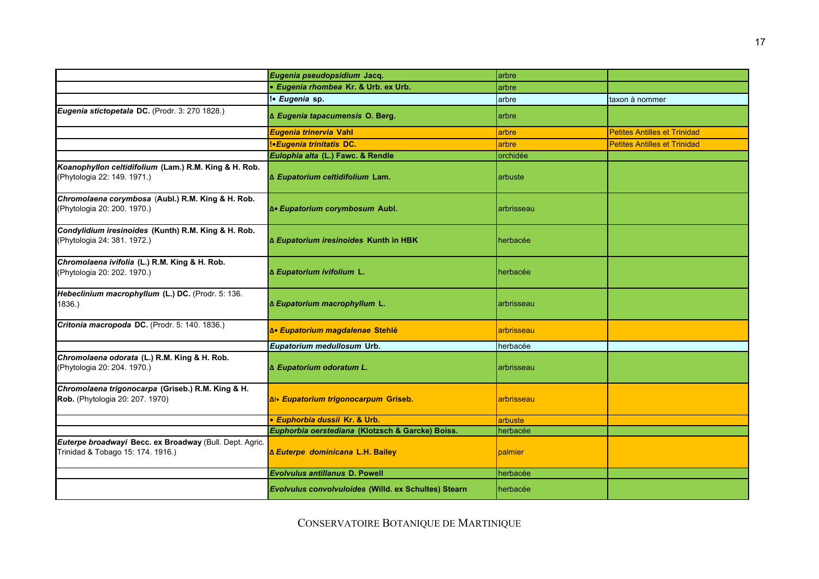|                                                                                              | Eugenia pseudopsidium Jacq.                          | arbre      |                                     |
|----------------------------------------------------------------------------------------------|------------------------------------------------------|------------|-------------------------------------|
|                                                                                              | · Eugenia rhombea Kr. & Urb. ex Urb.                 | arbre      |                                     |
|                                                                                              | !• Eugenia sp.                                       | arbre      | taxon à nommer                      |
| Eugenia stictopetala DC. (Prodr. 3: 270 1828.)                                               | ∆ Eugenia tapacumensis O. Berg.                      | arbre      |                                     |
|                                                                                              | Eugenia trinervia Vahl                               | arbre      | <b>Petites Antilles et Trinidad</b> |
|                                                                                              | <b>!• Eugenia trinitatis DC.</b>                     | arbre      | <b>Petites Antilles et Trinidad</b> |
|                                                                                              | Eulophia alta (L.) Fawc. & Rendle                    | orchidée   |                                     |
| Koanophyllon celtidifolium (Lam.) R.M. King & H. Rob.<br>(Phytologia 22: 149. 1971.)         | ∆ Eupatorium celtidifolium Lam.                      | arbuste    |                                     |
| Chromolaena corymbosa (Aubl.) R.M. King & H. Rob.<br>(Phytologia 20: 200. 1970.)             | ƥ Eupatorium corymbosum Aubl.                        | arbrisseau |                                     |
| Condylidium iresinoides (Kunth) R.M. King & H. Rob.<br>(Phytologia 24: 381. 1972.)           | ∆ Eupatorium iresinoides Kunth in HBK                | herbacée   |                                     |
| Chromolaena ivifolia (L.) R.M. King & H. Rob.<br>(Phytologia 20: 202. 1970.)                 | ∆ Eupatorium ivifolium L.                            | herbacée   |                                     |
| Hebeclinium macrophyllum (L.) DC. (Prodr. 5: 136.<br>1836.)                                  | ∆ Eupatorium macrophyllum L.                         | arbrisseau |                                     |
| Critonia macropoda DC. (Prodr. 5: 140. 1836.)                                                | ∆• Eupatorium magdalenae Stehlé                      | arbrisseau |                                     |
|                                                                                              | Eupatorium medullosum Urb.                           | herbacée   |                                     |
| Chromolaena odorata (L.) R.M. King & H. Rob.<br>(Phytologia 20: 204. 1970.)                  | ∆ Eupatorium odoratum L.                             | arbrisseau |                                     |
| Chromolaena trigonocarpa (Griseb.) R.M. King & H.<br>Rob. (Phytologia 20: 207. 1970)         | ∆!• Eupatorium trigonocarpum Griseb.                 | arbrisseau |                                     |
|                                                                                              | • Euphorbia dussii Kr. & Urb.                        | arbuste    |                                     |
|                                                                                              | Euphorbia oerstediana (Klotzsch & Garcke) Boiss.     | herbacée   |                                     |
| Euterpe broadwayi Becc. ex Broadway (Bull. Dept. Agric.<br>Trinidad & Tobago 15: 174. 1916.) | <b>∆ Euterpe dominicana L.H. Bailey</b>              | palmier    |                                     |
|                                                                                              | <b>Evolvulus antillanus D. Powell</b>                | herbacée   |                                     |
|                                                                                              | Evolvulus convolvuloides (Willd. ex Schultes) Stearn | herbacée   |                                     |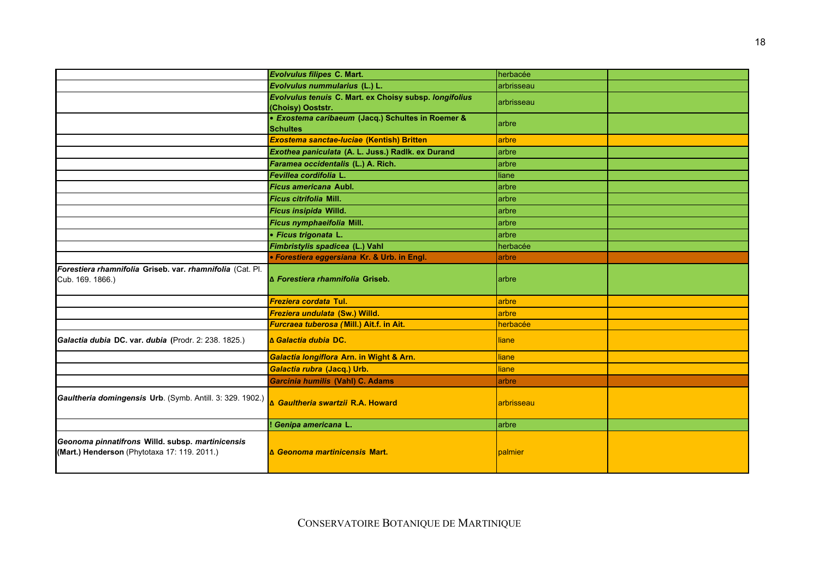|                                                                                                    | Evolvulus filipes C. Mart.                             | herbacée     |  |
|----------------------------------------------------------------------------------------------------|--------------------------------------------------------|--------------|--|
|                                                                                                    | Evolvulus nummularius (L.) L.                          | arbrisseau   |  |
|                                                                                                    | Evolvulus tenuis C. Mart. ex Choisy subsp. longifolius | arbrisseau   |  |
|                                                                                                    | (Choisy) Ooststr.                                      |              |  |
|                                                                                                    | • Exostema caribaeum (Jacq.) Schultes in Roemer &      | arbre        |  |
|                                                                                                    | <b>Schultes</b>                                        |              |  |
|                                                                                                    | Exostema sanctae-luciae (Kentish) Britten              | arbre        |  |
|                                                                                                    | Exothea paniculata (A. L. Juss.) Radlk. ex Durand      | arbre        |  |
|                                                                                                    | Faramea occidentalis (L.) A. Rich.                     | arbre        |  |
|                                                                                                    | Fevillea cordifolia L.                                 | liane        |  |
|                                                                                                    | Ficus americana Aubl.                                  | arbre        |  |
|                                                                                                    | <i><b>Ficus citrifolia Mill.</b></i>                   | arbre        |  |
|                                                                                                    | Ficus insipida Willd.                                  | arbre        |  |
|                                                                                                    | Ficus nymphaeifolia Mill.                              | arbre        |  |
|                                                                                                    | · Ficus trigonata L.                                   | arbre        |  |
|                                                                                                    | Fimbristylis spadicea (L.) Vahl                        | herbacée     |  |
|                                                                                                    | • Forestiera eggersiana Kr. & Urb. in Engl.            | arbre        |  |
| Forestiera rhamnifolia Griseb. var. rhamnifolia (Cat. Pl.<br>Cub. 169. 1866.)                      | A Forestiera rhamnifolia Griseb.                       | arbre        |  |
|                                                                                                    | Freziera cordata Tul.                                  | arbre        |  |
|                                                                                                    | Freziera undulata (Sw.) Willd.                         | arbre        |  |
|                                                                                                    | Furcraea tuberosa (Mill.) Ait.f. in Ait.               | herbacée     |  |
| Galactia dubia DC. var. dubia (Prodr. 2: 238. 1825.)                                               | A Galactia dubia DC.                                   | liane        |  |
|                                                                                                    | Galactia longiflora Arn. in Wight & Arn.               | liane        |  |
|                                                                                                    | Galactia rubra (Jacq.) Urb.                            | <b>liane</b> |  |
|                                                                                                    | Garcinia humilis (Vahl) C. Adams                       | arbre        |  |
| Gaultheria domingensis Urb. (Symb. Antill. 3: 329. 1902.) <b>A Gaultheria swartzii R.A. Howard</b> |                                                        | arbrisseau   |  |
|                                                                                                    | ! Genipa americana L.                                  | arbre        |  |
| Geonoma pinnatifrons Willd. subsp. martinicensis<br>(Mart.) Henderson (Phytotaxa 17: 119. 2011.)   | <b>∆ Geonoma martinicensis Mart.</b>                   | palmier      |  |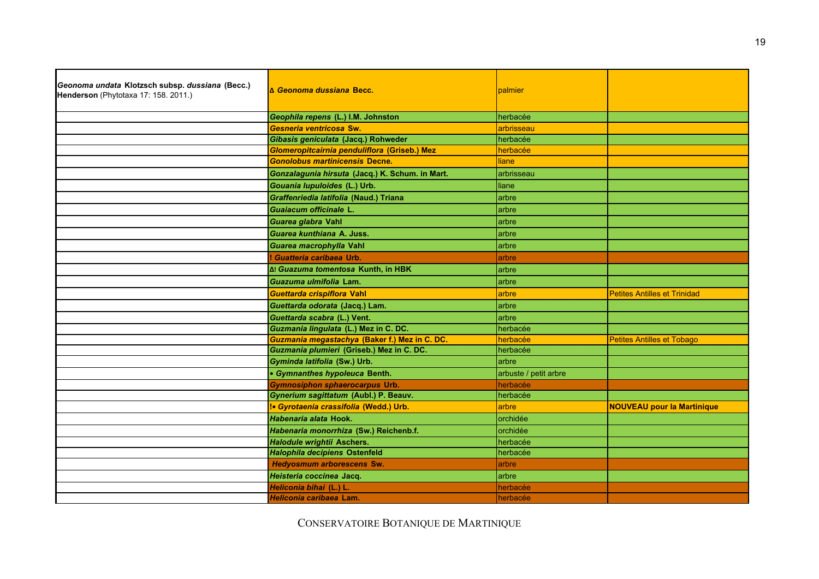| Geonoma undata Klotzsch subsp. dussiana (Becc.)<br>Henderson (Phytotaxa 17: 158. 2011.) | <b>A Geonoma dussiana Becc.</b>                 | palmier               |                                     |
|-----------------------------------------------------------------------------------------|-------------------------------------------------|-----------------------|-------------------------------------|
|                                                                                         | Geophila repens (L.) I.M. Johnston              | herbacée              |                                     |
|                                                                                         | Gesneria ventricosa Sw.                         | arbrisseau            |                                     |
|                                                                                         | Gibasis geniculata (Jacq.) Rohweder             | herbacée              |                                     |
|                                                                                         | Glomeropitcairnia penduliflora (Griseb.) Mez    | herbacée              |                                     |
|                                                                                         | <b>Gonolobus martinicensis Decne.</b>           | liane                 |                                     |
|                                                                                         | Gonzalagunia hirsuta (Jacq.) K. Schum. in Mart. | arbrisseau            |                                     |
|                                                                                         | Gouania lupuloides (L.) Urb.                    | liane                 |                                     |
|                                                                                         | Graffenriedia latifolia (Naud.) Triana          | arbre                 |                                     |
|                                                                                         | Guaiacum officinale L.                          | arbre                 |                                     |
|                                                                                         | Guarea glabra Vahl                              | arbre                 |                                     |
|                                                                                         | <i>Guarea kunthiana</i> A. Juss.                | arbre                 |                                     |
|                                                                                         | Guarea macrophylla Vahl                         | arbre                 |                                     |
|                                                                                         | Guatteria caribaea Urb.                         | arbre                 |                                     |
|                                                                                         | I Guazuma tomentosa Kunth, in HBK               | arbre                 |                                     |
|                                                                                         | Guazuma ulmifolia Lam.                          | arbre                 |                                     |
|                                                                                         | Guettarda crispiflora Vahl                      | arbre                 | <b>Petites Antilles et Trinidad</b> |
|                                                                                         | Guettarda odorata (Jacq.) Lam.                  | arbre                 |                                     |
|                                                                                         | Guettarda scabra (L.) Vent.                     | arbre                 |                                     |
|                                                                                         | Guzmania lingulata (L.) Mez in C. DC.           | herbacée              |                                     |
|                                                                                         | Guzmania megastachya (Baker f.) Mez in C. DC.   | herbacée              | <b>Petites Antilles et Tobago</b>   |
|                                                                                         | Guzmania plumieri (Griseb.) Mez in C. DC.       | herbacée              |                                     |
|                                                                                         | Gyminda latifolia (Sw.) Urb.                    | arbre                 |                                     |
|                                                                                         | · Gymnanthes hypoleuca Benth.                   | arbuste / petit arbre |                                     |
|                                                                                         | Gymnosiphon sphaerocarpus Urb.                  | herbacée              |                                     |
|                                                                                         | Gynerium sagittatum (Aubl.) P. Beauv.           | herbacée              |                                     |
|                                                                                         | <b>· Gyrotaenia crassifolia (Wedd.) Urb.</b>    | arbre                 | <b>NOUVEAU pour la Martinique</b>   |
|                                                                                         | Habenaria alata Hook.                           | orchidée              |                                     |
|                                                                                         | Habenaria monorrhiza (Sw.) Reichenb.f.          | orchidée              |                                     |
|                                                                                         | <b>Halodule wrightii Aschers.</b>               | herbacée              |                                     |
|                                                                                         | Halophila decipiens Ostenfeld                   | herbacée              |                                     |
|                                                                                         | <b>Hedyosmum arborescens Sw.</b>                | arbre                 |                                     |
|                                                                                         | Heisteria coccinea Jacq.                        | arbre                 |                                     |
|                                                                                         | Heliconia bihai (L.) L.                         | herbacée              |                                     |
|                                                                                         | Heliconia caribaea Lam.                         | herbacée              |                                     |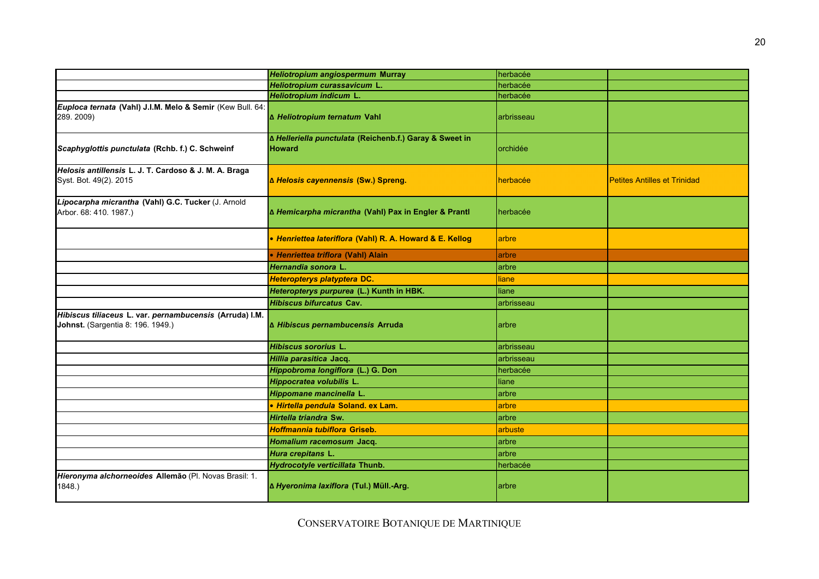|                                                                                              | Heliotropium angiospermum Murray                                         | herbacée   |                                     |
|----------------------------------------------------------------------------------------------|--------------------------------------------------------------------------|------------|-------------------------------------|
|                                                                                              | Heliotropium curassavicum L.                                             | herbacée   |                                     |
|                                                                                              | Heliotropium indicum L.                                                  | herbacée   |                                     |
| Euploca ternata (Vahl) J.I.M. Melo & Semir (Kew Bull. 64:<br>289. 2009)                      | ∆ Heliotropium ternatum Vahl                                             | arbrisseau |                                     |
| Scaphyglottis punctulata (Rchb. f.) C. Schweinf                                              | ∆ Helleriella punctulata (Reichenb.f.) Garay & Sweet in<br><b>Howard</b> | orchidée   |                                     |
| Helosis antillensis L. J. T. Cardoso & J. M. A. Braga<br>Syst. Bot. 49(2). 2015              | ∆ Helosis cayennensis (Sw.) Spreng.                                      | herbacée   | <b>Petites Antilles et Trinidad</b> |
| Lipocarpha micrantha (Vahl) G.C. Tucker (J. Arnold<br>Arbor. 68: 410. 1987.)                 | ∆ Hemicarpha micrantha (Vahl) Pax in Engler & Prantl                     | herbacée   |                                     |
|                                                                                              | • Henriettea lateriflora (Vahl) R. A. Howard & E. Kellog                 | arbre      |                                     |
|                                                                                              | • Henriettea triflora (Vahl) Alain                                       | arbre      |                                     |
|                                                                                              | Hernandia sonora L                                                       | arbre      |                                     |
|                                                                                              | Heteropterys platyptera DC.                                              | liane      |                                     |
|                                                                                              | Heteropterys purpurea (L.) Kunth in HBK.                                 | liane      |                                     |
|                                                                                              | Hibiscus bifurcatus Cav.                                                 | arbrisseau |                                     |
| Hibiscus tiliaceus L. var. pernambucensis (Arruda) I.M.<br>Johnst. (Sargentia 8: 196. 1949.) | ∆ Hibiscus pernambucensis Arruda                                         | arbre      |                                     |
|                                                                                              | Hibiscus sororius L.                                                     | arbrisseau |                                     |
|                                                                                              | Hillia parasitica Jacq.                                                  | arbrisseau |                                     |
|                                                                                              | Hippobroma longiflora (L.) G. Don                                        | herbacée   |                                     |
|                                                                                              | Hippocratea volubilis L.                                                 | liane      |                                     |
|                                                                                              | Hippomane mancinella L.                                                  | arbre      |                                     |
|                                                                                              | · Hirtella pendula Soland. ex Lam.                                       | arbre      |                                     |
|                                                                                              | Hirtella triandra Sw.                                                    | arbre      |                                     |
|                                                                                              | Hoffmannia tubiflora Griseb.                                             | arbuste    |                                     |
|                                                                                              | Homalium racemosum Jacq.                                                 | arbre      |                                     |
|                                                                                              | Hura crepitans L.                                                        | arbre      |                                     |
|                                                                                              | Hydrocotyle verticillata Thunb.                                          | herbacée   |                                     |
| Hieronyma alchorneoides Allemão (Pl. Novas Brasil: 1.<br>1848.)                              | ∆ Hyeronima laxiflora (Tul.) Müll.-Arg.                                  | arbre      |                                     |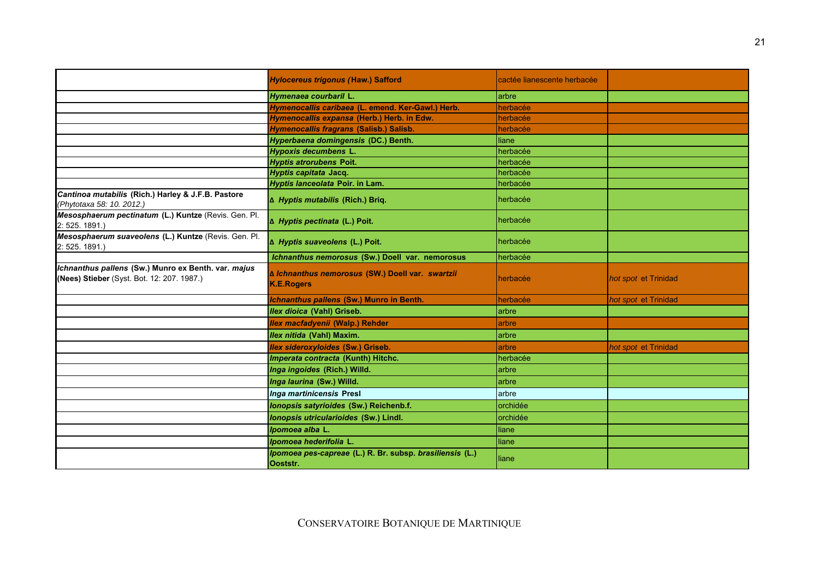|                                                                                                   | <b>Hylocereus trigonus (Haw.) Safford</b>                             | cactée lianescente herbacée |                      |
|---------------------------------------------------------------------------------------------------|-----------------------------------------------------------------------|-----------------------------|----------------------|
|                                                                                                   | Hymenaea courbaril L.                                                 | arbre                       |                      |
|                                                                                                   | Hymenocallis caribaea (L. emend. Ker-Gawl.) Herb.                     | herbacée                    |                      |
|                                                                                                   | Hymenocallis expansa (Herb.) Herb. in Edw.                            | herbacée                    |                      |
|                                                                                                   | Hymenocallis fragrans (Salisb.) Salisb.                               | herbacée                    |                      |
|                                                                                                   | Hyperbaena domingensis (DC.) Benth.                                   | liane                       |                      |
|                                                                                                   | <b>Hypoxis decumbens L.</b>                                           | herbacée                    |                      |
|                                                                                                   | <b>Hyptis atrorubens Poit.</b>                                        | herbacée                    |                      |
|                                                                                                   | Hyptis capitata Jacq.                                                 | herbacée                    |                      |
|                                                                                                   | Hyptis lanceolata Poir. in Lam.                                       | herbacée                    |                      |
| Cantinoa mutabilis (Rich.) Harley & J.F.B. Pastore<br>(Phytotaxa 58: 10. 2012.)                   | A Hyptis mutabilis (Rich.) Briq.                                      | herbacée                    |                      |
| Mesosphaerum pectinatum (L.) Kuntze (Revis. Gen. Pl.<br>2: 525. 1891.)                            | A Hyptis pectinata (L.) Poit.                                         | herbacée                    |                      |
| Mesosphaerum suaveolens (L.) Kuntze (Revis. Gen. Pl.<br>2: 525. 1891.)                            | A Hyptis suaveolens (L.) Poit.                                        | herbacée                    |                      |
|                                                                                                   | Ichnanthus nemorosus (Sw.) Doell var. nemorosus                       | herbacée                    |                      |
| Ichnanthus pallens (Sw.) Munro ex Benth. var. majus<br>(Nees) Stieber (Syst. Bot. 12: 207. 1987.) | ∆ Ichnanthus nemorosus (SW.) Doell var. swartzii<br><b>K.E.Rogers</b> | herbacée                    | hot spot et Trinidad |
|                                                                                                   | Ichnanthus pallens (Sw.) Munro in Benth.                              | herbacée                    | hot spot et Trinidad |
|                                                                                                   | Ilex dioica (Vahl) Griseb.                                            | arbre                       |                      |
|                                                                                                   | Ilex macfadyenii (Walp.) Rehder                                       | arbre                       |                      |
|                                                                                                   | Ilex nitida (Vahl) Maxim.                                             | arbre                       |                      |
|                                                                                                   | <b>Ilex sideroxyloides (Sw.) Griseb.</b>                              | arbre                       | hot spot et Trinidad |
|                                                                                                   | Imperata contracta (Kunth) Hitchc.                                    | herbacée                    |                      |
|                                                                                                   | Inga ingoides (Rich.) Willd.                                          | arbre                       |                      |
|                                                                                                   | Inga laurina (Sw.) Willd.                                             | arbre                       |                      |
|                                                                                                   | Inga martinicensis Presl                                              | arbre                       |                      |
|                                                                                                   | Ionopsis satyrioides (Sw.) Reichenb.f.                                | orchidée                    |                      |
|                                                                                                   | Ionopsis utricularioides (Sw.) Lindl.                                 | orchidée                    |                      |
|                                                                                                   | Ipomoea alba L.                                                       | liane                       |                      |
|                                                                                                   | Ipomoea hederifolia L.                                                | liane                       |                      |
|                                                                                                   | Ipomoea pes-capreae (L.) R. Br. subsp. brasiliensis (L.)              |                             |                      |
|                                                                                                   | Ooststr.                                                              | liane                       |                      |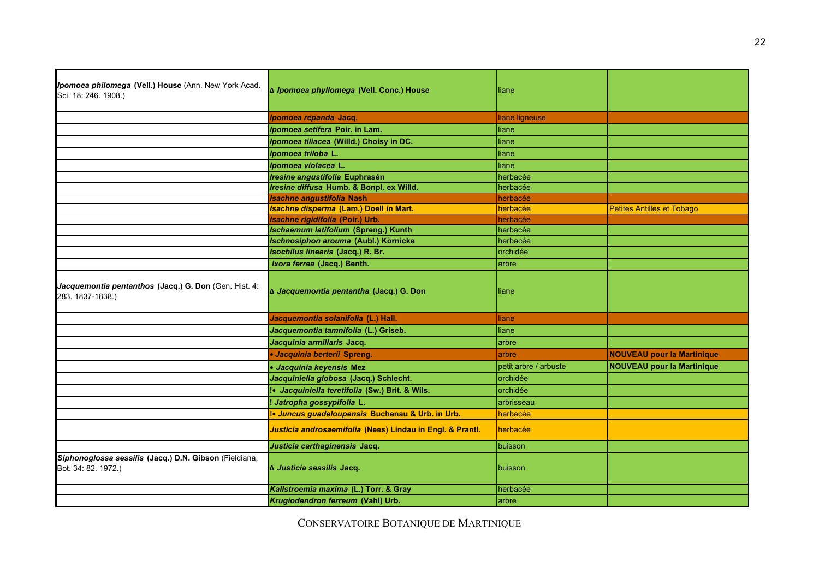| Ipomoea repanda Jacq.<br>liane ligneuse<br>Ipomoea setifera Poir. in Lam.<br>liane<br>Ipomoea tiliacea (Willd.) Choisy in DC.<br>liane<br>Ipomoea triloba L.<br>liane<br>Ipomoea violacea L.<br>liane<br>Iresine angustifolia Euphrasén<br>herbacée<br>Iresine diffusa Humb. & Bonpl. ex Willd.<br>herbacée<br><b>Isachne angustifolia Nash</b><br>herbacée<br><b>Isachne disperma (Lam.) Doell in Mart.</b><br><b>Petites Antilles et Tobago</b><br>herbacée<br>Isachne rigidifolia (Poir.) Urb.<br>herbacée<br><b>Ischaemum latifolium (Spreng.) Kunth</b><br>herbacée<br>Ischnosiphon arouma (Aubl.) Körnicke<br>herbacée<br>Isochilus linearis (Jacq.) R. Br.<br>orchidée<br>Ixora ferrea (Jacq.) Benth.<br>arbre<br>Jacquemontia pentanthos (Jacq.) G. Don (Gen. Hist. 4:<br>∆ Jacquemontia pentantha (Jacq.) G. Don<br>liane<br>283. 1837-1838.)<br>Jacquemontia solanifolia (L.) Hall.<br>liane<br>Jacquemontia tamnifolia (L.) Griseb.<br>liane<br>Jacquinia armillaris Jacq.<br>arbre<br>· Jacquinia berterii Spreng.<br><b>NOUVEAU pour la Martinique</b><br>arbre<br><b>NOUVEAU pour la Martinique</b><br>petit arbre / arbuste<br>· Jacquinia keyensis Mez<br>Jacquiniella globosa (Jacq.) Schlecht.<br>orchidée<br>!• Jacquiniella teretifolia (Sw.) Brit. & Wils.<br>orchidée<br>! Jatropha gossypifolia L.<br>arbrisseau<br>!• Juncus guadeloupensis Buchenau & Urb. in Urb.<br>herbacée<br>Justicia androsaemifolia (Nees) Lindau in Engl. & Prantl.<br>herbacée<br>Justicia carthaginensis Jacq.<br>buisson<br>Siphonoglossa sessilis (Jacq.) D.N. Gibson (Fieldiana,<br>∆ Justicia sessilis Jacq.<br>Bot. 34: 82. 1972.)<br>buisson<br>Kallstroemia maxima (L.) Torr. & Gray<br>herbacée<br>Krugiodendron ferreum (Vahl) Urb.<br>larbre | Ipomoea philomega (Vell.) House (Ann. New York Acad.<br>Sci. 18: 246. 1908.) | ∆ Ipomoea phyllomega (Vell. Conc.) House | liane |  |
|-----------------------------------------------------------------------------------------------------------------------------------------------------------------------------------------------------------------------------------------------------------------------------------------------------------------------------------------------------------------------------------------------------------------------------------------------------------------------------------------------------------------------------------------------------------------------------------------------------------------------------------------------------------------------------------------------------------------------------------------------------------------------------------------------------------------------------------------------------------------------------------------------------------------------------------------------------------------------------------------------------------------------------------------------------------------------------------------------------------------------------------------------------------------------------------------------------------------------------------------------------------------------------------------------------------------------------------------------------------------------------------------------------------------------------------------------------------------------------------------------------------------------------------------------------------------------------------------------------------------------------------------------------------------------------------------------------------------------------------------------------------|------------------------------------------------------------------------------|------------------------------------------|-------|--|
|                                                                                                                                                                                                                                                                                                                                                                                                                                                                                                                                                                                                                                                                                                                                                                                                                                                                                                                                                                                                                                                                                                                                                                                                                                                                                                                                                                                                                                                                                                                                                                                                                                                                                                                                                           |                                                                              |                                          |       |  |
|                                                                                                                                                                                                                                                                                                                                                                                                                                                                                                                                                                                                                                                                                                                                                                                                                                                                                                                                                                                                                                                                                                                                                                                                                                                                                                                                                                                                                                                                                                                                                                                                                                                                                                                                                           |                                                                              |                                          |       |  |
|                                                                                                                                                                                                                                                                                                                                                                                                                                                                                                                                                                                                                                                                                                                                                                                                                                                                                                                                                                                                                                                                                                                                                                                                                                                                                                                                                                                                                                                                                                                                                                                                                                                                                                                                                           |                                                                              |                                          |       |  |
|                                                                                                                                                                                                                                                                                                                                                                                                                                                                                                                                                                                                                                                                                                                                                                                                                                                                                                                                                                                                                                                                                                                                                                                                                                                                                                                                                                                                                                                                                                                                                                                                                                                                                                                                                           |                                                                              |                                          |       |  |
|                                                                                                                                                                                                                                                                                                                                                                                                                                                                                                                                                                                                                                                                                                                                                                                                                                                                                                                                                                                                                                                                                                                                                                                                                                                                                                                                                                                                                                                                                                                                                                                                                                                                                                                                                           |                                                                              |                                          |       |  |
|                                                                                                                                                                                                                                                                                                                                                                                                                                                                                                                                                                                                                                                                                                                                                                                                                                                                                                                                                                                                                                                                                                                                                                                                                                                                                                                                                                                                                                                                                                                                                                                                                                                                                                                                                           |                                                                              |                                          |       |  |
|                                                                                                                                                                                                                                                                                                                                                                                                                                                                                                                                                                                                                                                                                                                                                                                                                                                                                                                                                                                                                                                                                                                                                                                                                                                                                                                                                                                                                                                                                                                                                                                                                                                                                                                                                           |                                                                              |                                          |       |  |
|                                                                                                                                                                                                                                                                                                                                                                                                                                                                                                                                                                                                                                                                                                                                                                                                                                                                                                                                                                                                                                                                                                                                                                                                                                                                                                                                                                                                                                                                                                                                                                                                                                                                                                                                                           |                                                                              |                                          |       |  |
|                                                                                                                                                                                                                                                                                                                                                                                                                                                                                                                                                                                                                                                                                                                                                                                                                                                                                                                                                                                                                                                                                                                                                                                                                                                                                                                                                                                                                                                                                                                                                                                                                                                                                                                                                           |                                                                              |                                          |       |  |
|                                                                                                                                                                                                                                                                                                                                                                                                                                                                                                                                                                                                                                                                                                                                                                                                                                                                                                                                                                                                                                                                                                                                                                                                                                                                                                                                                                                                                                                                                                                                                                                                                                                                                                                                                           |                                                                              |                                          |       |  |
|                                                                                                                                                                                                                                                                                                                                                                                                                                                                                                                                                                                                                                                                                                                                                                                                                                                                                                                                                                                                                                                                                                                                                                                                                                                                                                                                                                                                                                                                                                                                                                                                                                                                                                                                                           |                                                                              |                                          |       |  |
|                                                                                                                                                                                                                                                                                                                                                                                                                                                                                                                                                                                                                                                                                                                                                                                                                                                                                                                                                                                                                                                                                                                                                                                                                                                                                                                                                                                                                                                                                                                                                                                                                                                                                                                                                           |                                                                              |                                          |       |  |
|                                                                                                                                                                                                                                                                                                                                                                                                                                                                                                                                                                                                                                                                                                                                                                                                                                                                                                                                                                                                                                                                                                                                                                                                                                                                                                                                                                                                                                                                                                                                                                                                                                                                                                                                                           |                                                                              |                                          |       |  |
|                                                                                                                                                                                                                                                                                                                                                                                                                                                                                                                                                                                                                                                                                                                                                                                                                                                                                                                                                                                                                                                                                                                                                                                                                                                                                                                                                                                                                                                                                                                                                                                                                                                                                                                                                           |                                                                              |                                          |       |  |
|                                                                                                                                                                                                                                                                                                                                                                                                                                                                                                                                                                                                                                                                                                                                                                                                                                                                                                                                                                                                                                                                                                                                                                                                                                                                                                                                                                                                                                                                                                                                                                                                                                                                                                                                                           |                                                                              |                                          |       |  |
|                                                                                                                                                                                                                                                                                                                                                                                                                                                                                                                                                                                                                                                                                                                                                                                                                                                                                                                                                                                                                                                                                                                                                                                                                                                                                                                                                                                                                                                                                                                                                                                                                                                                                                                                                           |                                                                              |                                          |       |  |
|                                                                                                                                                                                                                                                                                                                                                                                                                                                                                                                                                                                                                                                                                                                                                                                                                                                                                                                                                                                                                                                                                                                                                                                                                                                                                                                                                                                                                                                                                                                                                                                                                                                                                                                                                           |                                                                              |                                          |       |  |
|                                                                                                                                                                                                                                                                                                                                                                                                                                                                                                                                                                                                                                                                                                                                                                                                                                                                                                                                                                                                                                                                                                                                                                                                                                                                                                                                                                                                                                                                                                                                                                                                                                                                                                                                                           |                                                                              |                                          |       |  |
|                                                                                                                                                                                                                                                                                                                                                                                                                                                                                                                                                                                                                                                                                                                                                                                                                                                                                                                                                                                                                                                                                                                                                                                                                                                                                                                                                                                                                                                                                                                                                                                                                                                                                                                                                           |                                                                              |                                          |       |  |
|                                                                                                                                                                                                                                                                                                                                                                                                                                                                                                                                                                                                                                                                                                                                                                                                                                                                                                                                                                                                                                                                                                                                                                                                                                                                                                                                                                                                                                                                                                                                                                                                                                                                                                                                                           |                                                                              |                                          |       |  |
|                                                                                                                                                                                                                                                                                                                                                                                                                                                                                                                                                                                                                                                                                                                                                                                                                                                                                                                                                                                                                                                                                                                                                                                                                                                                                                                                                                                                                                                                                                                                                                                                                                                                                                                                                           |                                                                              |                                          |       |  |
|                                                                                                                                                                                                                                                                                                                                                                                                                                                                                                                                                                                                                                                                                                                                                                                                                                                                                                                                                                                                                                                                                                                                                                                                                                                                                                                                                                                                                                                                                                                                                                                                                                                                                                                                                           |                                                                              |                                          |       |  |
|                                                                                                                                                                                                                                                                                                                                                                                                                                                                                                                                                                                                                                                                                                                                                                                                                                                                                                                                                                                                                                                                                                                                                                                                                                                                                                                                                                                                                                                                                                                                                                                                                                                                                                                                                           |                                                                              |                                          |       |  |
|                                                                                                                                                                                                                                                                                                                                                                                                                                                                                                                                                                                                                                                                                                                                                                                                                                                                                                                                                                                                                                                                                                                                                                                                                                                                                                                                                                                                                                                                                                                                                                                                                                                                                                                                                           |                                                                              |                                          |       |  |
|                                                                                                                                                                                                                                                                                                                                                                                                                                                                                                                                                                                                                                                                                                                                                                                                                                                                                                                                                                                                                                                                                                                                                                                                                                                                                                                                                                                                                                                                                                                                                                                                                                                                                                                                                           |                                                                              |                                          |       |  |
|                                                                                                                                                                                                                                                                                                                                                                                                                                                                                                                                                                                                                                                                                                                                                                                                                                                                                                                                                                                                                                                                                                                                                                                                                                                                                                                                                                                                                                                                                                                                                                                                                                                                                                                                                           |                                                                              |                                          |       |  |
|                                                                                                                                                                                                                                                                                                                                                                                                                                                                                                                                                                                                                                                                                                                                                                                                                                                                                                                                                                                                                                                                                                                                                                                                                                                                                                                                                                                                                                                                                                                                                                                                                                                                                                                                                           |                                                                              |                                          |       |  |
|                                                                                                                                                                                                                                                                                                                                                                                                                                                                                                                                                                                                                                                                                                                                                                                                                                                                                                                                                                                                                                                                                                                                                                                                                                                                                                                                                                                                                                                                                                                                                                                                                                                                                                                                                           |                                                                              |                                          |       |  |
|                                                                                                                                                                                                                                                                                                                                                                                                                                                                                                                                                                                                                                                                                                                                                                                                                                                                                                                                                                                                                                                                                                                                                                                                                                                                                                                                                                                                                                                                                                                                                                                                                                                                                                                                                           |                                                                              |                                          |       |  |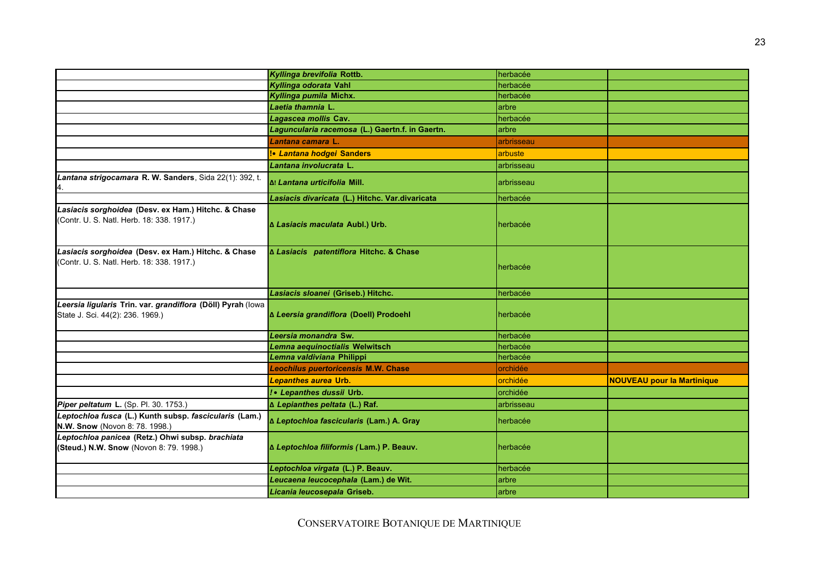|                                                                                                  | Kyllinga brevifolia Rottb.                      | herbacée   |                                   |
|--------------------------------------------------------------------------------------------------|-------------------------------------------------|------------|-----------------------------------|
|                                                                                                  | Kyllinga odorata Vahl                           | herbacée   |                                   |
|                                                                                                  | Kyllinga pumila Michx.                          | herbacée   |                                   |
|                                                                                                  | Laetia thamnia L.                               | arbre      |                                   |
|                                                                                                  | Lagascea mollis Cav.                            | herbacée   |                                   |
|                                                                                                  | Laguncularia racemosa (L.) Gaertn.f. in Gaertn. | arbre      |                                   |
|                                                                                                  | Lantana camara L.                               | arbrisseau |                                   |
|                                                                                                  | !• Lantana hodgei Sanders                       | arbuste    |                                   |
|                                                                                                  | Lantana involucrata L.                          | arbrisseau |                                   |
| Lantana strigocamara R. W. Sanders, Sida 22(1): 392, t.                                          | Δ! Lantana urticifolia Mill.                    | arbrisseau |                                   |
|                                                                                                  | Lasiacis divaricata (L.) Hitchc. Var.divaricata | herbacée   |                                   |
| Lasiacis sorghoidea (Desv. ex Ham.) Hitchc. & Chase<br>(Contr. U. S. Natl. Herb. 18: 338. 1917.) | ∆ Lasiacis maculata Aubl.) Urb.                 | herbacée   |                                   |
| Lasiacis sorghoidea (Desv. ex Ham.) Hitchc. & Chase<br>(Contr. U. S. Natl. Herb. 18: 338. 1917.) | ∆ Lasiacis patentiflora Hitchc. & Chase         | herbacée   |                                   |
|                                                                                                  | Lasiacis sloanei (Griseb.) Hitchc.              | herbacée   |                                   |
| Leersia ligularis Trin. var. grandiflora (Döll) Pyrah (lowa<br>State J. Sci. 44(2): 236. 1969.)  | ∆ Leersia grandiflora (Doell) Prodoehl          | herbacée   |                                   |
|                                                                                                  | Leersia monandra Sw.                            | herbacée   |                                   |
|                                                                                                  | Lemna aequinoctialis Welwitsch                  | herbacée   |                                   |
|                                                                                                  | Lemna valdiviana Philippi                       | herbacée   |                                   |
|                                                                                                  | <b>Leochilus puertoricensis M.W. Chase</b>      | orchidée   |                                   |
|                                                                                                  | <b>Lepanthes aurea Urb.</b>                     | orchidée   | <b>NOUVEAU pour la Martinique</b> |
|                                                                                                  | ! • Lepanthes dussii Urb.                       | orchidée   |                                   |
| Piper peltatum L. (Sp. Pl. 30. 1753.)                                                            | ∆ Lepianthes peltata (L.) Raf.                  | arbrisseau |                                   |
| Leptochloa fusca (L.) Kunth subsp. fascicularis (Lam.)<br>N.W. Snow (Novon 8: 78. 1998.)         | ∆ Leptochloa fascicularis (Lam.) A. Gray        | herbacée   |                                   |
| Leptochloa panicea (Retz.) Ohwi subsp. brachiata<br>(Steud.) N.W. Snow (Novon 8: 79. 1998.)      | ∆ Leptochloa filiformis (Lam.) P. Beauv.        | herbacée   |                                   |
|                                                                                                  | Leptochloa virgata (L.) P. Beauv.               | herbacée   |                                   |
|                                                                                                  | Leucaena leucocephala (Lam.) de Wit.            | arbre      |                                   |
|                                                                                                  | Licania leucosepala Griseb.                     | arbre      |                                   |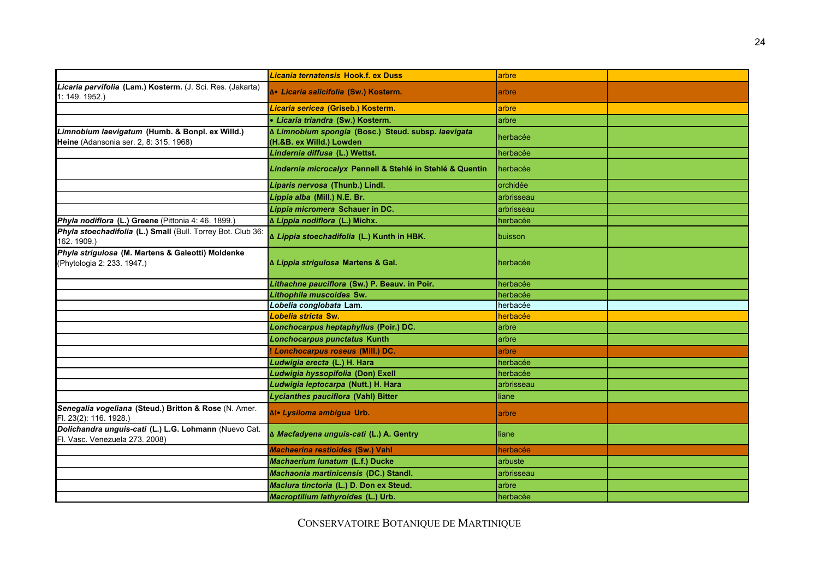|                                                                                           | Licania ternatensis Hook.f. ex Duss                                             | arbre      |  |
|-------------------------------------------------------------------------------------------|---------------------------------------------------------------------------------|------------|--|
| Licaria parvifolia (Lam.) Kosterm. (J. Sci. Res. (Jakarta)<br>1: 149. 1952.)              | ƥ Licaria salicifolia (Sw.) Kosterm.                                            | arbre      |  |
|                                                                                           | Licaria sericea (Griseb.) Kosterm.                                              | arbre      |  |
|                                                                                           | • Licaria triandra (Sw.) Kosterm.                                               | arbre      |  |
| Limnobium laevigatum (Humb. & Bonpl. ex Willd.)<br>Heine (Adansonia ser. 2, 8: 315. 1968) | ∆ Limnobium spongia (Bosc.) Steud. subsp. laevigata<br>(H.&B. ex Willd.) Lowden | herbacée   |  |
|                                                                                           | Lindernia diffusa (L.) Wettst.                                                  | herbacée   |  |
|                                                                                           | Lindernia microcalyx Pennell & Stehlé in Stehlé & Quentin                       | herbacée   |  |
|                                                                                           | Liparis nervosa (Thunb.) Lindl.                                                 | orchidée   |  |
|                                                                                           | Lippia alba (Mill.) N.E. Br.                                                    | arbrisseau |  |
|                                                                                           | Lippia micromera Schauer in DC.                                                 | arbrisseau |  |
| Phyla nodiflora (L.) Greene (Pittonia 4: 46. 1899.)                                       | ∆ Lippia nodiflora (L.) Michx.                                                  | herbacée   |  |
| Phyla stoechadifolia (L.) Small (Bull. Torrey Bot. Club 36<br>162. 1909.)                 | ∆ Lippia stoechadifolia (L.) Kunth in HBK.                                      | buisson    |  |
| Phyla strigulosa (M. Martens & Galeotti) Moldenke<br>(Phytologia 2: 233. 1947.)           | ∆ Lippia strigulosa Martens & Gal.                                              | herbacée   |  |
|                                                                                           | Lithachne pauciflora (Sw.) P. Beauv. in Poir.                                   | herbacée   |  |
|                                                                                           | Lithophila muscoides Sw.                                                        | herbacée   |  |
|                                                                                           | Lobelia conglobata Lam.                                                         | herbacée   |  |
|                                                                                           | Lobelia stricta Sw.                                                             | herbacée   |  |
|                                                                                           | Lonchocarpus heptaphyllus (Poir.) DC.                                           | arbre      |  |
|                                                                                           | Lonchocarpus punctatus Kunth                                                    | arbre      |  |
|                                                                                           | ! Lonchocarpus roseus (Mill.) DC.                                               | arbre      |  |
|                                                                                           | Ludwigia erecta (L.) H. Hara                                                    | herbacée   |  |
|                                                                                           | Ludwigia hyssopifolia (Don) Exell                                               | herbacée   |  |
|                                                                                           | Ludwigia leptocarpa (Nutt.) H. Hara                                             | arbrisseau |  |
|                                                                                           | Lycianthes pauciflora (Vahl) Bitter                                             | liane      |  |
| Senegalia vogeliana (Steud.) Britton & Rose (N. Amer.<br>Fl. 23(2): 116. 1928.)           | Δ!• Lysiloma ambigua Urb.                                                       | arbre      |  |
| Dolichandra unguis-cati (L.) L.G. Lohmann (Nuevo Cat.<br>Fl. Vasc. Venezuela 273, 2008)   | ∆ Macfadyena unguis-cati (L.) A. Gentry                                         | liane      |  |
|                                                                                           | <b>Machaerina restioides (Sw.) Vahl</b>                                         | herbacée   |  |
|                                                                                           | Machaerium lunatum (L.f.) Ducke                                                 | arbuste    |  |
|                                                                                           | Machaonia martinicensis (DC.) Standl.                                           | arbrisseau |  |
|                                                                                           | Maclura tinctoria (L.) D. Don ex Steud.                                         | arbre      |  |
|                                                                                           | Macroptilium lathyroides (L.) Urb.                                              | herbacée   |  |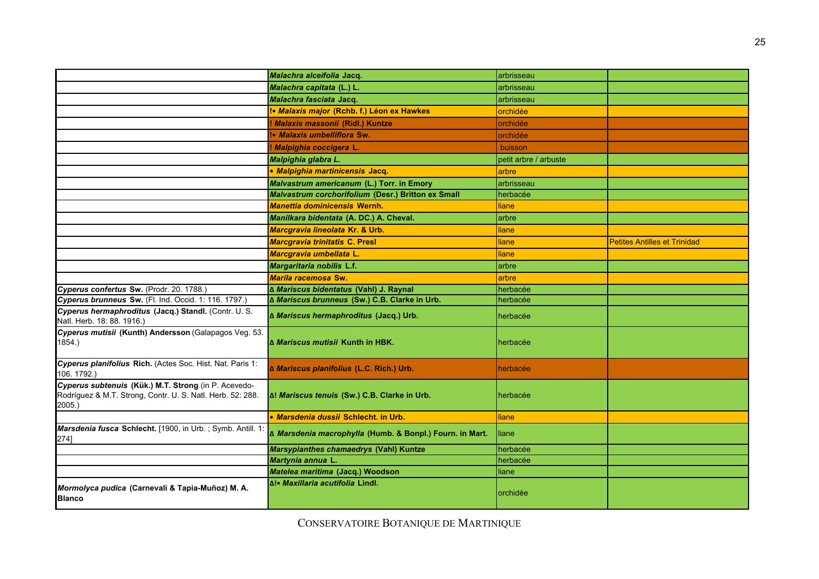|                                                                                                                                 | Malachra alceifolia Jacq.                                | arbrisseau            |                                     |
|---------------------------------------------------------------------------------------------------------------------------------|----------------------------------------------------------|-----------------------|-------------------------------------|
|                                                                                                                                 | Malachra capitata (L.) L.                                | arbrisseau            |                                     |
|                                                                                                                                 | Malachra fasciata Jacq.                                  | arbrisseau            |                                     |
|                                                                                                                                 | Malaxis major (Rchb. f.) Léon ex Hawkes                  | orchidée              |                                     |
|                                                                                                                                 | ! Malaxis massonii (Ridl.) Kuntze                        | orchidée              |                                     |
|                                                                                                                                 | !• Malaxis umbelliflora Sw.                              | orchidée              |                                     |
|                                                                                                                                 | ! Malpighia coccigera L.                                 | buisson               |                                     |
|                                                                                                                                 | Malpighia glabra L.                                      | petit arbre / arbuste |                                     |
|                                                                                                                                 | · Malpighia martinicensis Jacq.                          | arbre                 |                                     |
|                                                                                                                                 | Malvastrum americanum (L.) Torr. in Emory                | arbrisseau            |                                     |
|                                                                                                                                 | Malvastrum corchorifolium (Desr.) Britton ex Small       | herbacée              |                                     |
|                                                                                                                                 | <b>Manettia dominicensis Wernh.</b>                      | liane                 |                                     |
|                                                                                                                                 | Manilkara bidentata (A. DC.) A. Cheval.                  | arbre                 |                                     |
|                                                                                                                                 | Marcgravia lineolata Kr. & Urb.                          | liane                 |                                     |
|                                                                                                                                 | <b>Marcgravia trinitatis C. Presl</b>                    | liane                 | <b>Petites Antilles et Trinidad</b> |
|                                                                                                                                 | Marcgravia umbellata L.                                  | liane                 |                                     |
|                                                                                                                                 | Margaritaria nobilis L.f.                                | arbre                 |                                     |
|                                                                                                                                 | Marila racemosa Sw.                                      | arbre                 |                                     |
| Cyperus confertus Sw. (Prodr. 20. 1788.)                                                                                        | ∆ Mariscus bidentatus (Vahl) J. Raynal                   | herbacée              |                                     |
| Cyperus brunneus Sw. (Fl. Ind. Occid. 1: 116. 1797.)                                                                            | ∆ Mariscus brunneus (Sw.) C.B. Clarke in Urb.            | herbacée              |                                     |
| Cyperus hermaphroditus (Jacq.) Standl. (Contr. U. S.<br>Natl. Herb. 18: 88. 1916.)                                              | ∆ Mariscus hermaphroditus (Jacq.) Urb.                   | herbacée              |                                     |
| Cyperus mutisii (Kunth) Andersson (Galapagos Veg. 53.<br>1854.                                                                  | ∆ Mariscus mutisii Kunth in HBK.                         | herbacée              |                                     |
| Cyperus planifolius Rich. (Actes Soc. Hist. Nat. Paris 1:<br>106. 1792.)                                                        | ∆ Mariscus planifolius (L.C. Rich.) Urb.                 | herbacée              |                                     |
| Cyperus subtenuis (Kük.) M.T. Strong (in P. Acevedo-<br>Rodríguez & M.T. Strong, Contr. U. S. Natl. Herb. 52: 288.<br>$2005.$ ) | Δ! Mariscus tenuis (Sw.) C.B. Clarke in Urb.             | herbacée              |                                     |
|                                                                                                                                 | • Marsdenia dussii Schlecht, in Urb.                     | liane                 |                                     |
| Marsdenia fusca Schlecht. [1900, in Urb.; Symb. Antill. 1<br>274]                                                               | ∆ Marsdenia macrophylla (Humb. & Bonpl.) Fourn. in Mart. | liane                 |                                     |
|                                                                                                                                 | Marsypianthes chamaedrys (Vahl) Kuntze                   | herbacée              |                                     |
|                                                                                                                                 | Martynia annua L.                                        | herbacée              |                                     |
|                                                                                                                                 | Matelea maritima (Jacq.) Woodson                         | liane                 |                                     |
| Mormolyca pudica (Carnevali & Tapia-Muñoz) M. A.<br><b>Blanco</b>                                                               | Δ!• Maxillaria acutifolia Lindl.                         | orchidée              |                                     |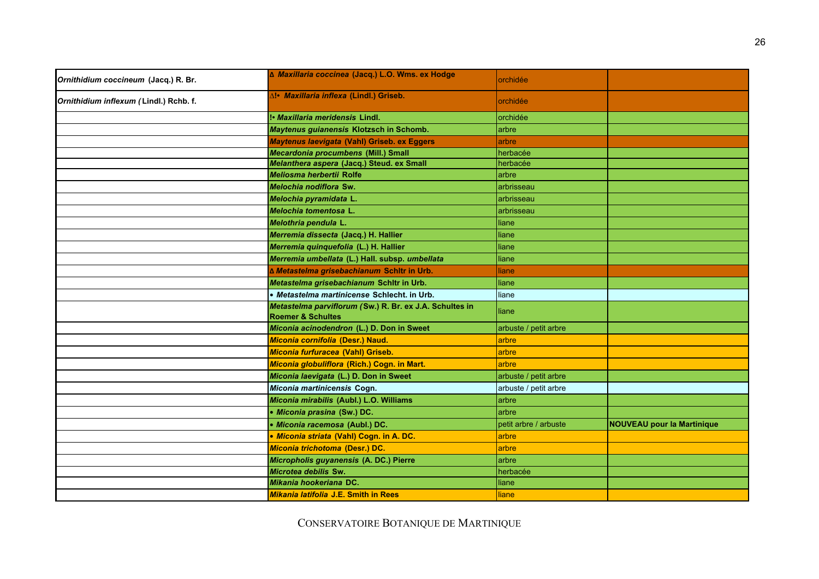| Ornithidium coccineum (Jacq.) R. Br.   | ∆ Maxillaria coccinea (Jacq.) L.O. Wms. ex Hodge                                        | orchidée              |                                   |
|----------------------------------------|-----------------------------------------------------------------------------------------|-----------------------|-----------------------------------|
| Ornithidium inflexum (Lindl.) Rchb. f. | ∆!• Maxillaria inflexa (Lindl.) Griseb.                                                 | orchidée              |                                   |
|                                        | !• Maxillaria meridensis Lindl.                                                         | orchidée              |                                   |
|                                        | Maytenus guianensis Klotzsch in Schomb.                                                 | arbre                 |                                   |
|                                        | Maytenus laevigata (Vahl) Griseb. ex Eggers                                             | arbre                 |                                   |
|                                        | Mecardonia procumbens (Mill.) Small                                                     | herbacée              |                                   |
|                                        | Melanthera aspera (Jacq.) Steud. ex Small                                               | herbacée              |                                   |
|                                        | Meliosma herbertii Rolfe                                                                | arbre                 |                                   |
|                                        | Melochia nodiflora Sw.                                                                  | arbrisseau            |                                   |
|                                        | Melochia pyramidata L.                                                                  | arbrisseau            |                                   |
|                                        | Melochia tomentosa L.                                                                   | arbrisseau            |                                   |
|                                        | Melothria pendula L.                                                                    | liane                 |                                   |
|                                        | Merremia dissecta (Jacq.) H. Hallier                                                    | liane                 |                                   |
|                                        | Merremia quinquefolia (L.) H. Hallier                                                   | liane                 |                                   |
|                                        | Merremia umbellata (L.) Hall. subsp. umbellata                                          | liane                 |                                   |
|                                        | ∆ Metastelma grisebachianum Schltr in Urb.                                              | liane                 |                                   |
|                                        | Metastelma grisebachianum Schltr in Urb.                                                | liane                 |                                   |
|                                        | • Metastelma martinicense Schlecht. in Urb.                                             | liane                 |                                   |
|                                        | Metastelma parviflorum (Sw.) R. Br. ex J.A. Schultes in<br><b>Roemer &amp; Schultes</b> | liane                 |                                   |
|                                        | Miconia acinodendron (L.) D. Don in Sweet                                               | arbuste / petit arbre |                                   |
|                                        | Miconia cornifolia (Desr.) Naud.                                                        | arbre                 |                                   |
|                                        | Miconia furfuracea (Vahl) Griseb.                                                       | arbre                 |                                   |
|                                        | Miconia globuliflora (Rich.) Cogn. in Mart.                                             | arbre                 |                                   |
|                                        | Miconia laevigata (L.) D. Don in Sweet                                                  | arbuste / petit arbre |                                   |
|                                        | Miconia martinicensis Cogn.                                                             | arbuste / petit arbre |                                   |
|                                        | Miconia mirabilis (Aubl.) L.O. Williams                                                 | arbre                 |                                   |
|                                        | • Miconia prasina (Sw.) DC.                                                             | arbre                 |                                   |
|                                        | · Miconia racemosa (Aubl.) DC.                                                          | petit arbre / arbuste | <b>NOUVEAU pour la Martinique</b> |
|                                        | · Miconia striata (Vahl) Cogn. in A. DC.                                                | arbre                 |                                   |
|                                        | Miconia trichotoma (Desr.) DC.                                                          | arbre                 |                                   |
|                                        | Micropholis guyanensis (A. DC.) Pierre                                                  | arbre                 |                                   |
|                                        | Microtea debilis Sw.                                                                    | herbacée              |                                   |
|                                        | Mikania hookeriana DC.                                                                  | liane                 |                                   |
|                                        | Mikania latifolia J.E. Smith in Rees                                                    | liane                 |                                   |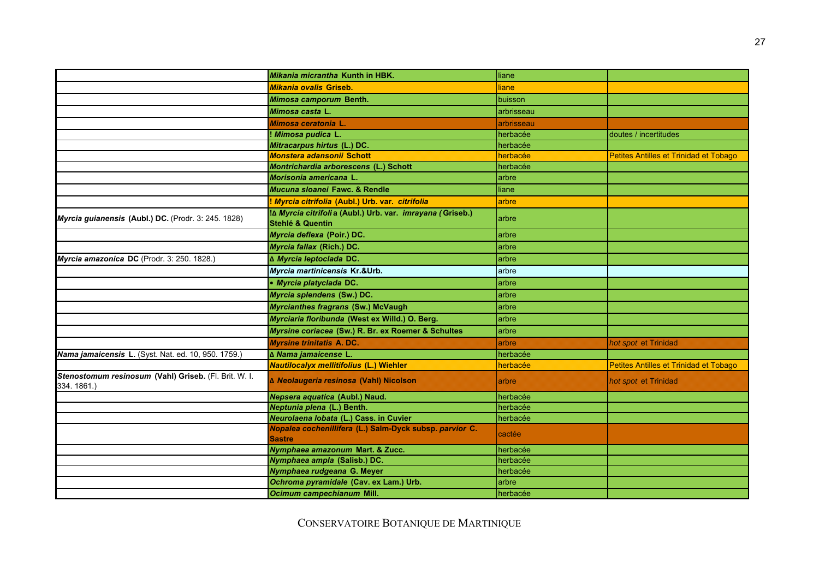|                                                                     | Mikania micrantha Kunth in HBK.                                                          | liane      |                                        |
|---------------------------------------------------------------------|------------------------------------------------------------------------------------------|------------|----------------------------------------|
|                                                                     | <b>Mikania ovalis Griseb.</b>                                                            | liane      |                                        |
|                                                                     | Mimosa camporum Benth.                                                                   | buisson    |                                        |
|                                                                     | Mimosa casta L.                                                                          | arbrisseau |                                        |
|                                                                     | Mimosa ceratonia L.                                                                      | arbrisseau |                                        |
|                                                                     | ! Mimosa pudica L.                                                                       | herbacée   | doutes / incertitudes                  |
|                                                                     | Mitracarpus hirtus (L.) DC.                                                              | herbacée   |                                        |
|                                                                     | Monstera adansonii Schott                                                                | herbacée   | Petites Antilles et Trinidad et Tobago |
|                                                                     | Montrichardia arborescens (L.) Schott                                                    | herbacée   |                                        |
|                                                                     | Morisonia americana L.                                                                   | arbre      |                                        |
|                                                                     | Mucuna sloanei Fawc, & Rendle                                                            | liane      |                                        |
|                                                                     | Myrcia citrifolia (Aubl.) Urb. var. citrifolia                                           | arbre      |                                        |
| Myrcia guianensis (Aubl.) DC. (Prodr. 3: 245. 1828)                 | ם! Myrcia citrifolia (Aubl.) Urb. var. imrayana (Griseb.)<br><b>Stehlé &amp; Quentin</b> | arbre      |                                        |
|                                                                     | Myrcia deflexa (Poir.) DC.                                                               | arbre      |                                        |
|                                                                     | Myrcia fallax (Rich.) DC.                                                                | arbre      |                                        |
| Myrcia amazonica DC (Prodr. 3: 250. 1828.)                          | ∆ Myrcia leptoclada DC.                                                                  | arbre      |                                        |
|                                                                     | Myrcia martinicensis Kr.&Urb.                                                            | arbre      |                                        |
|                                                                     | • Myrcia platyclada DC.                                                                  | arbre      |                                        |
|                                                                     | Myrcia splendens (Sw.) DC.                                                               | arbre      |                                        |
|                                                                     | Myrcianthes fragrans (Sw.) McVaugh                                                       | arbre      |                                        |
|                                                                     | Myrciaria floribunda (West ex Willd.) O. Berg.                                           | arbre      |                                        |
|                                                                     | Myrsine coriacea (Sw.) R. Br. ex Roemer & Schultes                                       | arbre      |                                        |
|                                                                     | <b>Myrsine trinitatis A. DC.</b>                                                         | arbre      | hot spot et Trinidad                   |
| Nama jamaicensis L. (Syst. Nat. ed. 10, 950. 1759.)                 | ∆ Nama jamaicense L.                                                                     | herbacée   |                                        |
|                                                                     | <b>Nautilocalyx mellitifolius (L.) Wiehler</b>                                           | herbacée   | Petites Antilles et Trinidad et Tobago |
| Stenostomum resinosum (Vahl) Griseb. (Fl. Brit. W. I.<br>334.1861.) | ∆ Neolaugeria resinosa (Vahl) Nicolson                                                   | arbre      | hot spot et Trinidad                   |
|                                                                     | Nepsera aquatica (Aubl.) Naud.                                                           | herbacée   |                                        |
|                                                                     | Neptunia plena (L.) Benth.                                                               | herbacée   |                                        |
|                                                                     | Neurolaena lobata (L.) Cass. in Cuvier                                                   | herbacée   |                                        |
|                                                                     | Nopalea cochenillifera (L.) Salm-Dyck subsp. parvior C.<br><b>Sastre</b>                 | cactée     |                                        |
|                                                                     | Nymphaea amazonum Mart. & Zucc.                                                          | herbacée   |                                        |
|                                                                     | Nymphaea ampla (Salisb.) DC.                                                             | herbacée   |                                        |
|                                                                     | Nymphaea rudgeana G. Meyer                                                               | herbacée   |                                        |
|                                                                     | Ochroma pyramidale (Cav. ex Lam.) Urb.                                                   | arbre      |                                        |
|                                                                     | Ocimum campechianum Mill.                                                                | herbacée   |                                        |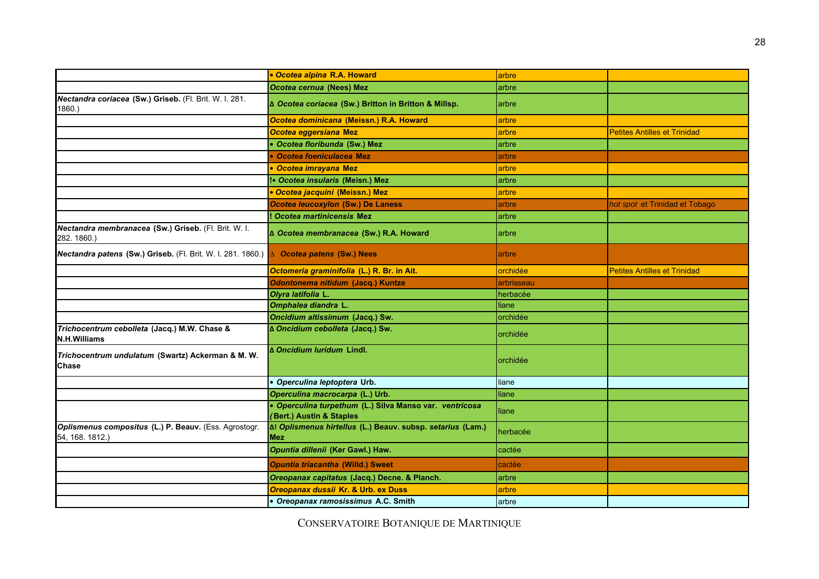|                                                                          | • Ocotea alpina R.A. Howard                                                         | arbre      |                                     |
|--------------------------------------------------------------------------|-------------------------------------------------------------------------------------|------------|-------------------------------------|
|                                                                          | Ocotea cernua (Nees) Mez                                                            | arbre      |                                     |
| Nectandra coriacea (Sw.) Griseb. (Fl. Brit. W. I. 281.<br>1860.)         | ∆ Ocotea coriacea (Sw.) Britton in Britton & Millsp.                                | arbre      |                                     |
|                                                                          | Ocotea dominicana (Meissn.) R.A. Howard                                             | arbre      |                                     |
|                                                                          | Ocotea eggersiana Mez                                                               | arbre      | <b>Petites Antilles et Trinidad</b> |
|                                                                          | • Ocotea floribunda (Sw.) Mez                                                       | arbre      |                                     |
|                                                                          | • Ocotea foeniculacea Mez                                                           | arbre      |                                     |
|                                                                          | • Ocotea imravana Mez                                                               | arbre      |                                     |
|                                                                          | !• Ocotea insularis (Meisn.) Mez                                                    | arbre      |                                     |
|                                                                          | • Ocotea jacquini (Meissn.) Mez                                                     | arbre      |                                     |
|                                                                          | Ocotea leucoxylon (Sw.) De Laness                                                   | arbre      | hot spot et Trinidad et Tobago      |
|                                                                          | ! Ocotea martinicensis Mez                                                          | arbre      |                                     |
| Nectandra membranacea (Sw.) Griseb. (Fl. Brit. W. I.<br>282. 1860.)      | ∆ Ocotea membranacea (Sw.) R.A. Howard                                              | arbre      |                                     |
| Nectandra patens (Sw.) Griseb. (Fl. Brit. W. I. 281. 1860.)              | △ Ocotea patens (Sw.) Nees                                                          | arbre      |                                     |
|                                                                          | Octomeria graminifolia (L.) R. Br. in Ait.                                          | orchidée   | <b>Petites Antilles et Trinidad</b> |
|                                                                          | Odontonema nitidum (Jacq.) Kuntze                                                   | arbrisseau |                                     |
|                                                                          | Olyra latifolia L.                                                                  | herbacée   |                                     |
|                                                                          | Omphalea diandra L.                                                                 | liane      |                                     |
|                                                                          | Oncidium altissimum (Jacq.) Sw.                                                     | orchidée   |                                     |
| Trichocentrum cebolleta (Jacq.) M.W. Chase &<br><b>N.H.Williams</b>      | ∆ Oncidium cebolleta (Jacq.) Sw.                                                    | orchidée   |                                     |
| Trichocentrum undulatum (Swartz) Ackerman & M. W.<br><b>Chase</b>        | ∆ Oncidium Iuridum Lindl.                                                           | orchidée   |                                     |
|                                                                          | · Operculina leptoptera Urb.                                                        | liane      |                                     |
|                                                                          | Operculina macrocarpa (L.) Urb.                                                     | liane      |                                     |
|                                                                          | · Operculina turpethum (L.) Silva Manso var. ventricosa<br>(Bert.) Austin & Staples | liane      |                                     |
| Oplismenus compositus (L.) P. Beauv. (Ess. Agrostogr.<br>54, 168. 1812.) | A! Oplismenus hirtellus (L.) Beauv. subsp. setarius (Lam.)<br><b>Mez</b>            | herbacée   |                                     |
|                                                                          | Opuntia dillenii (Ker Gawl.) Haw.                                                   | cactée     |                                     |
|                                                                          | <b>Opuntia triacantha (Willd.) Sweet</b>                                            | cactée     |                                     |
|                                                                          | Oreopanax capitatus (Jacq.) Decne. & Planch.                                        | arbre      |                                     |
|                                                                          | Oreopanax dussii Kr. & Urb. ex Duss                                                 | arbre      |                                     |
|                                                                          | • Oreopanax ramosissimus A.C. Smith                                                 | arbre      |                                     |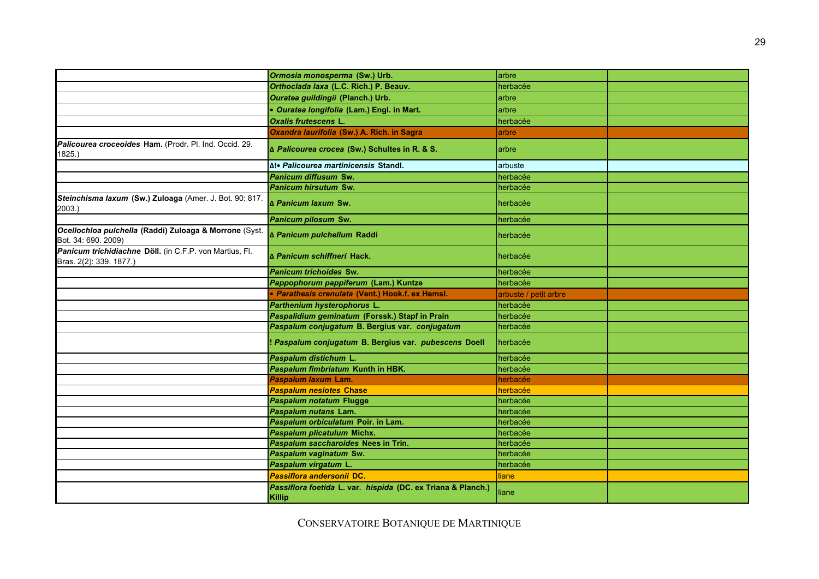|                                                                                    | Ormosia monosperma (Sw.) Urb.                                          | arbre                 |  |
|------------------------------------------------------------------------------------|------------------------------------------------------------------------|-----------------------|--|
|                                                                                    | Orthoclada Iaxa (L.C. Rich.) P. Beauv.                                 | herbacée              |  |
|                                                                                    | Ouratea guildingii (Planch.) Urb.                                      | arbre                 |  |
|                                                                                    | · Ouratea longifolia (Lam.) Engl. in Mart.                             | arbre                 |  |
|                                                                                    | <b>Oxalis frutescens L.</b>                                            | herbacée              |  |
|                                                                                    | Oxandra laurifolia (Sw.) A. Rich. in Sagra                             | arbre                 |  |
| Palicourea croceoides Ham. (Prodr. Pl. Ind. Occid. 29.<br>1825.                    | ∆ Palicourea crocea (Sw.) Schultes in R. & S.                          | arbre                 |  |
|                                                                                    | ∆!• Palicourea martinicensis Standl.                                   | arbuste               |  |
|                                                                                    | <b>Panicum diffusum Sw.</b>                                            | herbacée              |  |
|                                                                                    | Panicum hirsutum Sw.                                                   | herbacée              |  |
| Steinchisma laxum (Sw.) Zuloaga (Amer. J. Bot. 90: 817.<br>2003.)                  | ∆ Panicum laxum Sw.                                                    | herbacée              |  |
|                                                                                    | Panicum pilosum Sw.                                                    | herbacée              |  |
| Ocellochloa pulchella (Raddi) Zuloaga & Morrone (Syst.<br>Bot. 34: 690. 2009)      | ∆ Panicum pulchellum Raddi                                             | herbacée              |  |
| Panicum trichidiachne Döll. (in C.F.P. von Martius, Fl.<br>Bras. 2(2): 339. 1877.) | <b>A Panicum schiffneri Hack.</b>                                      | herbacée              |  |
|                                                                                    | <b>Panicum trichoides Sw.</b>                                          | herbacée              |  |
|                                                                                    | Pappophorum pappiferum (Lam.) Kuntze                                   | herbacée              |  |
|                                                                                    | • Parathesis crenulata (Vent.) Hook.f. ex Hemsl.                       | arbuste / petit arbre |  |
|                                                                                    | Parthenium hysterophorus L.                                            | herbacée              |  |
|                                                                                    | Paspalidium geminatum (Forssk.) Stapf in Prain                         | herbacée              |  |
|                                                                                    | Paspalum conjugatum B. Bergius var. conjugatum                         | herbacée              |  |
|                                                                                    | ! Paspalum conjugatum B. Bergius var. pubescens Doell                  | herbacée              |  |
|                                                                                    | Paspalum distichum L.                                                  | herbacée              |  |
|                                                                                    | Paspalum fimbriatum Kunth in HBK.                                      | herbacée              |  |
|                                                                                    | Paspalum laxum Lam.                                                    | herbacée              |  |
|                                                                                    | <b>Paspalum nesiotes Chase</b>                                         | herbacée              |  |
|                                                                                    | <b>Paspalum notatum Flugge</b>                                         | herbacée              |  |
|                                                                                    | Paspalum nutans Lam.                                                   | herbacée              |  |
|                                                                                    | Paspalum orbiculatum Poir. in Lam.                                     | herbacée              |  |
|                                                                                    | Paspalum plicatulum Michx.                                             | herbacée              |  |
|                                                                                    | Paspalum saccharoides Nees in Trin.                                    | herbacée              |  |
|                                                                                    | Paspalum vaginatum Sw.                                                 | herbacée              |  |
|                                                                                    | Paspalum virgatum L.                                                   | herbacée              |  |
|                                                                                    | Passiflora andersonii DC.                                              | <b>liane</b>          |  |
|                                                                                    | Passiflora foetida L. var. hispida (DC. ex Triana & Planch.)<br>Killip | liane                 |  |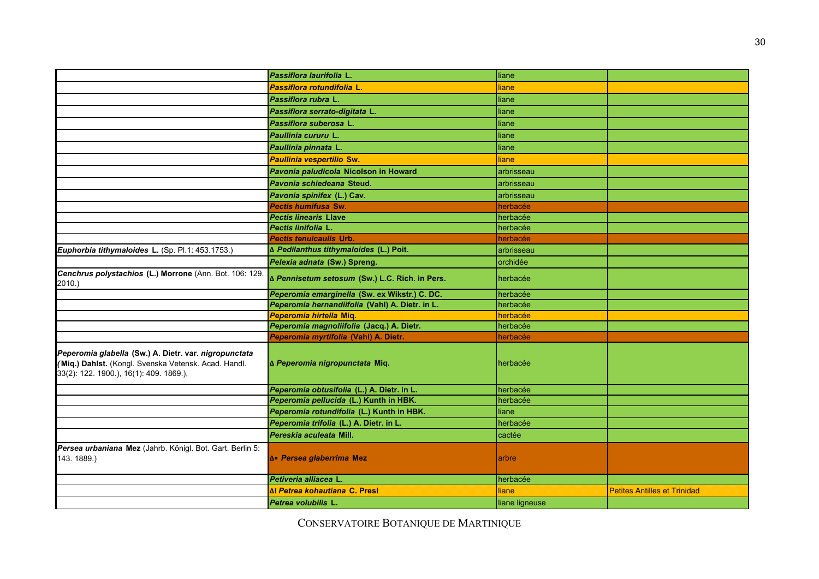|                                                                                                                                                          | Passiflora laurifolia L.                        | liane          |                                     |
|----------------------------------------------------------------------------------------------------------------------------------------------------------|-------------------------------------------------|----------------|-------------------------------------|
|                                                                                                                                                          | Passiflora rotundifolia L.                      | liane          |                                     |
|                                                                                                                                                          | Passiflora rubra L.                             | liane          |                                     |
|                                                                                                                                                          | Passiflora serrato-digitata L.                  | liane          |                                     |
|                                                                                                                                                          | Passiflora suberosa L.                          | liane          |                                     |
|                                                                                                                                                          | Paullinia cururu L.                             | liane          |                                     |
|                                                                                                                                                          | Paullinia pinnata L.                            | liane          |                                     |
|                                                                                                                                                          | <b>Paullinia vespertilio Sw.</b>                | <b>liane</b>   |                                     |
|                                                                                                                                                          | Pavonia paludicola Nicolson in Howard           | arbrisseau     |                                     |
|                                                                                                                                                          | <b>Pavonia schiedeana Steud.</b>                | arbrisseau     |                                     |
|                                                                                                                                                          | Pavonia spinifex (L.) Cav.                      | arbrisseau     |                                     |
|                                                                                                                                                          | Pectis humifusa Sw.                             | herbacée       |                                     |
|                                                                                                                                                          | <b>Pectis linearis Llave</b>                    | herbacée       |                                     |
|                                                                                                                                                          | Pectis linifolia L.                             | herbacée       |                                     |
|                                                                                                                                                          | <b>Pectis tenuicaulis Urb.</b>                  | herbacée       |                                     |
| Euphorbia tithymaloides L. (Sp. Pl.1: 453.1753.)                                                                                                         | ∆ Pedilanthus tithymaloides (L.) Poit.          | arbrisseau     |                                     |
|                                                                                                                                                          | Pelexia adnata (Sw.) Spreng.                    | orchidée       |                                     |
| Cenchrus polystachios (L.) Morrone (Ann. Bot. 106: 129.<br>2010.)                                                                                        | ∆ Pennisetum setosum (Sw.) L.C. Rich. in Pers.  | herbacée       |                                     |
|                                                                                                                                                          | Peperomia emarginella (Sw. ex Wikstr.) C. DC.   | herbacée       |                                     |
|                                                                                                                                                          | Peperomia hernandiifolia (Vahl) A. Dietr. in L. | herbacée       |                                     |
|                                                                                                                                                          | Peperomia hirtella Miq.                         | herbacée       |                                     |
|                                                                                                                                                          | Peperomia magnoliifolia (Jacq.) A. Dietr.       | herbacée       |                                     |
|                                                                                                                                                          | Peperomia myrtifolia (Vahl) A. Dietr.           | herbacée       |                                     |
| Peperomia glabella (Sw.) A. Dietr. var. nigropunctata<br>(Miq.) Dahlst. (Kongl. Svenska Vetensk. Acad. Handl.<br>33(2): 122. 1900.), 16(1): 409. 1869.), | ∆ Peperomia nigropunctata Miq.                  | herbacée       |                                     |
|                                                                                                                                                          | Peperomia obtusifolia (L.) A. Dietr. in L.      | herbacée       |                                     |
|                                                                                                                                                          | Peperomia pellucida (L.) Kunth in HBK.          | herbacée       |                                     |
|                                                                                                                                                          | Peperomia rotundifolia (L.) Kunth in HBK.       | liane          |                                     |
|                                                                                                                                                          | Peperomia trifolia (L.) A. Dietr. in L.         | herbacée       |                                     |
|                                                                                                                                                          | Pereskia aculeata Mill.                         | cactée         |                                     |
| Persea urbaniana Mez (Jahrb. Königl. Bot. Gart. Berlin 5:                                                                                                |                                                 |                |                                     |
| 143.1889.)                                                                                                                                               | ƥ Persea glaberrima Mez                         | arbre          |                                     |
|                                                                                                                                                          | Petiveria alliacea L.                           | herbacée       |                                     |
|                                                                                                                                                          | ∆! Petrea kohautiana C. Presl                   | liane          | <b>Petites Antilles et Trinidad</b> |
|                                                                                                                                                          | Petrea volubilis L.                             | liane ligneuse |                                     |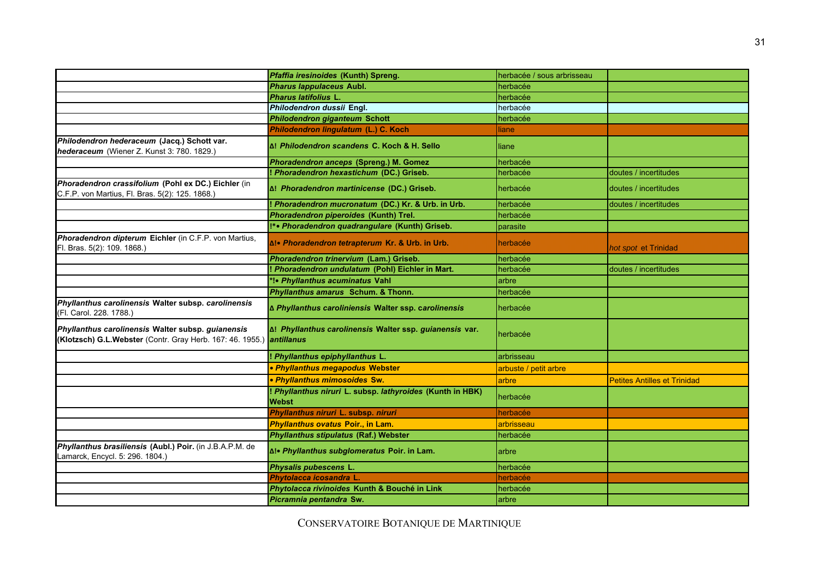|                                                                                                                           | Pfaffia iresinoides (Kunth) Spreng.                                       | herbacée / sous arbrisseau |                                     |
|---------------------------------------------------------------------------------------------------------------------------|---------------------------------------------------------------------------|----------------------------|-------------------------------------|
|                                                                                                                           | <b>Pharus lappulaceus Aubl.</b>                                           | herbacée                   |                                     |
|                                                                                                                           | Pharus latifolius L.                                                      | herbacée                   |                                     |
|                                                                                                                           | Philodendron dussii Engl.                                                 | herbacée                   |                                     |
|                                                                                                                           | Philodendron giganteum Schott                                             | herbacée                   |                                     |
|                                                                                                                           | Philodendron lingulatum (L.) C. Koch                                      | liane                      |                                     |
| Philodendron hederaceum (Jacq.) Schott var.<br>hederaceum (Wiener Z. Kunst 3: 780. 1829.)                                 | Δ! Philodendron scandens C. Koch & H. Sello                               | liane                      |                                     |
|                                                                                                                           | Phoradendron anceps (Spreng.) M. Gomez                                    | herbacée                   |                                     |
|                                                                                                                           | ! Phoradendron hexastichum (DC.) Griseb.                                  | herbacée                   | doutes / incertitudes               |
| Phoradendron crassifolium (Pohl ex DC.) Eichler (in<br>C.F.P. von Martius, Fl. Bras. 5(2): 125. 1868.)                    | ∆! Phoradendron martinicense (DC.) Griseb.                                | herbacée                   | doutes / incertitudes               |
|                                                                                                                           | ! Phoradendron mucronatum (DC.) Kr. & Urb. in Urb.                        | herbacée                   | doutes / incertitudes               |
|                                                                                                                           | Phoradendron piperoides (Kunth) Trel.                                     | herbacée                   |                                     |
|                                                                                                                           | I*• Phoradendron quadrangulare (Kunth) Griseb.                            | parasite                   |                                     |
| Phoradendron dipterum Eichler (in C.F.P. von Martius,<br>Fl. Bras. 5(2): 109. 1868.)                                      | ∆!• Phoradendron tetrapterum Kr. & Urb. in Urb.                           | herbacée                   | hot spot et Trinidad                |
|                                                                                                                           | Phoradendron trinervium (Lam.) Griseb.                                    | herbacée                   |                                     |
|                                                                                                                           | Phoradendron undulatum (Pohl) Eichler in Mart.                            | herbacée                   | doutes / incertitudes               |
|                                                                                                                           | *!• Phyllanthus acuminatus Vahl                                           | arbre                      |                                     |
|                                                                                                                           | Phyllanthus amarus Schum. & Thonn.                                        | herbacée                   |                                     |
| Phyllanthus carolinensis Walter subsp. carolinensis<br>(Fl. Carol. 228. 1788.)                                            | ∆ Phyllanthus caroliniensis Walter ssp. carolinensis                      | herbacée                   |                                     |
| Phyllanthus carolinensis Walter subsp. guianensis<br>(Klotzsch) G.L.Webster (Contr. Gray Herb. 167: 46. 1955.) antillanus | ∆! Phyllanthus carolinensis Walter ssp. guianensis var.                   | herbacée                   |                                     |
|                                                                                                                           | Phyllanthus epiphyllanthus L.                                             | arbrisseau                 |                                     |
|                                                                                                                           | • Phyllanthus megapodus Webster                                           | arbuste / petit arbre      |                                     |
|                                                                                                                           | · Phyllanthus mimosoides Sw.                                              | arbre                      | <b>Petites Antilles et Trinidad</b> |
|                                                                                                                           | ! Phyllanthus niruri L. subsp. lathyroides (Kunth in HBK)<br><b>Webst</b> | herbacée                   |                                     |
|                                                                                                                           | Phyllanthus niruri L. subsp. niruri                                       | herbacée                   |                                     |
|                                                                                                                           | Phyllanthus ovatus Poir., in Lam.                                         | arbrisseau                 |                                     |
|                                                                                                                           | Phyllanthus stipulatus (Raf.) Webster                                     | herbacée                   |                                     |
| Phyllanthus brasiliensis (Aubl.) Poir. (in J.B.A.P.M. de<br>Lamarck, Encycl. 5: 296. 1804.)                               | ∆!• Phyllanthus subglomeratus Poir. in Lam.                               | arbre                      |                                     |
|                                                                                                                           | Physalis pubescens L.                                                     | herbacée                   |                                     |
|                                                                                                                           | Phytolacca icosandra L                                                    | herbacée                   |                                     |
|                                                                                                                           | Phytolacca rivinoides Kunth & Bouché in Link                              | herbacée                   |                                     |
|                                                                                                                           | Picramnia pentandra Sw.                                                   | arbre                      |                                     |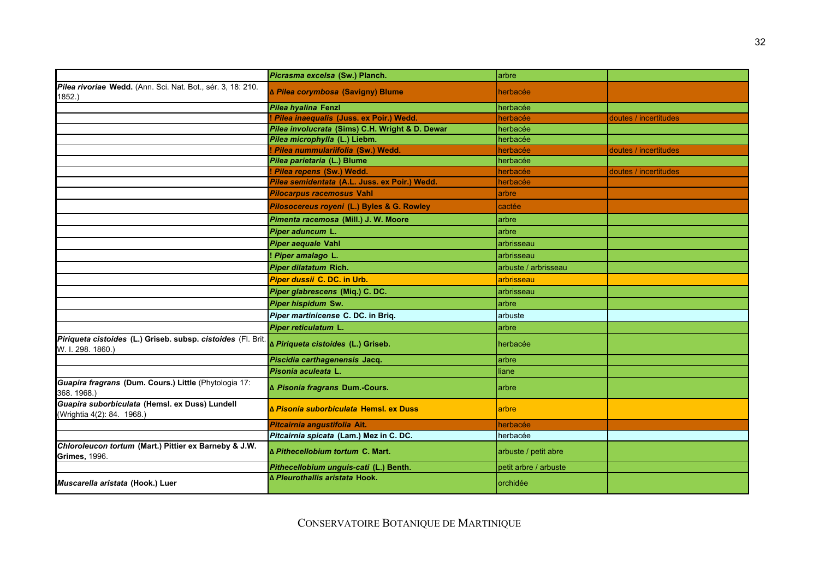|                                                                                   | Picrasma excelsa (Sw.) Planch.                  | arbre                 |                       |
|-----------------------------------------------------------------------------------|-------------------------------------------------|-----------------------|-----------------------|
| Pilea rivoriae Wedd. (Ann. Sci. Nat. Bot., sér. 3, 18: 210.<br>1852.)             | ∆ Pilea corymbosa (Savigny) Blume               | herbacée              |                       |
|                                                                                   | Pilea hyalina Fenzl                             | herbacée              |                       |
|                                                                                   | Pilea inaequalis (Juss. ex Poir.) Wedd.         | herbacée              | doutes / incertitudes |
|                                                                                   | Pilea involucrata (Sims) C.H. Wright & D. Dewar | herbacée              |                       |
|                                                                                   | Pilea microphylla (L.) Liebm.                   | herbacée              |                       |
|                                                                                   | Pilea nummulariifolia (Sw.) Wedd.               | herbacée              | doutes / incertitudes |
|                                                                                   | Pilea parietaria (L.) Blume                     | herbacée              |                       |
|                                                                                   | ! Pilea repens (Sw.) Wedd.                      | herbacée              | doutes / incertitudes |
|                                                                                   | Pilea semidentata (A.L. Juss. ex Poir.) Wedd    | herbacée              |                       |
|                                                                                   | <b>Pilocarpus racemosus Vahl</b>                | arbre                 |                       |
|                                                                                   | Pilosocereus royeni (L.) Byles & G. Rowley      | cactée                |                       |
|                                                                                   | Pimenta racemosa (Mill.) J. W. Moore            | arbre                 |                       |
|                                                                                   | Piper aduncum L.                                | arbre                 |                       |
|                                                                                   | Piper aequale Vahl                              | arbrisseau            |                       |
|                                                                                   | Piper amalago L.                                | arbrisseau            |                       |
|                                                                                   | Piper dilatatum Rich.                           | arbuste / arbrisseau  |                       |
|                                                                                   | Piper dussii C. DC. in Urb.                     | arbrisseau            |                       |
|                                                                                   | Piper glabrescens (Miq.) C. DC.                 | arbrisseau            |                       |
|                                                                                   | Piper hispidum Sw.                              | arbre                 |                       |
|                                                                                   | Piper martinicense C. DC. in Briq.              | arbuste               |                       |
|                                                                                   | Piper reticulatum L.                            | arbre                 |                       |
| Piriqueta cistoides (L.) Griseb. subsp. cistoides (Fl. Brit.<br>W. I. 298. 1860.) | ∆ Piriqueta cistoides (L.) Griseb.              | herbacée              |                       |
|                                                                                   | Piscidia carthagenensis Jacq.                   | arbre                 |                       |
|                                                                                   | Pisonia aculeata L.                             | liane                 |                       |
| Guapira fragrans (Dum. Cours.) Little (Phytologia 17:<br>368.1968.)               | ∆ Pisonia fragrans Dum.-Cours.                  | arbre                 |                       |
| Guapira suborbiculata (Hemsl. ex Duss) Lundell<br>(Wrightia 4(2): 84. 1968.)      | ∆ Pisonia suborbiculata Hemsl, ex Duss          | arbre                 |                       |
|                                                                                   | Pitcairnia angustifolia Ait.                    | herbacée              |                       |
|                                                                                   | Pitcairnia spicata (Lam.) Mez in C. DC.         | herbacée              |                       |
| Chloroleucon tortum (Mart.) Pittier ex Barneby & J.W.<br><b>Grimes, 1996.</b>     | ∆ Pithecellobium tortum C. Mart.                | arbuste / petit abre  |                       |
|                                                                                   | Pithecellobium unquis-cati (L.) Benth.          | petit arbre / arbuste |                       |
| Muscarella aristata (Hook.) Luer                                                  | ∆ Pleurothallis aristata Hook.                  | orchidée              |                       |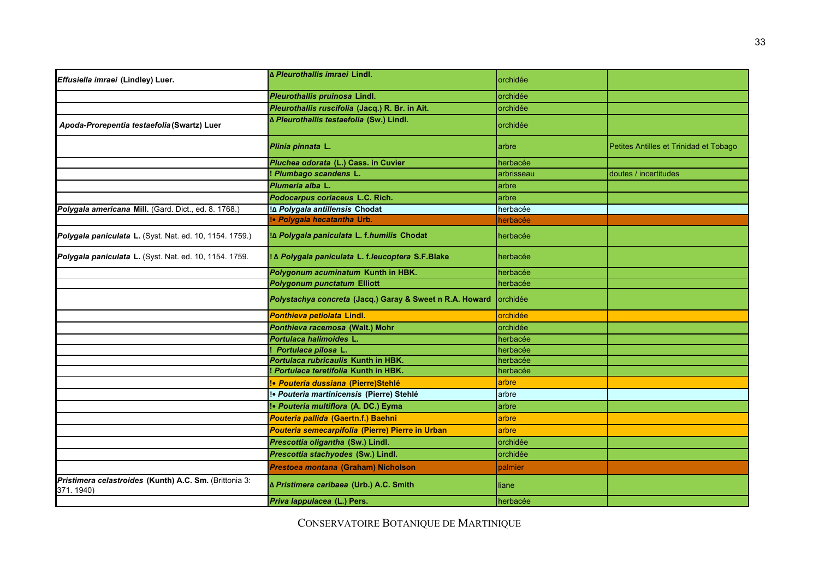| Effusiella imraei (Lindley) Luer.                                   | ∆ Pleurothallis imraei Lindl.                            | orchidée   |                                        |
|---------------------------------------------------------------------|----------------------------------------------------------|------------|----------------------------------------|
|                                                                     | Pleurothallis pruinosa Lindl.                            | orchidée   |                                        |
|                                                                     | Pleurothallis ruscifolia (Jacq.) R. Br. in Ait.          | orchidée   |                                        |
| Apoda-Prorepentia testaefolia (Swartz) Luer                         | ∆ Pleurothallis testaefolia (Sw.) Lindl.                 | orchidée   |                                        |
|                                                                     | Plinia pinnata L.                                        | arbre      | Petites Antilles et Trinidad et Tobago |
|                                                                     | Pluchea odorata (L.) Cass. in Cuvier                     | herbacée   |                                        |
|                                                                     | Plumbago scandens L.                                     | arbrisseau | doutes / incertitudes                  |
|                                                                     | Plumeria alba L.                                         | arbre      |                                        |
|                                                                     | Podocarpus coriaceus L.C. Rich.                          | arbre      |                                        |
| Polygala americana Mill. (Gard. Dict., ed. 8. 1768.)                | !∆ Polygala antillensis Chodat                           | herbacée   |                                        |
|                                                                     | !• Polygala hecatantha Urb.                              | herbacée   |                                        |
| Polygala paniculata L. (Syst. Nat. ed. 10, 1154. 1759.)             | I∆ Polygala paniculata L. f.humilis Chodat               | herbacée   |                                        |
| Polygala paniculata L. (Syst. Nat. ed. 10, 1154. 1759.              | ! ∆ Polygala paniculata L. f.leucoptera S.F.Blake        | herbacée   |                                        |
|                                                                     | Polygonum acuminatum Kunth in HBK.                       | herbacée   |                                        |
|                                                                     | <b>Polygonum punctatum Elliott</b>                       | herbacée   |                                        |
|                                                                     | Polystachya concreta (Jacq.) Garay & Sweet n R.A. Howard | orchidée   |                                        |
|                                                                     | Ponthieva petiolata Lindl.                               | orchidée   |                                        |
|                                                                     | Ponthieva racemosa (Walt.) Mohr                          | orchidée   |                                        |
|                                                                     | Portulaca halimoides L.                                  | herbacée   |                                        |
|                                                                     | Portulaca pilosa L                                       | herbacée   |                                        |
|                                                                     | Portulaca rubricaulis Kunth in HBK.                      | herbacée   |                                        |
|                                                                     | ! Portulaca teretifolia Kunth in HBK.                    | herbacée   |                                        |
|                                                                     | !• Pouteria dussiana (Pierre)Stehlé                      | arbre      |                                        |
|                                                                     | !• Pouteria martinicensis (Pierre) Stehlé                | arbre      |                                        |
|                                                                     | !• Pouteria multiflora (A. DC.) Eyma                     | arbre      |                                        |
|                                                                     | Pouteria pallida (Gaertn.f.) Baehni                      | arbre      |                                        |
|                                                                     | Pouteria semecarpifolia (Pierre) Pierre in Urban         | arbre      |                                        |
|                                                                     | Prescottia oligantha (Sw.) Lindl.                        | orchidée   |                                        |
|                                                                     | Prescottia stachyodes (Sw.) Lindl.                       | orchidée   |                                        |
|                                                                     | Prestoea montana (Graham) Nicholson                      | palmier    |                                        |
| Pristimera celastroides (Kunth) A.C. Sm. (Brittonia 3:<br>371.1940) | ∆ Pristimera caribaea (Urb.) A.C. Smith                  | liane      |                                        |
|                                                                     | Priva lappulacea (L.) Pers.                              | herbacée   |                                        |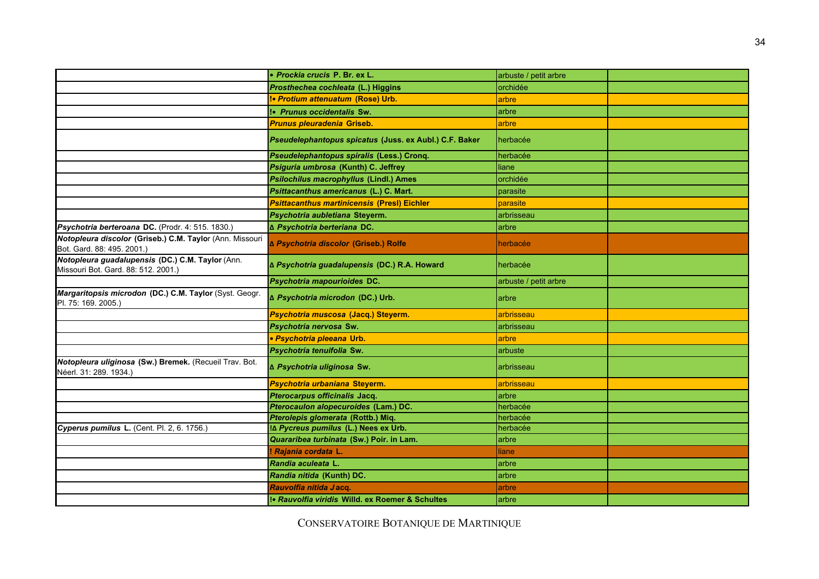|                                                                                         | · Prockia crucis P. Br. ex L.                          | arbuste / petit arbre |  |
|-----------------------------------------------------------------------------------------|--------------------------------------------------------|-----------------------|--|
|                                                                                         | Prosthechea cochleata (L.) Higgins                     | orchidée              |  |
|                                                                                         | <b>Protium attenuatum (Rose) Urb.</b>                  | arbre                 |  |
|                                                                                         | !• Prunus occidentalis Sw.                             | arbre                 |  |
|                                                                                         | Prunus pleuradenia Griseb.                             | arbre                 |  |
|                                                                                         | Pseudelephantopus spicatus (Juss. ex Aubl.) C.F. Baker | herbacée              |  |
|                                                                                         | Pseudelephantopus spiralis (Less.) Cronq.              | herbacée              |  |
|                                                                                         | Psiguria umbrosa (Kunth) C. Jeffrey                    | liane                 |  |
|                                                                                         | <b>Psilochilus macrophyllus (Lindl.) Ames</b>          | orchidée              |  |
|                                                                                         | Psittacanthus americanus (L.) C. Mart.                 | parasite              |  |
|                                                                                         | <b>Psittacanthus martinicensis (Presl) Eichler</b>     | parasite              |  |
|                                                                                         | Psychotria aubletiana Steyerm.                         | arbrisseau            |  |
| Psychotria berteroana DC. (Prodr. 4: 515. 1830.)                                        | ∆ Psychotria berteriana DC.                            | arbre                 |  |
| Notopleura discolor (Griseb.) C.M. Taylor (Ann. Missouri<br>Bot. Gard. 88: 495. 2001.)  | ∆ Psychotria discolor (Griseb.) Rolfe                  | herbacée              |  |
| Notopleura guadalupensis (DC.) C.M. Taylor (Ann.<br>Missouri Bot. Gard. 88: 512. 2001.) | ∆ Psychotria guadalupensis (DC.) R.A. Howard           | herbacée              |  |
|                                                                                         | Psychotria mapourioides DC.                            | arbuste / petit arbre |  |
| Margaritopsis microdon (DC.) C.M. Taylor (Syst. Geogr.<br>Pl. 75: 169, 2005.)           | ∆ Psychotria microdon (DC.) Urb.                       | arbre                 |  |
|                                                                                         | Psychotria muscosa (Jacq.) Steyerm.                    | arbrisseau            |  |
|                                                                                         | Psychotria nervosa Sw.                                 | arbrisseau            |  |
|                                                                                         | · Psychotria pleeana Urb.                              | arbre                 |  |
|                                                                                         | Psychotria tenuifolia Sw.                              | arbuste               |  |
| Notopleura uliginosa (Sw.) Bremek. (Recueil Trav. Bot.<br>Néerl. 31: 289. 1934.)        | ∆ Psychotria uliginosa Sw.                             | arbrisseau            |  |
|                                                                                         | Psychotria urbaniana Steyerm.                          | arbrisseau            |  |
|                                                                                         | Pterocarpus officinalis Jacq.                          | arbre                 |  |
|                                                                                         | Pterocaulon alopecuroides (Lam.) DC.                   | herbacée              |  |
|                                                                                         | Pterolepis glomerata (Rottb.) Miq.                     | herbacée              |  |
| Cyperus pumilus L. (Cent. Pl. 2, 6. 1756.)                                              | I∆ Pycreus pumilus (L.) Nees ex Urb.                   | herbacée              |  |
|                                                                                         | Quararibea turbinata (Sw.) Poir. in Lam.               | arbre                 |  |
|                                                                                         | <i>Rajania cordata L.</i>                              | liane                 |  |
|                                                                                         | Randia aculeata L.                                     | arbre                 |  |
|                                                                                         | Randia nitida (Kunth) DC.                              | arbre                 |  |
|                                                                                         | Rauvolfia nitida Jacq.                                 | arbre                 |  |
|                                                                                         | se Rauvolfia viridis Willd, ex Roemer & Schultes       | arbre                 |  |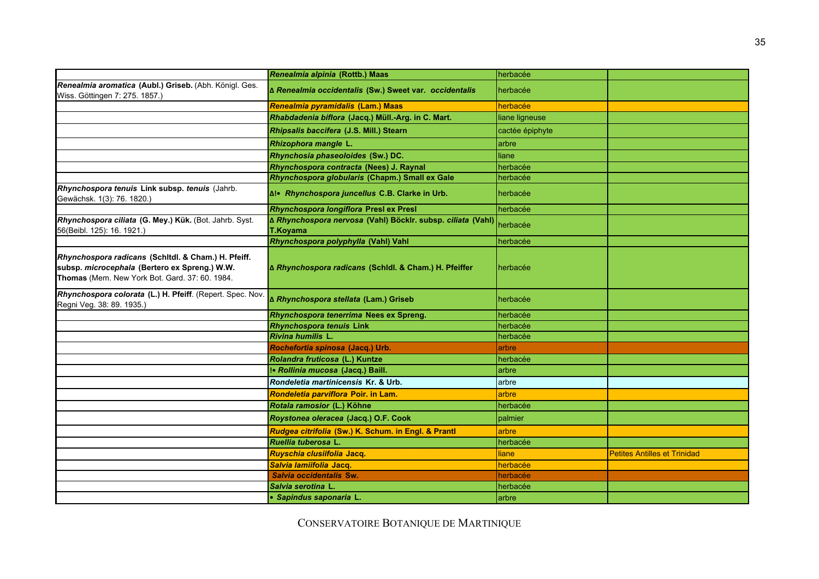|                                                                                                                                                        | Renealmia alpinia (Rottb.) Maas                                         | herbacée        |                                     |
|--------------------------------------------------------------------------------------------------------------------------------------------------------|-------------------------------------------------------------------------|-----------------|-------------------------------------|
| Renealmia aromatica (Aubl.) Griseb. (Abh. Königl. Ges.<br>Wiss. Göttingen 7: 275. 1857.)                                                               | ∆ Renealmia occidentalis (Sw.) Sweet var. occidentalis                  | herbacée        |                                     |
|                                                                                                                                                        | Renealmia pyramidalis (Lam.) Maas                                       | herbacée        |                                     |
|                                                                                                                                                        | Rhabdadenia biflora (Jacq.) Müll.-Arg. in C. Mart.                      | liane ligneuse  |                                     |
|                                                                                                                                                        | Rhipsalis baccifera (J.S. Mill.) Stearn                                 | cactée épiphyte |                                     |
|                                                                                                                                                        | Rhizophora mangle L.                                                    | arbre           |                                     |
|                                                                                                                                                        | Rhynchosia phaseoloides (Sw.) DC.                                       | liane           |                                     |
|                                                                                                                                                        | Rhynchospora contracta (Nees) J. Raynal                                 | herbacée        |                                     |
|                                                                                                                                                        | Rhynchospora globularis (Chapm.) Small ex Gale                          | herbacée        |                                     |
| Rhynchospora tenuis Link subsp. tenuis (Jahrb.<br>Gewächsk. 1(3): 76. 1820.)                                                                           | Al. Rhynchospora juncellus C.B. Clarke in Urb.                          | herbacée        |                                     |
|                                                                                                                                                        | Rhynchospora longiflora Presl ex Presl                                  | herbacée        |                                     |
| Rhynchospora ciliata (G. Mey.) Kük. (Bot. Jahrb. Syst.<br>56(Beibl. 125): 16. 1921.)                                                                   | ∆ Rhynchospora nervosa (Vahl) Böcklr. subsp. ciliata (Vahl)<br>T.Koyama | herbacée        |                                     |
|                                                                                                                                                        | Rhynchospora polyphylla (Vahl) Vahl                                     | herbacée        |                                     |
| Rhynchospora radicans (Schitdl. & Cham.) H. Pfeiff.<br>subsp. microcephala (Bertero ex Spreng.) W.W.<br>Thomas (Mem. New York Bot. Gard. 37: 60. 1984. | A Rhynchospora radicans (Schidl. & Cham.) H. Pfeiffer                   | herbacée        |                                     |
| Rhynchospora colorata (L.) H. Pfeiff. (Repert. Spec. Nov.<br>Regni Veg. 38: 89. 1935.)                                                                 | ∆ Rhynchospora stellata (Lam.) Griseb                                   | herbacée        |                                     |
|                                                                                                                                                        | Rhynchospora tenerrima Nees ex Spreng.                                  | herbacée        |                                     |
|                                                                                                                                                        | <b>Rhynchospora tenuis Link</b>                                         | herbacée        |                                     |
|                                                                                                                                                        | Rivina humilis L.                                                       | herbacée        |                                     |
|                                                                                                                                                        | Rochefortia spinosa (Jacq.) Urb.                                        | arbre           |                                     |
|                                                                                                                                                        | Rolandra fruticosa (L.) Kuntze                                          | herbacée        |                                     |
|                                                                                                                                                        | !• Rollinia mucosa (Jacq.) Baill.                                       | arbre           |                                     |
|                                                                                                                                                        | Rondeletia martinicensis Kr. & Urb.                                     | arbre           |                                     |
|                                                                                                                                                        | Rondeletia parviflora Poir. in Lam.                                     | arbre           |                                     |
|                                                                                                                                                        | Rotala ramosior (L.) Köhne                                              | herbacée        |                                     |
|                                                                                                                                                        | Roystonea oleracea (Jacq.) O.F. Cook                                    | palmier         |                                     |
|                                                                                                                                                        | Rudgea citrifolia (Sw.) K. Schum. in Engl. & Prantl                     | arbre           |                                     |
|                                                                                                                                                        | Ruellia tuberosa L.                                                     | herbacée        |                                     |
|                                                                                                                                                        | Ruyschia clusiifolia Jacq.                                              | liane           | <b>Petites Antilles et Trinidad</b> |
|                                                                                                                                                        | Salvia lamiifolia Jacq.                                                 | herbacée        |                                     |
|                                                                                                                                                        | Salvia occidentalis Sw.                                                 | herbacée        |                                     |
|                                                                                                                                                        | Salvia serotina L.                                                      | herbacée        |                                     |
|                                                                                                                                                        | • Sapindus saponaria L.                                                 | arbre           |                                     |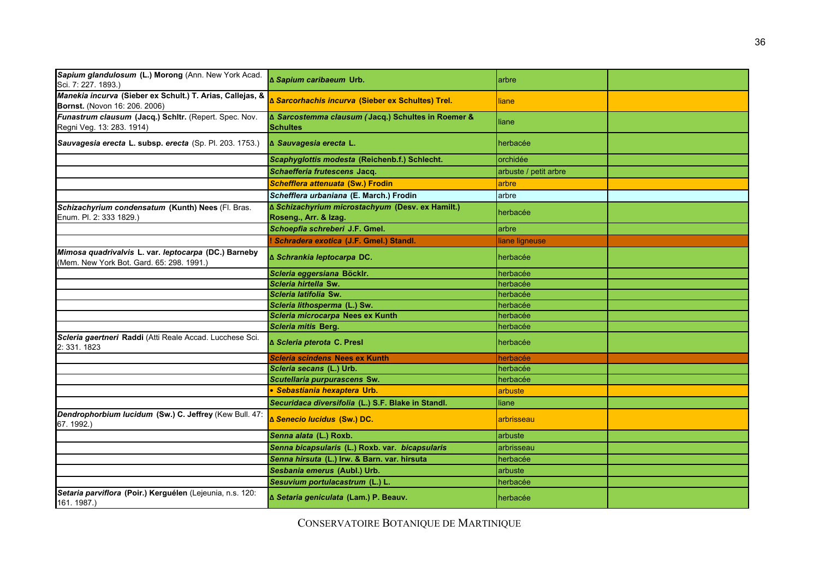| Sapium glandulosum (L.) Morong (Ann. New York Acad.<br>Sci. 7: 227. 1893.)                        | ∆ Sapium caribaeum Urb.                                                   | arbre                 |  |
|---------------------------------------------------------------------------------------------------|---------------------------------------------------------------------------|-----------------------|--|
| Manekia incurva (Sieber ex Schult.) T. Arias, Callejas, &<br>Bornst. (Novon 16: 206. 2006)        | ∆ Sarcorhachis incurva (Sieber ex Schultes) Trel.                         | liane                 |  |
| Funastrum clausum (Jacq.) Schltr. (Repert. Spec. Nov.<br>Regni Veg. 13: 283. 1914)                | ∆ Sarcostemma clausum (Jacq.) Schultes in Roemer &<br><b>Schultes</b>     | liane                 |  |
| Sauvagesia erecta L. subsp. erecta (Sp. Pl. 203. 1753.)                                           | ∆ Sauvagesia erecta L.                                                    | herbacée              |  |
|                                                                                                   | Scaphyglottis modesta (Reichenb.f.) Schlecht.                             | orchidée              |  |
|                                                                                                   | Schaefferia frutescens Jacq.                                              | arbuste / petit arbre |  |
|                                                                                                   | Schefflera attenuata (Sw.) Frodin                                         | arbre                 |  |
|                                                                                                   | Schefflera urbaniana (E. March.) Frodin                                   | arbre                 |  |
| Schizachyrium condensatum (Kunth) Nees (Fl. Bras.<br>Enum. Pl. 2: 333 1829.)                      | ∆ Schizachyrium microstachyum (Desv. ex Hamilt.)<br>Roseng., Arr. & Izag. | herbacée              |  |
|                                                                                                   | Schoepfia schreberi J.F. Gmel.                                            | arbre                 |  |
|                                                                                                   | ! Schradera exotica (J.F. Gmel.) Standl.                                  | liane ligneuse        |  |
| Mimosa quadrivalvis L. var. leptocarpa (DC.) Barneby<br>(Mem. New York Bot. Gard. 65: 298. 1991.) | ∆ Schrankia leptocarpa DC.                                                | herbacée              |  |
|                                                                                                   | Scleria eggersiana Böcklr.                                                | herbacée              |  |
|                                                                                                   | Scleria hirtella Sw.                                                      | herbacée              |  |
|                                                                                                   | Scleria latifolia Sw.                                                     | herbacée              |  |
|                                                                                                   | Scleria lithosperma (L.) Sw.                                              | herbacée              |  |
|                                                                                                   | Scleria microcarpa Nees ex Kunth                                          | herbacée              |  |
|                                                                                                   | Scleria mitis Berg.                                                       | herbacée              |  |
| Scleria gaertneri Raddi (Atti Reale Accad. Lucchese Sci.<br>2: 331. 1823                          | ∆ Scleria pterota C. Presl                                                | herbacée              |  |
|                                                                                                   | <b>Scleria scindens Nees ex Kunth</b>                                     | herbacée              |  |
|                                                                                                   | Scleria secans (L.) Urb.                                                  | herbacée              |  |
|                                                                                                   | Scutellaria purpurascens Sw.                                              | herbacée              |  |
|                                                                                                   | · Sebastiania hexaptera Urb.                                              | arbuste               |  |
|                                                                                                   | Securidaca diversifolia (L.) S.F. Blake in Standl.                        | liane                 |  |
| Dendrophorbium lucidum (Sw.) C. Jeffrey (Kew Bull. 47:<br>67.1992.)                               | ∆ Senecio lucidus (Sw.) DC.                                               | arbrisseau            |  |
|                                                                                                   | Senna alata (L.) Roxb.                                                    | arbuste               |  |
|                                                                                                   | Senna bicapsularis (L.) Roxb. var. bicapsularis                           | arbrisseau            |  |
|                                                                                                   | Senna hirsuta (L.) Irw. & Barn. var. hirsuta                              | herbacée              |  |
|                                                                                                   | Sesbania emerus (Aubl.) Urb.                                              | arbuste               |  |
|                                                                                                   | Sesuvium portulacastrum (L.) L.                                           | herbacée              |  |
| Setaria parviflora (Poir.) Kerguélen (Lejeunia, n.s. 120:<br>161.1987.)                           | ∆ Setaria geniculata (Lam.) P. Beauv.                                     | herbacée              |  |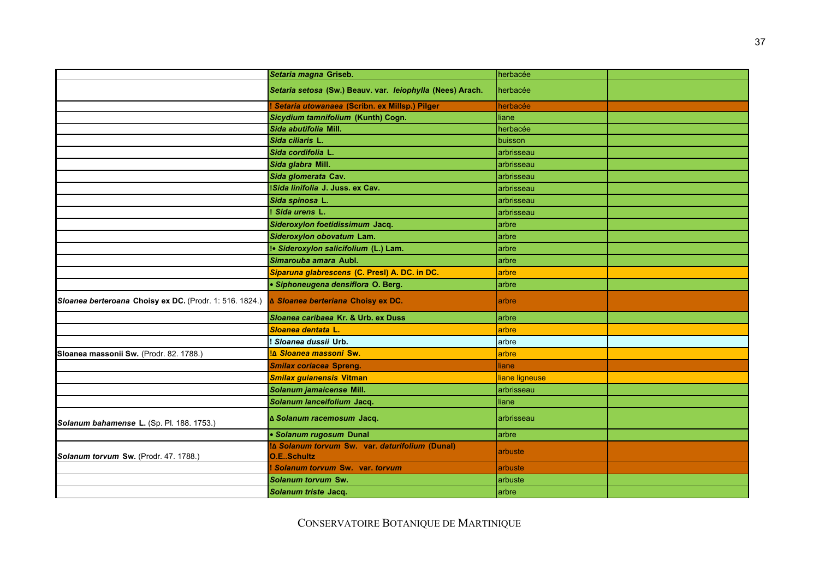|                                                         | Setaria magna Griseb.                                                | herbacée       |  |
|---------------------------------------------------------|----------------------------------------------------------------------|----------------|--|
|                                                         | Setaria setosa (Sw.) Beauv. var. leiophylla (Nees) Arach.            | herbacée       |  |
|                                                         | ! Setaria utowanaea (Scribn. ex Millsp.) Pilger                      | herbacée       |  |
|                                                         | Sicydium tamnifolium (Kunth) Cogn.                                   | liane          |  |
|                                                         | Sida abutifolia Mill.                                                | herbacée       |  |
|                                                         | Sida ciliaris L.                                                     | buisson        |  |
|                                                         | Sida cordifolia L.                                                   | arbrisseau     |  |
|                                                         | Sida glabra Mill.                                                    | arbrisseau     |  |
|                                                         | Sida glomerata Cav.                                                  | arbrisseau     |  |
|                                                         | Sida linifolia J. Juss. ex Cav.                                      | arbrisseau     |  |
|                                                         | Sida spinosa L.                                                      | arbrisseau     |  |
|                                                         | ! Sida urens L.                                                      | arbrisseau     |  |
|                                                         | Sideroxylon foetidissimum Jacq.                                      | arbre          |  |
|                                                         | Sideroxylon obovatum Lam.                                            | arbre          |  |
|                                                         | !• Sideroxylon salicifolium (L.) Lam.                                | arbre          |  |
|                                                         | Simarouba amara Aubl.                                                | arbre          |  |
|                                                         | Siparuna glabrescens (C. Presl) A. DC. in DC.                        | arbre          |  |
|                                                         | · Siphoneugena densiflora O. Berg.                                   | arbre          |  |
| Sloanea berteroana Choisy ex DC. (Prodr. 1: 516. 1824.) | ∆ Sloanea berteriana Choisy ex DC.                                   | arbre          |  |
|                                                         | Sloanea caribaea Kr. & Urb. ex Duss                                  | arbre          |  |
|                                                         | Sloanea dentata L.                                                   | arbre          |  |
|                                                         | ! Sloanea dussii Urb.                                                | arbre          |  |
| Sloanea massonii Sw. (Prodr. 82. 1788.)                 | IA Sloanea massoni Sw.                                               | arbre          |  |
|                                                         | <b>Smilax coriacea Spreng.</b>                                       | liane          |  |
|                                                         | <b>Smilax guianensis Vitman</b>                                      | liane ligneuse |  |
|                                                         | Solanum jamaicense Mill.                                             | arbrisseau     |  |
|                                                         | Solanum lanceifolium Jacq.                                           | liane          |  |
| Solanum bahamense L. (Sp. Pl. 188. 1753.)               | ∆ Solanum racemosum Jacq.                                            | arbrisseau     |  |
|                                                         | • Solanum rugosum Dunal                                              | arbre          |  |
| Solanum torvum Sw. (Prodr. 47. 1788.)                   | I∆ Solanum torvum Sw. var. daturifolium (Dunal)<br><b>O.ESchultz</b> | arbuste        |  |
|                                                         | Solanum torvum Sw. var. torvum                                       | arbuste        |  |
|                                                         | Solanum torvum Sw.                                                   | arbuste        |  |
|                                                         | Solanum triste Jacq.                                                 | arbre          |  |
|                                                         |                                                                      |                |  |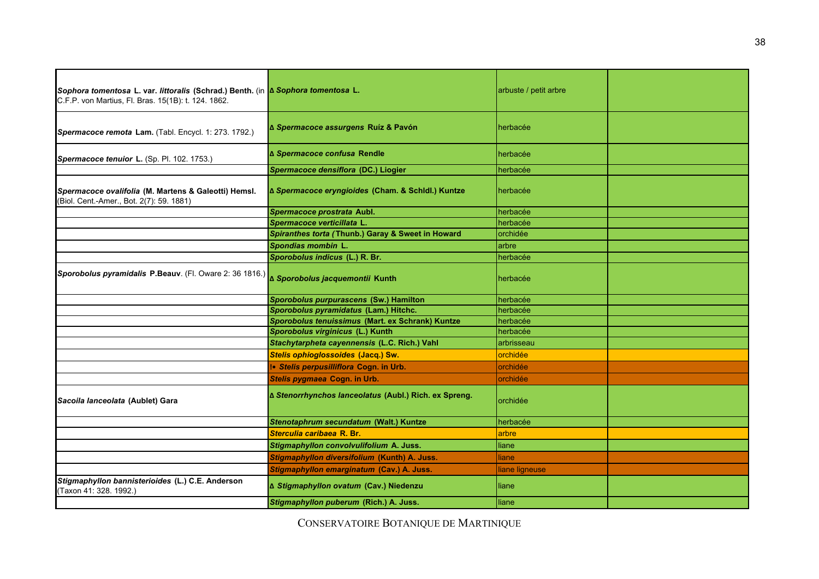| Sophora tomentosa L. var. littoralis (Schrad.) Benth. (in A Sophora tomentosa L.<br>C.F.P. von Martius, Fl. Bras. 15(1B): t. 124. 1862. |                                                       | arbuste / petit arbre |  |
|-----------------------------------------------------------------------------------------------------------------------------------------|-------------------------------------------------------|-----------------------|--|
| Spermacoce remota Lam. (Tabl. Encycl. 1: 273. 1792.)                                                                                    | ∆ Spermacoce assurgens Ruíz & Pavón                   | herbacée              |  |
| Spermacoce tenuior L. (Sp. Pl. 102. 1753.)                                                                                              | ∆ Spermacoce confusa Rendle                           | herbacée              |  |
|                                                                                                                                         | Spermacoce densiflora (DC.) Liogier                   | herbacée              |  |
| Spermacoce ovalifolia (M. Martens & Galeotti) Hemsl.<br>(Biol. Cent.-Amer., Bot. 2(7): 59. 1881)                                        | ∆ Spermacoce eryngioides (Cham. & Schidl.) Kuntze     | herbacée              |  |
|                                                                                                                                         | Spermacoce prostrata Aubl.                            | herbacée              |  |
|                                                                                                                                         | Spermacoce verticillata L.                            | herbacée              |  |
|                                                                                                                                         | Spiranthes torta (Thunb.) Garay & Sweet in Howard     | orchidée              |  |
|                                                                                                                                         | Spondias mombin L.                                    | arbre                 |  |
|                                                                                                                                         | Sporobolus indicus (L.) R. Br.                        | herbacée              |  |
| Sporobolus pyramidalis P.Beauv. (Fl. Oware 2: 36 1816.) <b>A Sporobolus jacquemontii Kunth</b>                                          |                                                       | herbacée              |  |
|                                                                                                                                         | Sporobolus purpurascens (Sw.) Hamilton                | herbacée              |  |
|                                                                                                                                         | Sporobolus pyramidatus (Lam.) Hitchc.                 | herbacée              |  |
|                                                                                                                                         | Sporobolus tenuissimus (Mart. ex Schrank) Kuntze      | herbacée              |  |
|                                                                                                                                         | Sporobolus virginicus (L.) Kunth                      | herbacée              |  |
|                                                                                                                                         | Stachytarpheta cayennensis (L.C. Rich.) Vahl          | arbrisseau            |  |
|                                                                                                                                         | Stelis ophioglossoides (Jacq.) Sw.                    | orchidée              |  |
|                                                                                                                                         | I. Stelis perpusilliflora Cogn. in Urb.               | orchidée              |  |
|                                                                                                                                         | Stelis pygmaea Cogn. in Urb.                          | orchidée              |  |
| Sacoila lanceolata (Aublet) Gara                                                                                                        | ∆ Stenorrhynchos lanceolatus (Aubl.) Rich. ex Spreng. | orchidée              |  |
|                                                                                                                                         | Stenotaphrum secundatum (Walt.) Kuntze                | herbacée              |  |
|                                                                                                                                         | Sterculia caribaea R. Br.                             | arbre                 |  |
|                                                                                                                                         | Stigmaphyllon convolvulifolium A. Juss.               | liane                 |  |
|                                                                                                                                         | Stigmaphyllon diversifolium (Kunth) A. Juss.          | liane                 |  |
|                                                                                                                                         | Stigmaphyllon emarginatum (Cav.) A. Juss.             | liane ligneuse        |  |
| Stigmaphyllon bannisterioides (L.) C.E. Anderson<br>(Taxon 41: 328. 1992.)                                                              | ∆ Stigmaphyllon ovatum (Cav.) Niedenzu                | liane                 |  |
|                                                                                                                                         | Stigmaphyllon puberum (Rich.) A. Juss.                | liane                 |  |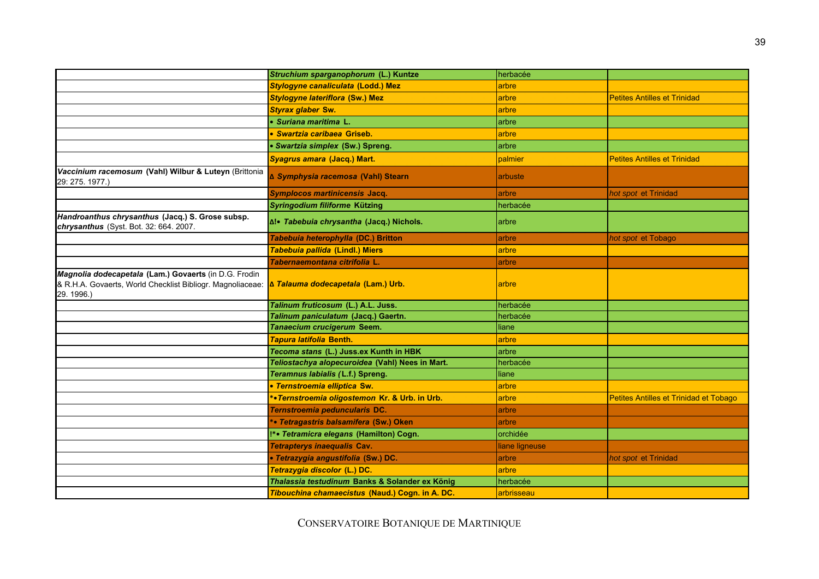|                                                                                                                                  | Struchium sparganophorum (L.) Kuntze            | herbacée       |                                        |
|----------------------------------------------------------------------------------------------------------------------------------|-------------------------------------------------|----------------|----------------------------------------|
|                                                                                                                                  | Stylogyne canaliculata (Lodd.) Mez              | arbre          |                                        |
|                                                                                                                                  | <b>Stylogyne lateriflora (Sw.) Mez</b>          | arbre          | <b>Petites Antilles et Trinidad</b>    |
|                                                                                                                                  | <b>Styrax glaber Sw.</b>                        | arbre          |                                        |
|                                                                                                                                  | · Suriana maritima L.                           | arbre          |                                        |
|                                                                                                                                  | · Swartzia caribaea Griseb.                     | arbre          |                                        |
|                                                                                                                                  | • Swartzia simplex (Sw.) Spreng.                | arbre          |                                        |
|                                                                                                                                  | Syagrus amara (Jacq.) Mart.                     | palmier        | <b>Petites Antilles et Trinidad</b>    |
| Vaccinium racemosum (Vahl) Wilbur & Luteyn (Brittonia<br>29: 275. 1977.)                                                         | ∆ Symphysia racemosa (Vahl) Stearn              | arbuste        |                                        |
|                                                                                                                                  | Symplocos martinicensis Jacq.                   | arbre          | hot spot et Trinidad                   |
|                                                                                                                                  | Syringodium filiforme Kützing                   | herbacée       |                                        |
| Handroanthus chrysanthus (Jacq.) S. Grose subsp.<br>chrysanthus (Syst. Bot. 32: 664. 2007.                                       | ∆!• Tabebuia chrysantha (Jacq.) Nichols.        | arbre          |                                        |
|                                                                                                                                  | Tabebuia heterophylla (DC.) Britton             | arbre          | hot spot et Tobago                     |
|                                                                                                                                  | Tabebuia pallida (Lindl.) Miers                 | arbre          |                                        |
|                                                                                                                                  | Tabernaemontana citrifolia L.                   | arbre          |                                        |
| Magnolia dodecapetala (Lam.) Govaerts (in D.G. Frodin<br>& R.H.A. Govaerts, World Checklist Bibliogr. Magnoliaceae:<br>29.1996.) | ∆ Talauma dodecapetala (Lam.) Urb.              | arbre          |                                        |
|                                                                                                                                  | Talinum fruticosum (L.) A.L. Juss.              | herbacée       |                                        |
|                                                                                                                                  | Talinum paniculatum (Jacq.) Gaertn.             | herbacée       |                                        |
|                                                                                                                                  | Tanaecium crucigerum Seem.                      | liane          |                                        |
|                                                                                                                                  | <b>Tapura latifolia Benth.</b>                  | arbre          |                                        |
|                                                                                                                                  | Tecoma stans (L.) Juss.ex Kunth in HBK          | arbre          |                                        |
|                                                                                                                                  | Teliostachya alopecuroidea (Vahl) Nees in Mart. | herbacée       |                                        |
|                                                                                                                                  | Teramnus labialis (L.f.) Spreng.                | liane          |                                        |
|                                                                                                                                  | · Ternstroemia elliptica Sw.                    | arbre          |                                        |
|                                                                                                                                  | *• Ternstroemia oligostemon Kr. & Urb. in Urb.  | arbre          | Petites Antilles et Trinidad et Tobago |
|                                                                                                                                  | Ternstroemia peduncularis DC.                   | arbre          |                                        |
|                                                                                                                                  | *• Tetragastris balsamifera (Sw.) Oken          | arbre          |                                        |
|                                                                                                                                  | !*• Tetramicra elegans (Hamilton) Cogn.         | orchidée       |                                        |
|                                                                                                                                  | <b>Tetrapterys inaequalis Cav.</b>              | liane ligneuse |                                        |
|                                                                                                                                  | · Tetrazygia angustifolia (Sw.) DC.             | arbre          | hot spot et Trinidad                   |
|                                                                                                                                  | Tetrazygia discolor (L.) DC.                    | arbre          |                                        |
|                                                                                                                                  | Thalassia testudinum Banks & Solander ex König  | herbacée       |                                        |
|                                                                                                                                  | Tibouchina chamaecistus (Naud.) Cogn. in A. DC. | arbrisseau     |                                        |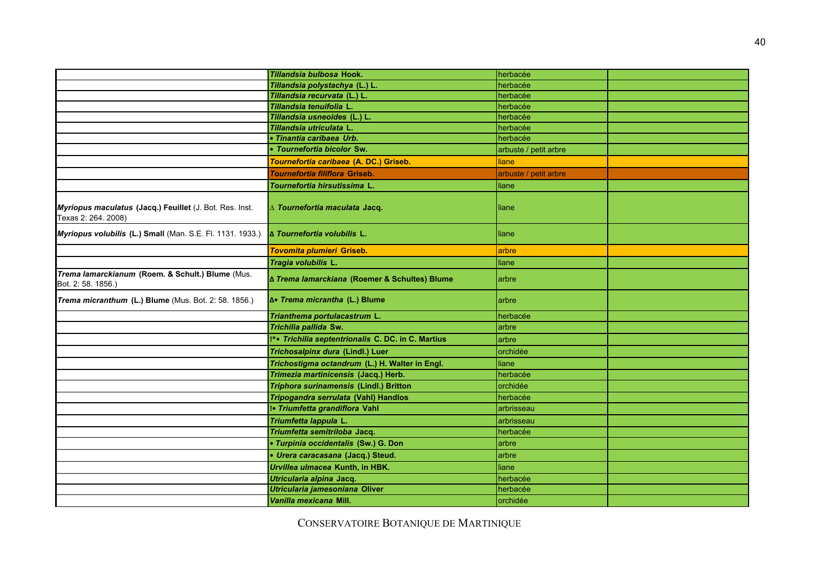|                                                                                | Tillandsia bulbosa Hook.                           | herbacée              |  |
|--------------------------------------------------------------------------------|----------------------------------------------------|-----------------------|--|
|                                                                                | Tillandsia polystachya (L.) L.                     | herbacée              |  |
|                                                                                | Tillandsia recurvata (L.) L.                       | herbacée              |  |
|                                                                                | Tillandsia tenuifolia L.                           | herbacée              |  |
|                                                                                | Tillandsia usneoides (L.) L.                       | herbacée              |  |
|                                                                                | Tillandsia utriculata L                            | herbacée              |  |
|                                                                                | · Tinantia caribaea Urb.                           | herbacée              |  |
|                                                                                | • Tournefortia bicolor Sw.                         | arbuste / petit arbre |  |
|                                                                                | Tournefortia caribaea (A. DC.) Griseb.             | liane                 |  |
|                                                                                | <b>Tournefortia filiflora Griseb.</b>              | arbuste / petit arbre |  |
|                                                                                | Tournefortia hirsutissima L.                       | liane                 |  |
| Myriopus maculatus (Jacq.) Feuillet (J. Bot. Res. Inst.<br>Texas 2: 264. 2008) | ∆ Tournefortia maculata Jacq.                      | liane                 |  |
| Myriopus volubilis (L.) Small (Man. S.E. Fl. 1131. 1933.)                      | A Tournefortia volubilis L.                        | liane                 |  |
|                                                                                | <b>Tovomita plumieri Griseb.</b>                   | arbre                 |  |
|                                                                                | Tragia volubilis L.                                | liane                 |  |
| Trema lamarckianum (Roem. & Schult.) Blume (Mus.<br>Bot. 2: 58. 1856.)         | ∆ Trema lamarckiana (Roemer & Schultes) Blume      | arbre                 |  |
| Trema micranthum (L.) Blume (Mus. Bot. 2: 58. 1856.)                           | ƥ Trema micrantha (L.) Blume                       | arbre                 |  |
|                                                                                | Trianthema portulacastrum L.                       | herbacée              |  |
|                                                                                | Trichilia pallida Sw.                              | larbre                |  |
|                                                                                | !*• Trichilia septentrionalis C. DC. in C. Martius | arbre                 |  |
|                                                                                | Trichosalpinx dura (Lindl.) Luer                   | orchidée              |  |
|                                                                                | Trichostigma octandrum (L.) H. Walter in Engl.     | liane                 |  |
|                                                                                | Trimezia martinicensis (Jacq.) Herb.               | herbacée              |  |
|                                                                                | Triphora surinamensis (Lindl.) Britton             | orchidée              |  |
|                                                                                | Tripogandra serrulata (Vahl) Handlos               | herbacée              |  |
|                                                                                | !• Triumfetta grandiflora Vahl                     | arbrisseau            |  |
|                                                                                | Triumfetta lappula L.                              | arbrisseau            |  |
|                                                                                | Triumfetta semitriloba Jacq.                       | herbacée              |  |
|                                                                                | • Turpinia occidentalis (Sw.) G. Don               | arbre                 |  |
|                                                                                | • Urera caracasana (Jacq.) Steud.                  | arbre                 |  |
|                                                                                | Urvillea ulmacea Kunth, in HBK.                    | liane                 |  |
|                                                                                | Utricularia alpina Jacq.                           | herbacée              |  |
|                                                                                | Utricularia jamesoniana Oliver                     | herbacée              |  |
|                                                                                | Vanilla mexicana Mill.                             | orchidée              |  |
|                                                                                |                                                    |                       |  |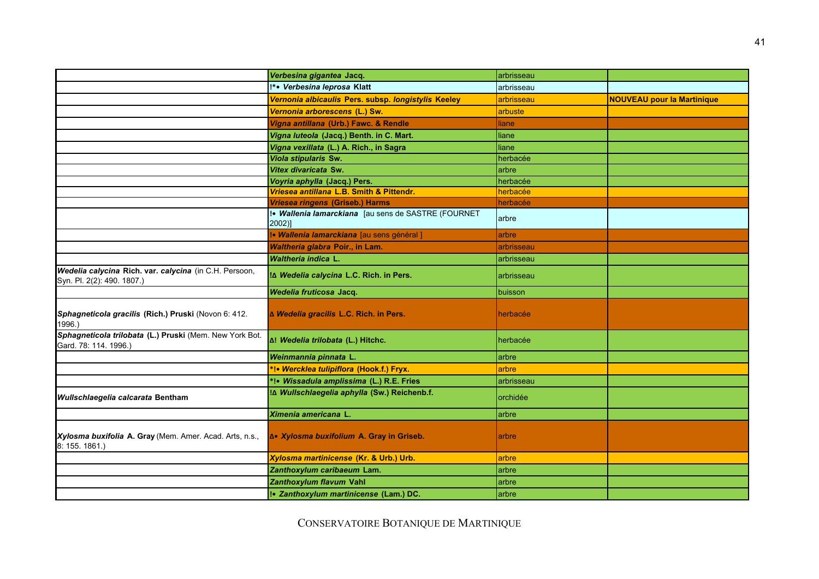|                                                                                      | Verbesina gigantea Jacq.                                      | arbrisseau |                                   |
|--------------------------------------------------------------------------------------|---------------------------------------------------------------|------------|-----------------------------------|
|                                                                                      | !*• Verbesina leprosa Klatt                                   | arbrisseau |                                   |
|                                                                                      | Vernonia albicaulis Pers. subsp. longistylis Keeley           | arbrisseau | <b>NOUVEAU pour la Martinique</b> |
|                                                                                      | Vernonia arborescens (L.) Sw.                                 | arbuste    |                                   |
|                                                                                      | Vigna antillana (Urb.) Fawc. & Rendle                         | liane      |                                   |
|                                                                                      | Vigna luteola (Jacq.) Benth. in C. Mart.                      | liane      |                                   |
|                                                                                      | Vigna vexillata (L.) A. Rich., in Sagra                       | liane      |                                   |
|                                                                                      | <b>Viola stipularis Sw.</b>                                   | herbacée   |                                   |
|                                                                                      | Vitex divaricata Sw.                                          | arbre      |                                   |
|                                                                                      | Voyria aphylla (Jacq.) Pers.                                  | herbacée   |                                   |
|                                                                                      | Vriesea antillana L.B. Smith & Pittendr.                      | herbacée   |                                   |
|                                                                                      | Vriesea ringens (Griseb.) Harms                               | herbacée   |                                   |
|                                                                                      | !• Wallenia lamarckiana [au sens de SASTRE (FOURNET<br>2002)] | arbre      |                                   |
|                                                                                      | !• Wallenia lamarckiana [au sens général]                     | arbre      |                                   |
|                                                                                      | Waltheria glabra Poir., in Lam.                               | arbrisseau |                                   |
|                                                                                      | <b>Waltheria indica L.</b>                                    | arbrisseau |                                   |
| Wedelia calycina Rich. var. calycina (in C.H. Persoon,<br>Syn. Pl. 2(2): 490. 1807.) | ILA Wedelia calycina L.C. Rich. in Pers.                      | arbrisseau |                                   |
|                                                                                      | Wedelia fruticosa Jacq.                                       | buisson    |                                   |
| Sphagneticola gracilis (Rich.) Pruski (Novon 6: 412.<br>1996.)                       | ∆ Wedelia gracilis L.C. Rich. in Pers.                        | herbacée   |                                   |
| Sphagneticola trilobata (L.) Pruski (Mem. New York Bot.<br>Gard. 78: 114. 1996.)     | ם! Wedelia trilobata (L.) Hitchc.                             | herbacée   |                                   |
|                                                                                      | Weinmannia pinnata L.                                         | larbre     |                                   |
|                                                                                      | *!• Wercklea tulipiflora (Hook.f.) Fryx.                      | arbre      |                                   |
|                                                                                      | *!• Wissadula amplissima (L.) R.E. Fries                      | arbrisseau |                                   |
| Wullschlaegelia calcarata Bentham                                                    | וֹבּ Wullschlaegelia aphylla (Sw.) Reichenb.f.                | orchidée   |                                   |
|                                                                                      | Ximenia americana L.                                          | arbre      |                                   |
| Xylosma buxifolia A. Gray (Mem. Amer. Acad. Arts, n.s.,<br>8: 155. 1861.)            | ƥ Xylosma buxifolium A. Gray in Griseb.                       | arbre      |                                   |
|                                                                                      | Xylosma martinicense (Kr. & Urb.) Urb.                        | arbre      |                                   |
|                                                                                      | Zanthoxylum caribaeum Lam.                                    | arbre      |                                   |
|                                                                                      | Zanthoxylum flavum Vahl                                       | arbre      |                                   |
|                                                                                      | !• Zanthoxylum martinicense (Lam.) DC.                        | arbre      |                                   |